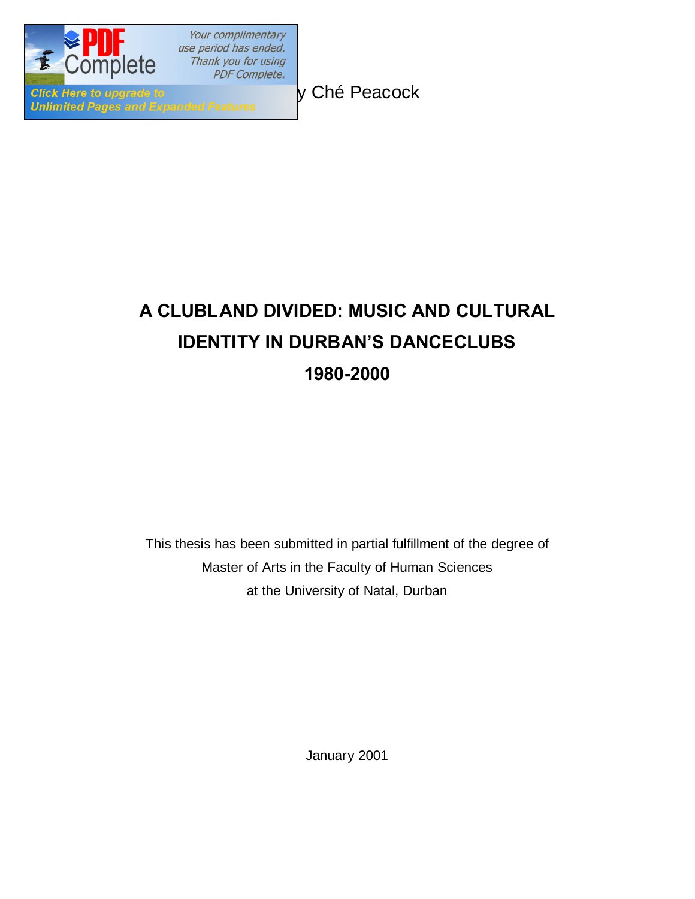

y Ché Peacock

# **A CLUBLAND DIVIDED: MUSIC AND CULTURAL IDENTITY IN DURBAN'S DANCECLUBS 1980-2000**

This thesis has been submitted in partial fulfillment of the degree of Master of Arts in the Faculty of Human Sciences at the University of Natal, Durban

January 2001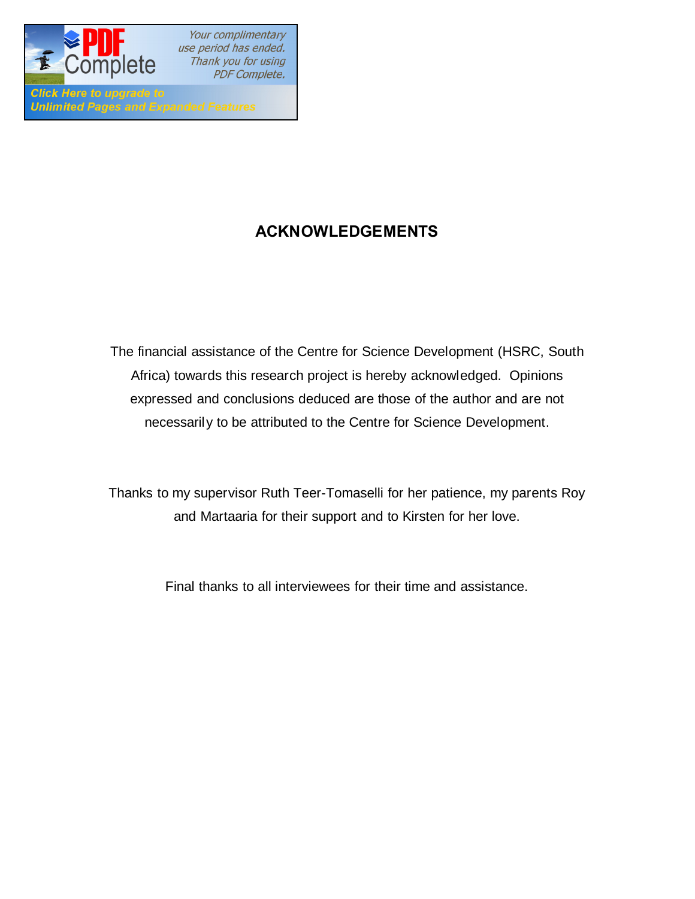

**Unlimited Pages and Expanded Features** 

Your complimentary use period has ended. Thank you for using **PDF Complete.** 

## **ACKNOWLEDGEMENTS**

The financial assistance of the Centre for Science Development (HSRC, South Africa) towards this research project is hereby acknowledged. Opinions expressed and conclusions deduced are those of the author and are not necessarily to be attributed to the Centre for Science Development.

Thanks to my supervisor Ruth Teer-Tomaselli for her patience, my parents Roy and Martaaria for their support and to Kirsten for her love.

Final thanks to all interviewees for their time and assistance.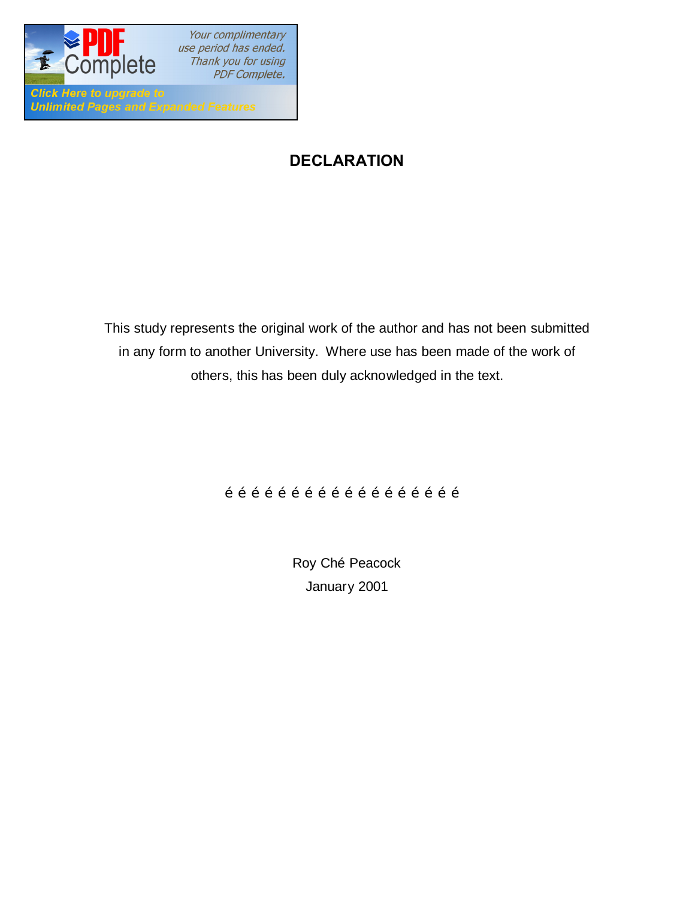

**Unlimited Pages and Expanded Features** 

## **DECLARATION**

This study represents the original work of the author and has not been submitted in any form to another University. Where use has been made of the work of others, this has been duly acknowledged in the text.

### $\tilde{o}$   $\tilde{o}$   $\tilde{o}$   $\tilde{o}$   $\tilde{o}$   $\tilde{o}$   $\tilde{o}$   $\tilde{o}$   $\tilde{o}$   $\tilde{o}$   $\tilde{o}$   $\tilde{o}$   $\tilde{o}$   $\tilde{o}$

Roy Ché Peacock January 2001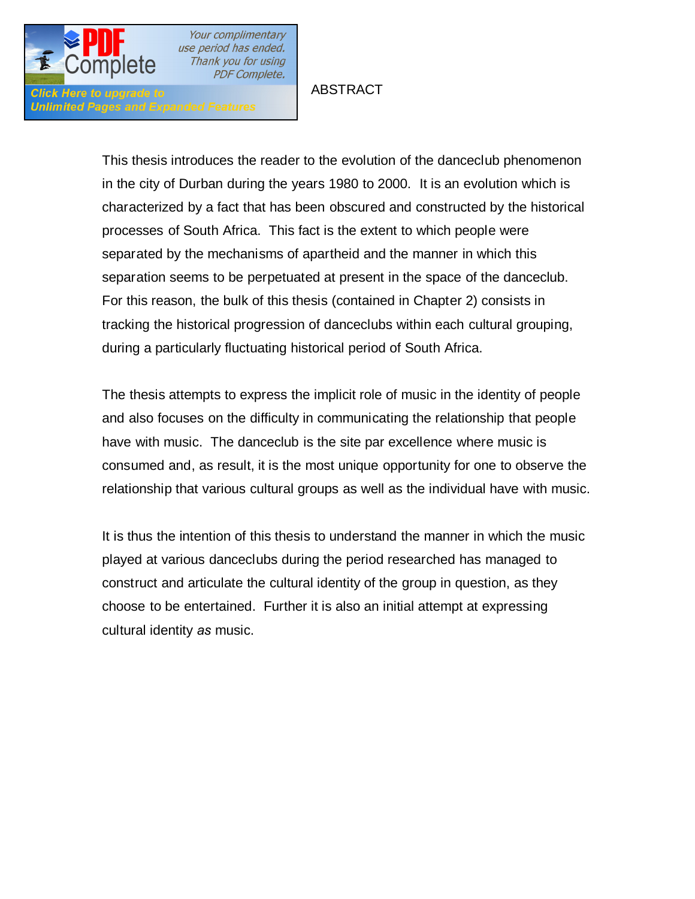

**Click Here to upgrade to Unlimited Pages and Expanded Features** 

#### ABSTRACT

This thesis introduces the reader to the evolution of the danceclub phenomenon in the city of Durban during the years 1980 to 2000. It is an evolution which is characterized by a fact that has been obscured and constructed by the historical processes of South Africa. This fact is the extent to which people were separated by the mechanisms of apartheid and the manner in which this separation seems to be perpetuated at present in the space of the danceclub. For this reason, the bulk of this thesis (contained in Chapter 2) consists in tracking the historical progression of danceclubs within each cultural grouping, during a particularly fluctuating historical period of South Africa.

The thesis attempts to express the implicit role of music in the identity of people and also focuses on the difficulty in communicating the relationship that people have with music. The danceclub is the site par excellence where music is consumed and, as result, it is the most unique opportunity for one to observe the relationship that various cultural groups as well as the individual have with music.

It is thus the intention of this thesis to understand the manner in which the music played at various danceclubs during the period researched has managed to construct and articulate the cultural identity of the group in question, as they choose to be entertained. Further it is also an initial attempt at expressing cultural identity *as* music.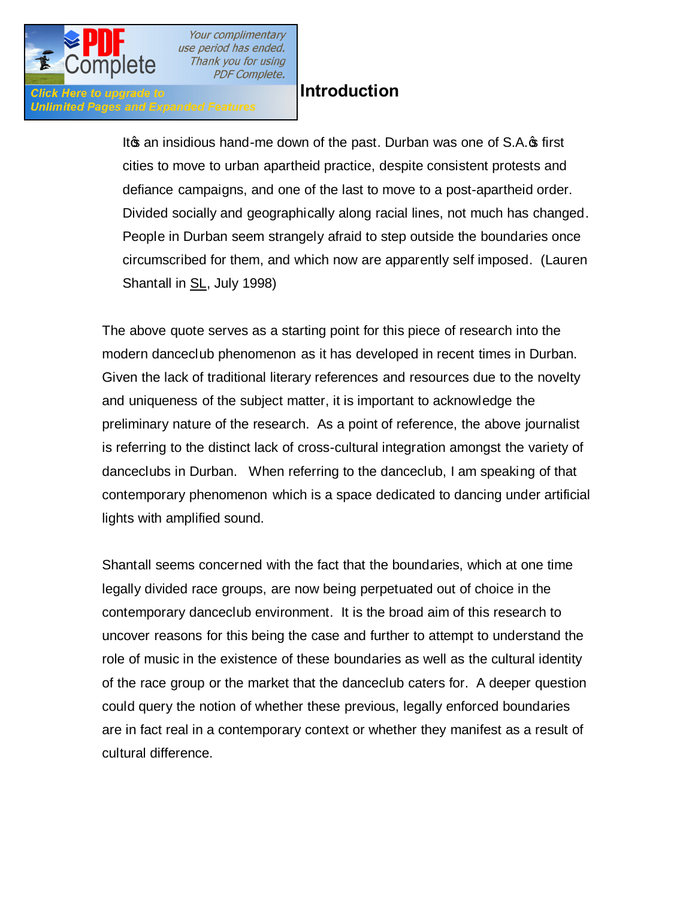

### **Introduction**

Click Here to upgrade to **Unlimited Pages and Expanded Features** 

> It as an insidious hand-me down of the past. Durban was one of S.A. as first cities to move to urban apartheid practice, despite consistent protests and defiance campaigns, and one of the last to move to a post-apartheid order. Divided socially and geographically along racial lines, not much has changed. People in Durban seem strangely afraid to step outside the boundaries once circumscribed for them, and which now are apparently self imposed. (Lauren Shantall in SL, July 1998)

The above quote serves as a starting point for this piece of research into the modern danceclub phenomenon as it has developed in recent times in Durban. Given the lack of traditional literary references and resources due to the novelty and uniqueness of the subject matter, it is important to acknowledge the preliminary nature of the research. As a point of reference, the above journalist is referring to the distinct lack of cross-cultural integration amongst the variety of danceclubs in Durban. When referring to the danceclub, I am speaking of that contemporary phenomenon which is a space dedicated to dancing under artificial lights with amplified sound.

Shantall seems concerned with the fact that the boundaries, which at one time legally divided race groups, are now being perpetuated out of choice in the contemporary danceclub environment. It is the broad aim of this research to uncover reasons for this being the case and further to attempt to understand the role of music in the existence of these boundaries as well as the cultural identity of the race group or the market that the danceclub caters for. A deeper question could query the notion of whether these previous, legally enforced boundaries are in fact real in a contemporary context or whether they manifest as a result of cultural difference.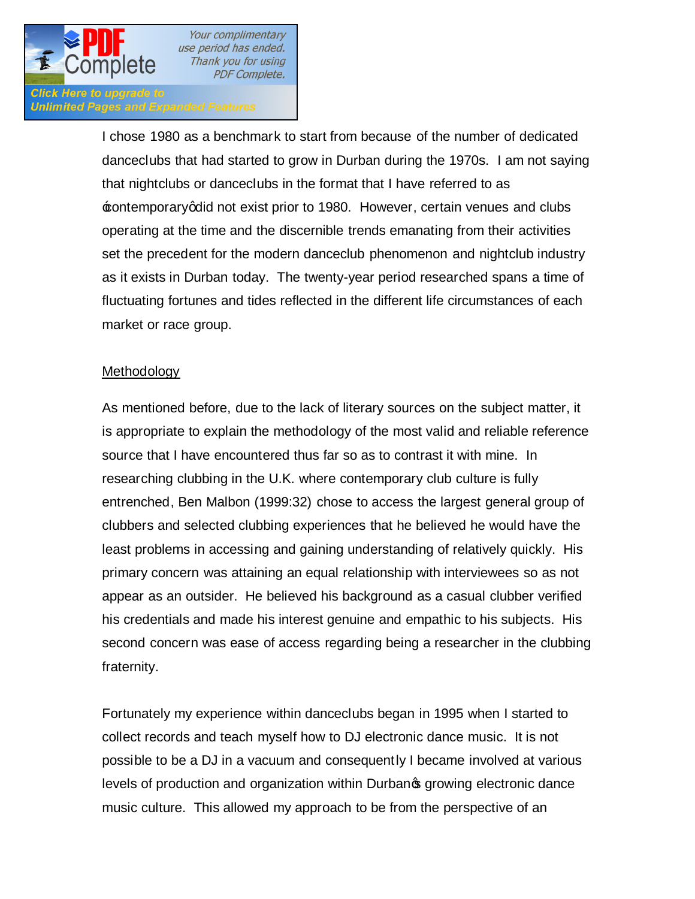

Click Here to upgrade to **res Unlimited Pages and Expanded Features** 

> I chose 1980 as a benchmark to start from because of the number of dedicated danceclubs that had started to grow in Durban during the 1970s. I am not saying that nightclubs or danceclubs in the format that I have referred to as  $\pm$ ontemporarygdid not exist prior to 1980. However, certain venues and clubs operating at the time and the discernible trends emanating from their activities set the precedent for the modern danceclub phenomenon and nightclub industry as it exists in Durban today. The twenty-year period researched spans a time of fluctuating fortunes and tides reflected in the different life circumstances of each market or race group.

#### Methodology

As mentioned before, due to the lack of literary sources on the subject matter, it is appropriate to explain the methodology of the most valid and reliable reference source that I have encountered thus far so as to contrast it with mine. In researching clubbing in the U.K. where contemporary club culture is fully entrenched, Ben Malbon (1999:32) chose to access the largest general group of clubbers and selected clubbing experiences that he believed he would have the least problems in accessing and gaining understanding of relatively quickly. His primary concern was attaining an equal relationship with interviewees so as not appear as an outsider. He believed his background as a casual clubber verified his credentials and made his interest genuine and empathic to his subjects. His second concern was ease of access regarding being a researcher in the clubbing fraternity.

Fortunately my experience within danceclubs began in 1995 when I started to collect records and teach myself how to DJ electronic dance music. It is not possible to be a DJ in a vacuum and consequently I became involved at various levels of production and organization within Durbanos growing electronic dance music culture. This allowed my approach to be from the perspective of an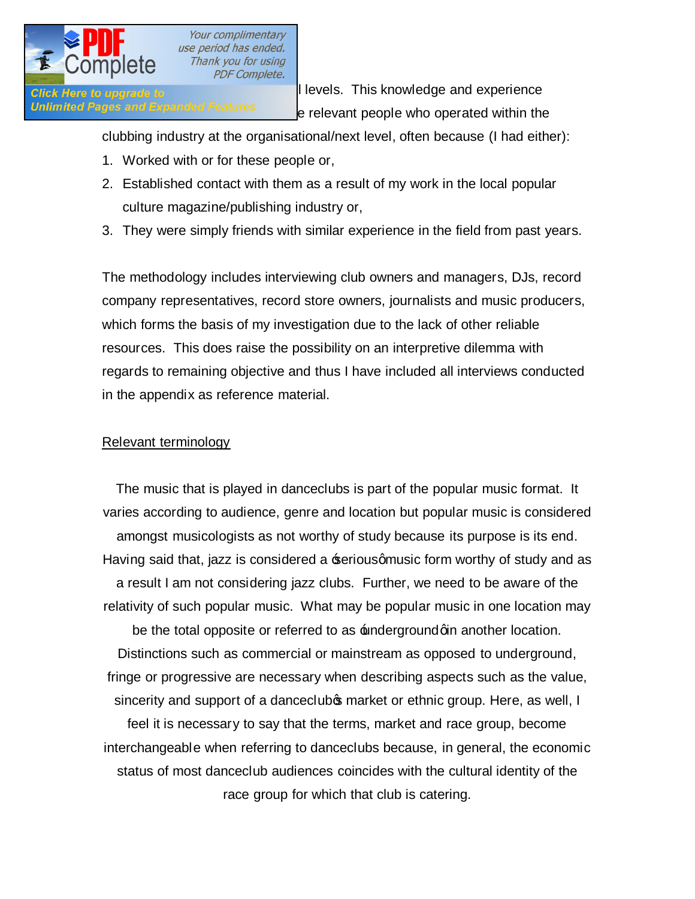

**Click Here to upgrade to clubbing at all levels.** This knowledge and experience Unlimited Pages and Expanded Features erelevant people who operated within the

clubbing industry at the organisational/next level, often because (I had either):

- 1. Worked with or for these people or,
- 2. Established contact with them as a result of my work in the local popular culture magazine/publishing industry or,
- 3. They were simply friends with similar experience in the field from past years.

The methodology includes interviewing club owners and managers, DJs, record company representatives, record store owners, journalists and music producers, which forms the basis of my investigation due to the lack of other reliable resources. This does raise the possibility on an interpretive dilemma with regards to remaining objective and thus I have included all interviews conducted in the appendix as reference material.

#### Relevant terminology

The music that is played in danceclubs is part of the popular music format. It varies according to audience, genre and location but popular music is considered amongst musicologists as not worthy of study because its purpose is its end. Having said that, jazz is considered a  $\pm$  serious amusic form worthy of study and as a result I am not considering jazz clubs. Further, we need to be aware of the relativity of such popular music. What may be popular music in one location may be the total opposite or referred to as *funderground qin another location*. Distinctions such as commercial or mainstream as opposed to underground, fringe or progressive are necessary when describing aspects such as the value, sincerity and support of a danceclub market or ethnic group. Here, as well, I feel it is necessary to say that the terms, market and race group, become interchangeable when referring to danceclubs because, in general, the economic status of most danceclub audiences coincides with the cultural identity of the race group for which that club is catering.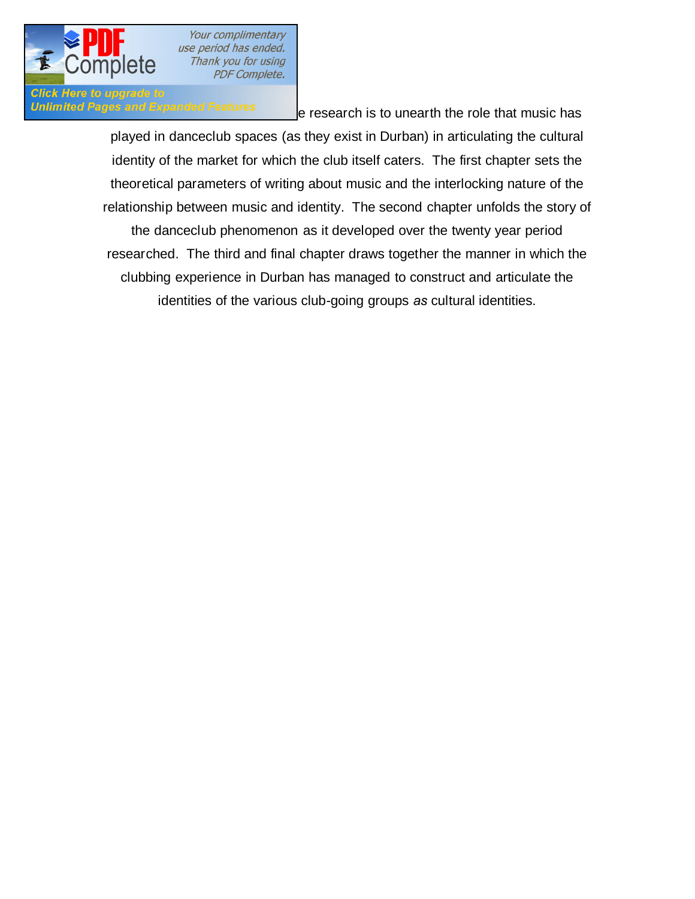

**Click Here to upgrade to** 

Unlimited Pages and Expanded Features eresearch is to unearth the role that music has

played in danceclub spaces (as they exist in Durban) in articulating the cultural identity of the market for which the club itself caters. The first chapter sets the theoretical parameters of writing about music and the interlocking nature of the relationship between music and identity. The second chapter unfolds the story of the danceclub phenomenon as it developed over the twenty year period researched. The third and final chapter draws together the manner in which the clubbing experience in Durban has managed to construct and articulate the identities of the various club-going groups *as* cultural identities.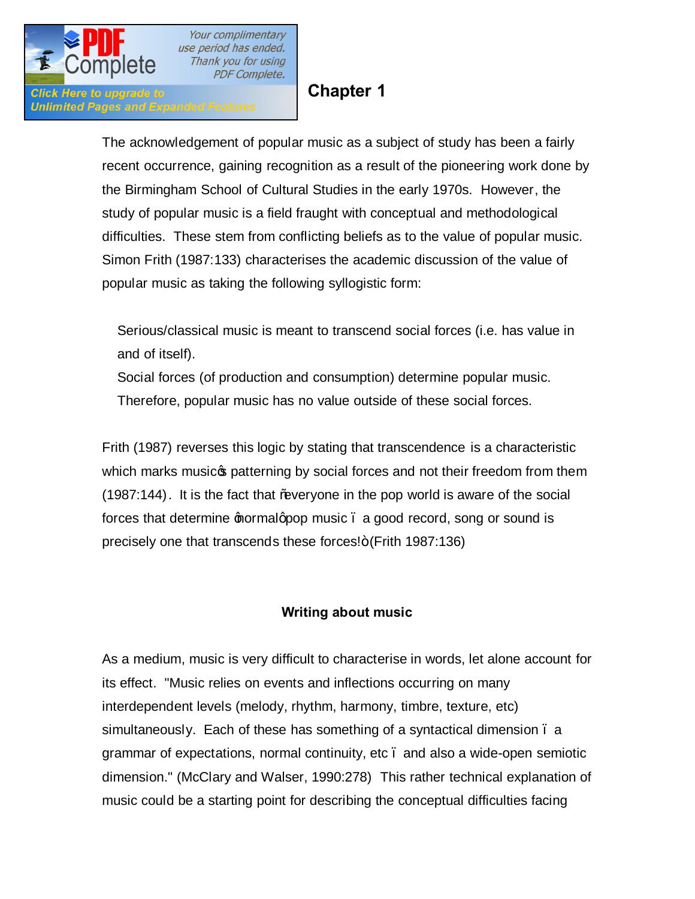

Click Here to upgrade to

**Unlimited Pages and Expanded Features** 

### **Chapter 1**

The acknowledgement of popular music as a subject of study has been a fairly recent occurrence, gaining recognition as a result of the pioneering work done by the Birmingham School of Cultural Studies in the early 1970s. However, the study of popular music is a field fraught with conceptual and methodological difficulties. These stem from conflicting beliefs as to the value of popular music. Simon Frith (1987:133) characterises the academic discussion of the value of popular music as taking the following syllogistic form:

Serious/classical music is meant to transcend social forces (i.e. has value in and of itself).

Social forces (of production and consumption) determine popular music. Therefore, popular music has no value outside of these social forces.

Frith (1987) reverses this logic by stating that transcendence is a characteristic which marks musicos patterning by social forces and not their freedom from them  $(1987:144)$ . It is the fact that  $%$  everyone in the pop world is aware of the social forces that determine gormal apop music . a good record, song or sound is precisely one that transcends these forces!+ (Frith 1987:136)

### **Writing about music**

As a medium, music is very difficult to characterise in words, let alone account for its effect. "Music relies on events and inflections occurring on many interdependent levels (melody, rhythm, harmony, timbre, texture, etc) simultaneously. Each of these has something of a syntactical dimension. a grammar of expectations, normal continuity, etc – and also a wide-open semiotic dimension." (McClary and Walser, 1990:278) This rather technical explanation of music could be a starting point for describing the conceptual difficulties facing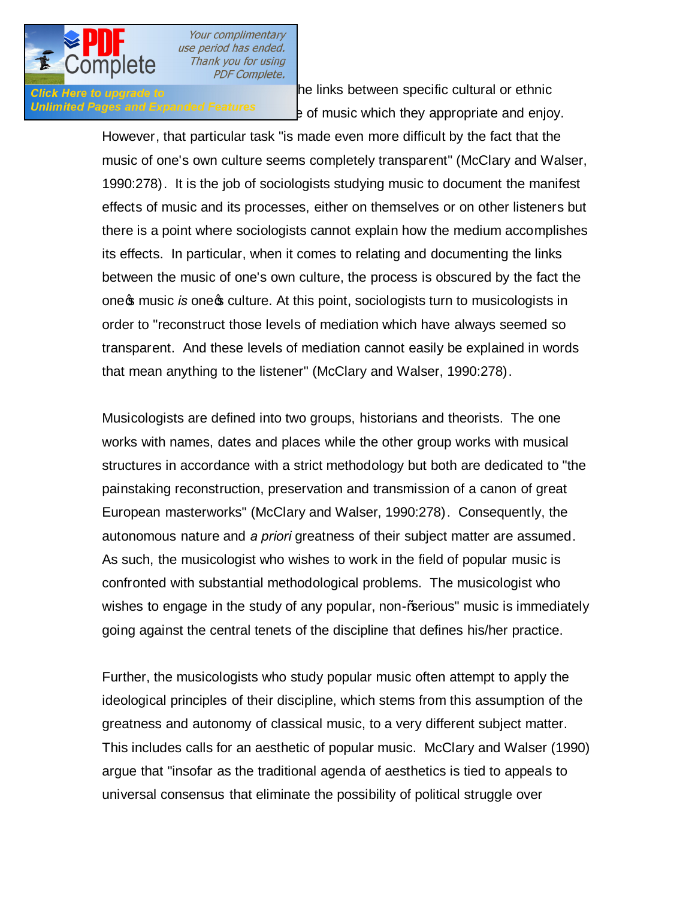

**Click Here to upgrade to relation the links between specific cultural or ethnic** Unlimited Pages and Expanded Features  $\frac{1}{2}$  of music which they appropriate and enjoy.

> However, that particular task "is made even more difficult by the fact that the music of one's own culture seems completely transparent" (McClary and Walser, 1990:278). It is the job of sociologists studying music to document the manifest effects of music and its processes, either on themselves or on other listeners but there is a point where sociologists cannot explain how the medium accomplishes its effects. In particular, when it comes to relating and documenting the links between the music of one's own culture, the process is obscured by the fact the one's music *is* one's culture. At this point, sociologists turn to musicologists in order to "reconstruct those levels of mediation which have always seemed so transparent. And these levels of mediation cannot easily be explained in words that mean anything to the listener" (McClary and Walser, 1990:278).

> Musicologists are defined into two groups, historians and theorists. The one works with names, dates and places while the other group works with musical structures in accordance with a strict methodology but both are dedicated to "the painstaking reconstruction, preservation and transmission of a canon of great European masterworks" (McClary and Walser, 1990:278). Consequently, the autonomous nature and *a priori* greatness of their subject matter are assumed. As such, the musicologist who wishes to work in the field of popular music is confronted with substantial methodological problems. The musicologist who wishes to engage in the study of any popular, non-% erious" music is immediately going against the central tenets of the discipline that defines his/her practice.

> Further, the musicologists who study popular music often attempt to apply the ideological principles of their discipline, which stems from this assumption of the greatness and autonomy of classical music, to a very different subject matter. This includes calls for an aesthetic of popular music. McClary and Walser (1990) argue that "insofar as the traditional agenda of aesthetics is tied to appeals to universal consensus that eliminate the possibility of political struggle over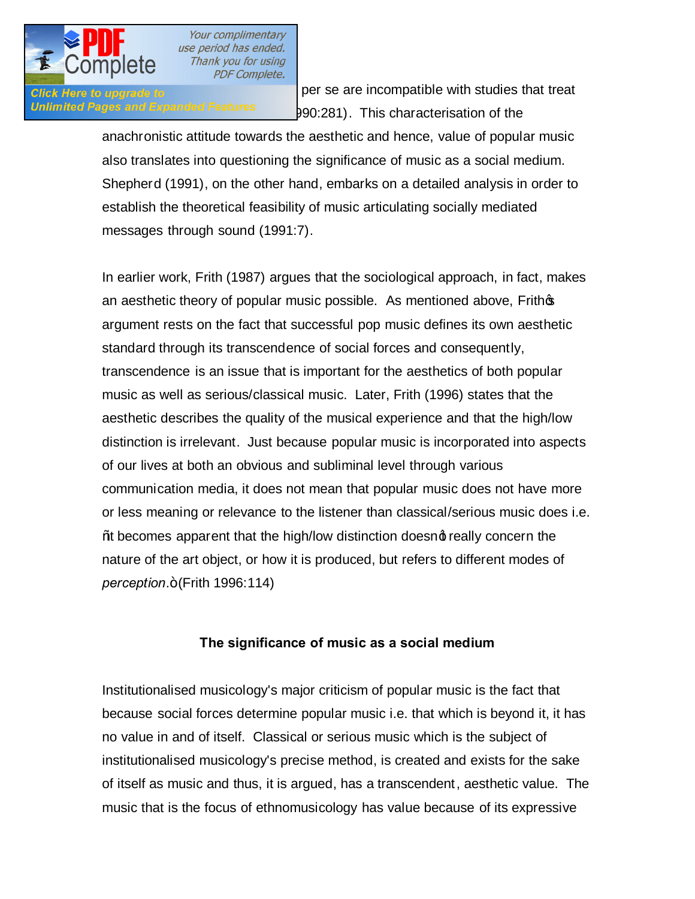

Click Here to upgrade to **EXECLIC ACCLICK** per se are incompatible with studies that treat Unlimited Pages and Expanded Features (1990:281). This characterisation of the

> anachronistic attitude towards the aesthetic and hence, value of popular music also translates into questioning the significance of music as a social medium. Shepherd (1991), on the other hand, embarks on a detailed analysis in order to establish the theoretical feasibility of music articulating socially mediated messages through sound (1991:7).

In earlier work, Frith (1987) argues that the sociological approach, in fact, makes an aesthetic theory of popular music possible. As mentioned above, Frithos argument rests on the fact that successful pop music defines its own aesthetic standard through its transcendence of social forces and consequently, transcendence is an issue that is important for the aesthetics of both popular music as well as serious/classical music. Later, Frith (1996) states that the aesthetic describes the quality of the musical experience and that the high/low distinction is irrelevant. Just because popular music is incorporated into aspects of our lives at both an obvious and subliminal level through various communication media, it does not mean that popular music does not have more or less meaning or relevance to the listener than classical/serious music does i.e. % becomes apparent that the high/low distinction doesnot really concern the nature of the art object, or how it is produced, but refers to different modes of *perception.* + (Frith 1996: 114)

#### **The significance of music as a social medium**

Institutionalised musicology's major criticism of popular music is the fact that because social forces determine popular music i.e. that which is beyond it, it has no value in and of itself. Classical or serious music which is the subject of institutionalised musicology's precise method, is created and exists for the sake of itself as music and thus, it is argued, has a transcendent, aesthetic value. The music that is the focus of ethnomusicology has value because of its expressive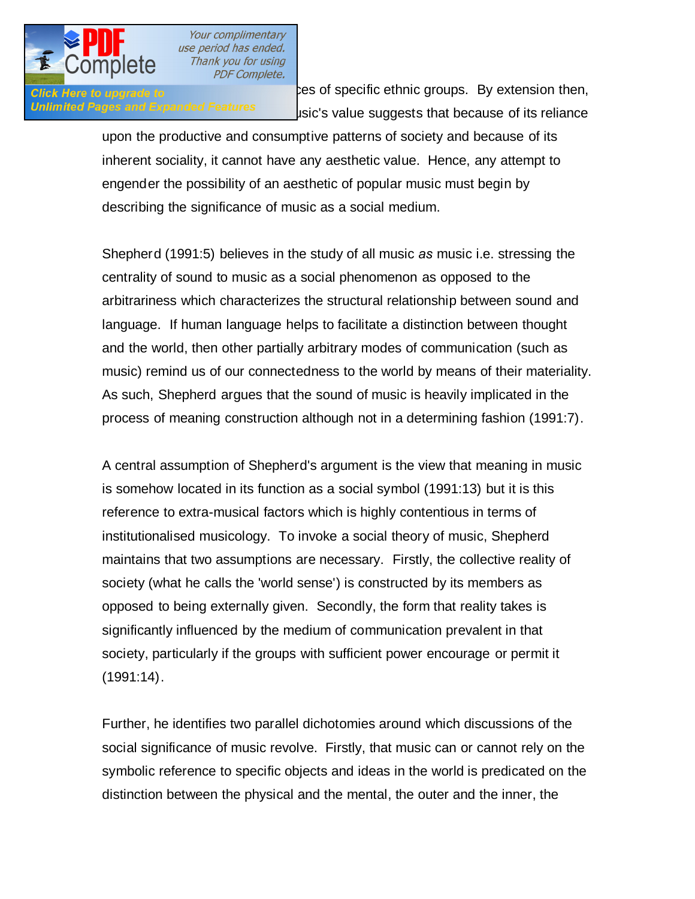

**Click Here to upgrade to and cultural properties of specific ethnic groups.** By extension then, Unlimited Pages and Expanded Features supplying usic's value suggests that because of its reliance

> upon the productive and consumptive patterns of society and because of its inherent sociality, it cannot have any aesthetic value. Hence, any attempt to engender the possibility of an aesthetic of popular music must begin by describing the significance of music as a social medium.

Shepherd (1991:5) believes in the study of all music *as* music i.e. stressing the centrality of sound to music as a social phenomenon as opposed to the arbitrariness which characterizes the structural relationship between sound and language. If human language helps to facilitate a distinction between thought and the world, then other partially arbitrary modes of communication (such as music) remind us of our connectedness to the world by means of their materiality. As such, Shepherd argues that the sound of music is heavily implicated in the process of meaning construction although not in a determining fashion (1991:7).

A central assumption of Shepherd's argument is the view that meaning in music is somehow located in its function as a social symbol (1991:13) but it is this reference to extra-musical factors which is highly contentious in terms of institutionalised musicology. To invoke a social theory of music, Shepherd maintains that two assumptions are necessary. Firstly, the collective reality of society (what he calls the 'world sense') is constructed by its members as opposed to being externally given. Secondly, the form that reality takes is significantly influenced by the medium of communication prevalent in that society, particularly if the groups with sufficient power encourage or permit it  $(1991:14)$ .

Further, he identifies two parallel dichotomies around which discussions of the social significance of music revolve. Firstly, that music can or cannot rely on the symbolic reference to specific objects and ideas in the world is predicated on the distinction between the physical and the mental, the outer and the inner, the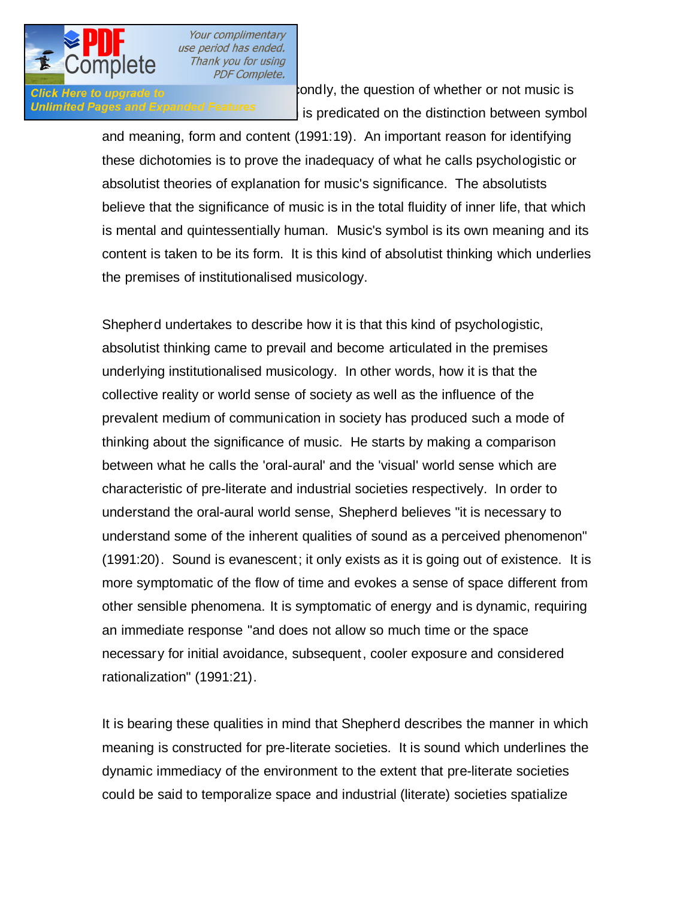

**Click Here to upgrade to condition of whether or not music is** condition of whether or not music is Unlimited Pages and Expanded Features is predicated on the distinction between symbol

> and meaning, form and content (1991:19). An important reason for identifying these dichotomies is to prove the inadequacy of what he calls psychologistic or absolutist theories of explanation for music's significance. The absolutists believe that the significance of music is in the total fluidity of inner life, that which is mental and quintessentially human. Music's symbol is its own meaning and its content is taken to be its form. It is this kind of absolutist thinking which underlies the premises of institutionalised musicology.

> Shepherd undertakes to describe how it is that this kind of psychologistic, absolutist thinking came to prevail and become articulated in the premises underlying institutionalised musicology. In other words, how it is that the collective reality or world sense of society as well as the influence of the prevalent medium of communication in society has produced such a mode of thinking about the significance of music. He starts by making a comparison between what he calls the 'oral-aural' and the 'visual' world sense which are characteristic of pre-literate and industrial societies respectively. In order to understand the oral-aural world sense, Shepherd believes "it is necessary to understand some of the inherent qualities of sound as a perceived phenomenon" (1991:20). Sound is evanescent; it only exists as it is going out of existence. It is more symptomatic of the flow of time and evokes a sense of space different from other sensible phenomena. It is symptomatic of energy and is dynamic, requiring an immediate response "and does not allow so much time or the space necessary for initial avoidance, subsequent, cooler exposure and considered rationalization" (1991:21).

> It is bearing these qualities in mind that Shepherd describes the manner in which meaning is constructed for pre-literate societies. It is sound which underlines the dynamic immediacy of the environment to the extent that pre-literate societies could be said to temporalize space and industrial (literate) societies spatialize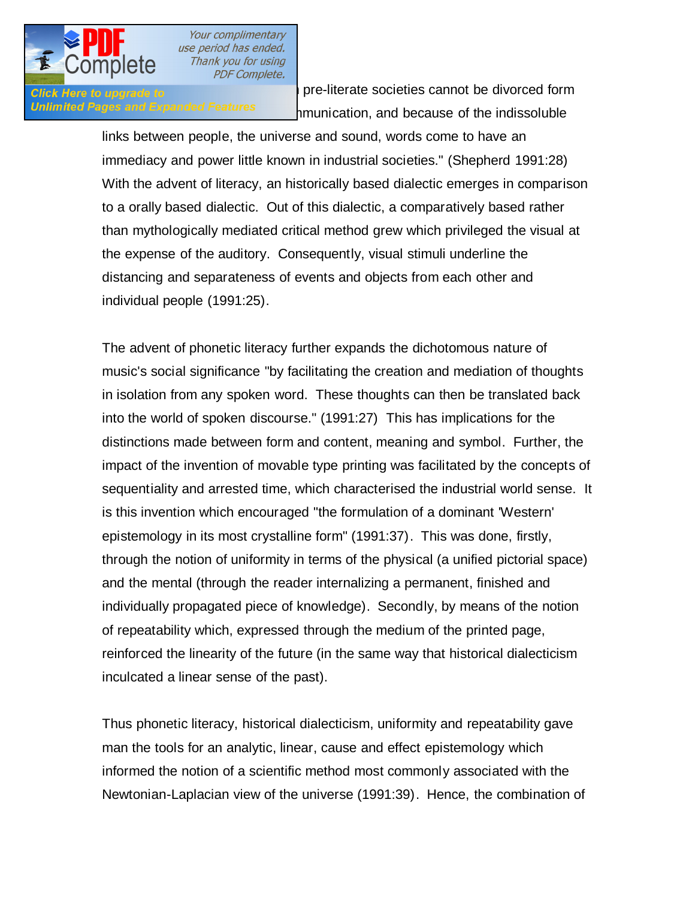

Click Here to upgrade to **Because Spoken words in pre-literate** societies cannot be divorced form Unlimited Pages and Expanded Features humunication, and because of the indissoluble

> links between people, the universe and sound, words come to have an immediacy and power little known in industrial societies." (Shepherd 1991:28) With the advent of literacy, an historically based dialectic emerges in comparison to a orally based dialectic. Out of this dialectic, a comparatively based rather than mythologically mediated critical method grew which privileged the visual at the expense of the auditory. Consequently, visual stimuli underline the distancing and separateness of events and objects from each other and individual people (1991:25).

The advent of phonetic literacy further expands the dichotomous nature of music's social significance "by facilitating the creation and mediation of thoughts in isolation from any spoken word. These thoughts can then be translated back into the world of spoken discourse." (1991:27) This has implications for the distinctions made between form and content, meaning and symbol. Further, the impact of the invention of movable type printing was facilitated by the concepts of sequentiality and arrested time, which characterised the industrial world sense. It is this invention which encouraged "the formulation of a dominant 'Western' epistemology in its most crystalline form" (1991:37). This was done, firstly, through the notion of uniformity in terms of the physical (a unified pictorial space) and the mental (through the reader internalizing a permanent, finished and individually propagated piece of knowledge). Secondly, by means of the notion of repeatability which, expressed through the medium of the printed page, reinforced the linearity of the future (in the same way that historical dialecticism inculcated a linear sense of the past).

Thus phonetic literacy, historical dialecticism, uniformity and repeatability gave man the tools for an analytic, linear, cause and effect epistemology which informed the notion of a scientific method most commonly associated with the Newtonian-Laplacian view of the universe (1991:39). Hence, the combination of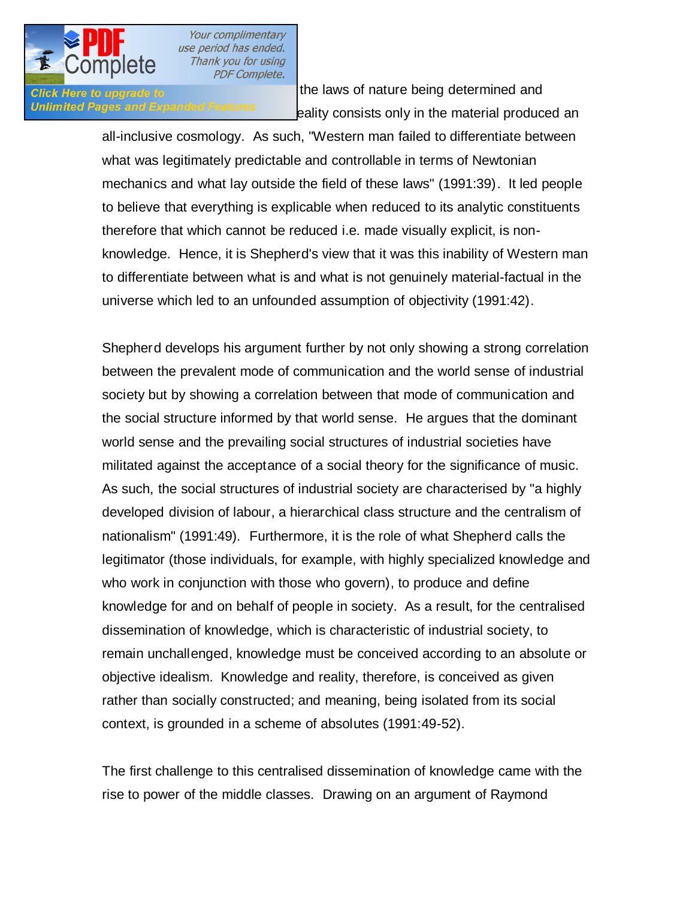

Click Here to upgrade to **the laws** of nature being determined and Unlimited Pages and Expanded Features eality consists only in the material produced an

> all-inclusive cosmology. As such, "Western man failed to differentiate between what was legitimately predictable and controllable in terms of Newtonian mechanics and what lay outside the field of these laws" (1991:39). It led people to believe that everything is explicable when reduced to its analytic constituents therefore that which cannot be reduced i.e. made visually explicit, is nonknowledge. Hence, it is Shepherd's view that it was this inability of Western man to differentiate between what is and what is not genuinely material-factual in the universe which led to an unfounded assumption of objectivity (1991:42).

> Shepherd develops his argument further by not only showing a strong correlation between the prevalent mode of communication and the world sense of industrial society but by showing a correlation between that mode of communication and the social structure informed by that world sense. He argues that the dominant world sense and the prevailing social structures of industrial societies have militated against the acceptance of a social theory for the significance of music. As such, the social structures of industrial society are characterised by "a highly developed division of labour, a hierarchical class structure and the centralism of nationalism" (1991:49). Furthermore, it is the role of what Shepherd calls the legitimator (those individuals, for example, with highly specialized knowledge and who work in conjunction with those who govern), to produce and define knowledge for and on behalf of people in society. As a result, for the centralised dissemination of knowledge, which is characteristic of industrial society, to remain unchallenged, knowledge must be conceived according to an absolute or objective idealism. Knowledge and reality, therefore, is conceived as given rather than socially constructed; and meaning, being isolated from its social context, is grounded in a scheme of absolutes (1991:49-52).

The first challenge to this centralised dissemination of knowledge came with the rise to power of the middle classes. Drawing on an argument of Raymond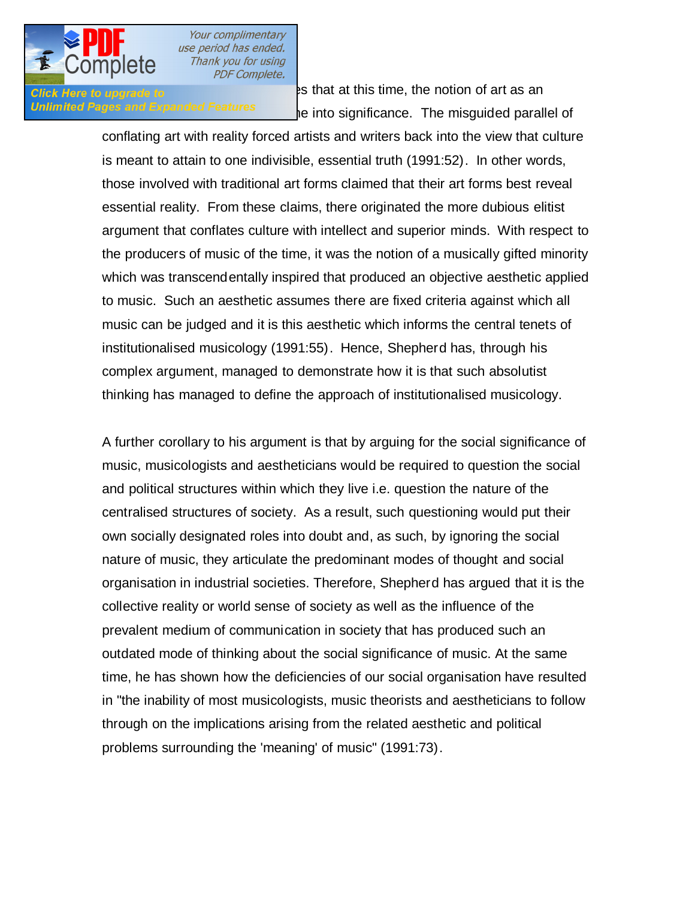

Click Here to upgrade to **New York Click Here to upgrade to** Shepherd areas that at this time, the notion of art as an Unlimited Pages and Expanded Features by the into significance. The misguided parallel of

> conflating art with reality forced artists and writers back into the view that culture is meant to attain to one indivisible, essential truth (1991:52). In other words, those involved with traditional art forms claimed that their art forms best reveal essential reality. From these claims, there originated the more dubious elitist argument that conflates culture with intellect and superior minds. With respect to the producers of music of the time, it was the notion of a musically gifted minority which was transcendentally inspired that produced an objective aesthetic applied to music. Such an aesthetic assumes there are fixed criteria against which all music can be judged and it is this aesthetic which informs the central tenets of institutionalised musicology (1991:55). Hence, Shepherd has, through his complex argument, managed to demonstrate how it is that such absolutist thinking has managed to define the approach of institutionalised musicology.

> A further corollary to his argument is that by arguing for the social significance of music, musicologists and aestheticians would be required to question the social and political structures within which they live i.e. question the nature of the centralised structures of society. As a result, such questioning would put their own socially designated roles into doubt and, as such, by ignoring the social nature of music, they articulate the predominant modes of thought and social organisation in industrial societies. Therefore, Shepherd has argued that it is the collective reality or world sense of society as well as the influence of the prevalent medium of communication in society that has produced such an outdated mode of thinking about the social significance of music. At the same time, he has shown how the deficiencies of our social organisation have resulted in "the inability of most musicologists, music theorists and aestheticians to follow through on the implications arising from the related aesthetic and political problems surrounding the 'meaning' of music" (1991:73).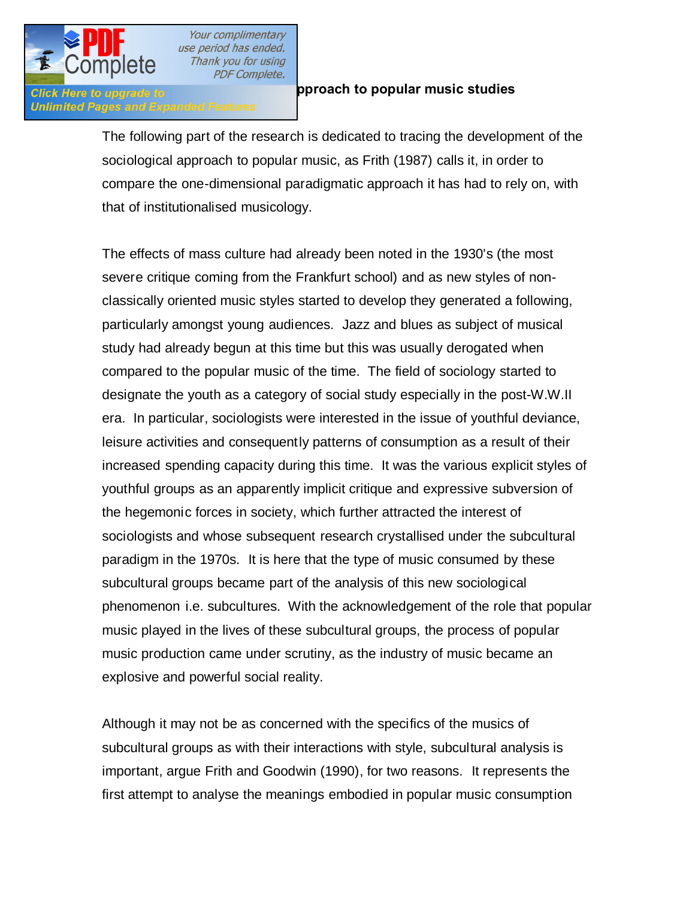

#### Click Here to upgrade to **Unlimited Pages and Expanded Features**

#### **[The sociological ap](http://www.pdfcomplete.com/cms/hppl/tabid/108/Default.aspx?r=q8b3uige22)proach to popular music studies**

The following part of the research is dedicated to tracing the development of the sociological approach to popular music, as Frith (1987) calls it, in order to compare the one-dimensional paradigmatic approach it has had to rely on, with that of institutionalised musicology.

The effects of mass culture had already been noted in the 1930's (the most severe critique coming from the Frankfurt school) and as new styles of nonclassically oriented music styles started to develop they generated a following, particularly amongst young audiences. Jazz and blues as subject of musical study had already begun at this time but this was usually derogated when compared to the popular music of the time. The field of sociology started to designate the youth as a category of social study especially in the post-W.W.II era. In particular, sociologists were interested in the issue of youthful deviance, leisure activities and consequently patterns of consumption as a result of their increased spending capacity during this time. It was the various explicit styles of youthful groups as an apparently implicit critique and expressive subversion of the hegemonic forces in society, which further attracted the interest of sociologists and whose subsequent research crystallised under the subcultural paradigm in the 1970s. It is here that the type of music consumed by these subcultural groups became part of the analysis of this new sociological phenomenon i.e. subcultures. With the acknowledgement of the role that popular music played in the lives of these subcultural groups, the process of popular music production came under scrutiny, as the industry of music became an explosive and powerful social reality.

Although it may not be as concerned with the specifics of the musics of subcultural groups as with their interactions with style, subcultural analysis is important, argue Frith and Goodwin (1990), for two reasons. It represents the first attempt to analyse the meanings embodied in popular music consumption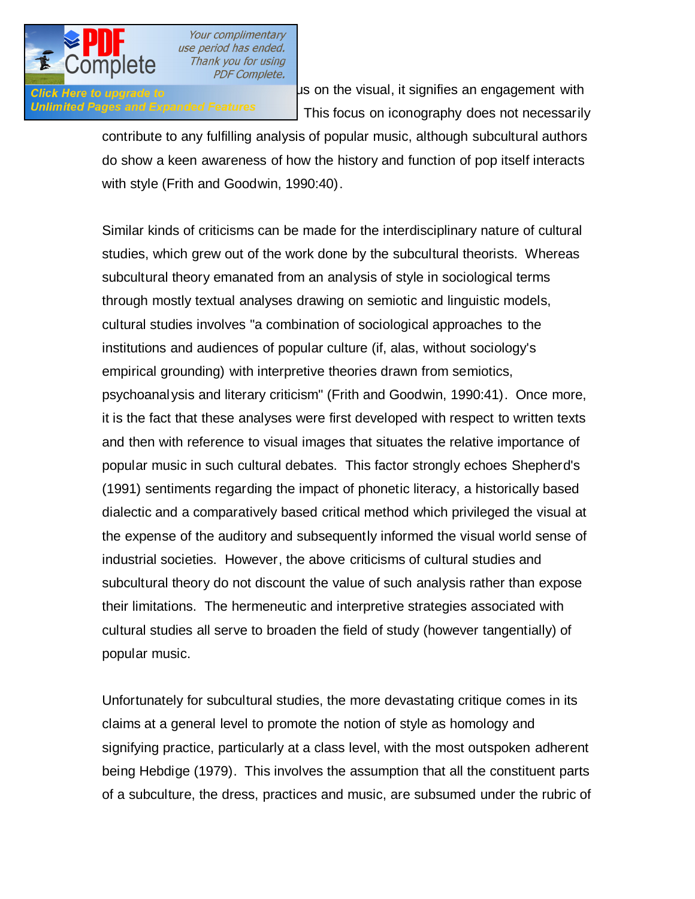

**Click Here to upgrade to its conditions on the visual, it signifies an engagement with** Unlimited Pages and Expanded Features<br>
This focus on iconography does not necessarily

> contribute to any fulfilling analysis of popular music, although subcultural authors do show a keen awareness of how the history and function of pop itself interacts with style (Frith and Goodwin, 1990:40).

> Similar kinds of criticisms can be made for the interdisciplinary nature of cultural studies, which grew out of the work done by the subcultural theorists. Whereas subcultural theory emanated from an analysis of style in sociological terms through mostly textual analyses drawing on semiotic and linguistic models, cultural studies involves "a combination of sociological approaches to the institutions and audiences of popular culture (if, alas, without sociology's empirical grounding) with interpretive theories drawn from semiotics, psychoanalysis and literary criticism" (Frith and Goodwin, 1990:41). Once more, it is the fact that these analyses were first developed with respect to written texts and then with reference to visual images that situates the relative importance of popular music in such cultural debates. This factor strongly echoes Shepherd's (1991) sentiments regarding the impact of phonetic literacy, a historically based dialectic and a comparatively based critical method which privileged the visual at the expense of the auditory and subsequently informed the visual world sense of industrial societies. However, the above criticisms of cultural studies and subcultural theory do not discount the value of such analysis rather than expose their limitations. The hermeneutic and interpretive strategies associated with cultural studies all serve to broaden the field of study (however tangentially) of popular music.

> Unfortunately for subcultural studies, the more devastating critique comes in its claims at a general level to promote the notion of style as homology and signifying practice, particularly at a class level, with the most outspoken adherent being Hebdige (1979). This involves the assumption that all the constituent parts of a subculture, the dress, practices and music, are subsumed under the rubric of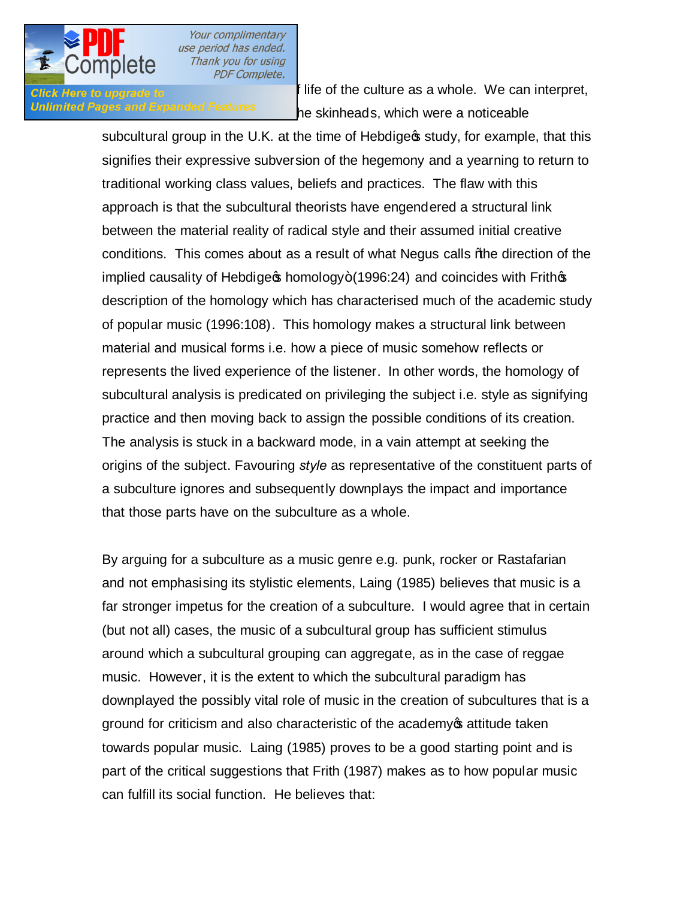

Click Here to upgrade to **the way of life of the culture as a whole.** We can interpret, Unlimited Pages and Expanded Features he skinheads, which were a noticeable

> subcultural group in the U.K. at the time of Hebdige of study, for example, that this signifies their expressive subversion of the hegemony and a yearning to return to traditional working class values, beliefs and practices. The flaw with this approach is that the subcultural theorists have engendered a structural link between the material reality of radical style and their assumed initial creative conditions. This comes about as a result of what Negus calls % the direction of the implied causality of Hebdige $\infty$  homology+(1996:24) and coincides with Frith $\infty$ description of the homology which has characterised much of the academic study of popular music (1996:108). This homology makes a structural link between material and musical forms i.e. how a piece of music somehow reflects or represents the lived experience of the listener. In other words, the homology of subcultural analysis is predicated on privileging the subject i.e. style as signifying practice and then moving back to assign the possible conditions of its creation. The analysis is stuck in a backward mode, in a vain attempt at seeking the origins of the subject. Favouring *style* as representative of the constituent parts of a subculture ignores and subsequently downplays the impact and importance that those parts have on the subculture as a whole.

> By arguing for a subculture as a music genre e.g. punk, rocker or Rastafarian and not emphasising its stylistic elements, Laing (1985) believes that music is a far stronger impetus for the creation of a subculture. I would agree that in certain (but not all) cases, the music of a subcultural group has sufficient stimulus around which a subcultural grouping can aggregate, as in the case of reggae music. However, it is the extent to which the subcultural paradigm has downplayed the possibly vital role of music in the creation of subcultures that is a ground for criticism and also characteristic of the academy of attitude taken towards popular music. Laing (1985) proves to be a good starting point and is part of the critical suggestions that Frith (1987) makes as to how popular music can fulfill its social function. He believes that: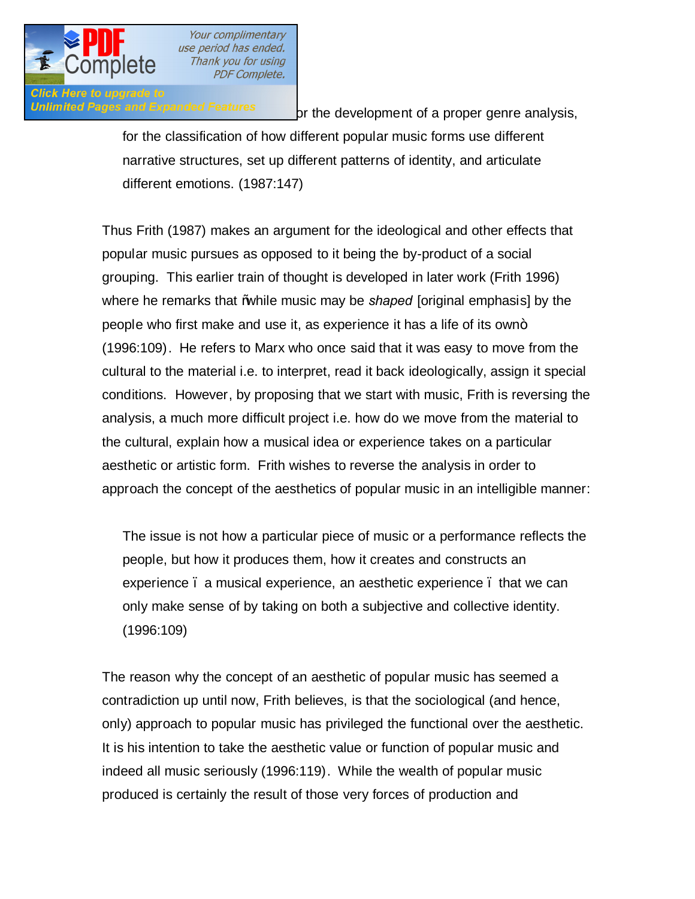

Click Here to upgrade to

Unlimited Pages and Expanded Features or the development of a proper genre analysis,

for the classification of how different popular music forms use different narrative structures, set up different patterns of identity, and articulate different emotions. (1987:147)

Thus Frith (1987) makes an argument for the ideological and other effects that popular music pursues as opposed to it being the by-product of a social grouping. This earlier train of thought is developed in later work (Frith 1996) where he remarks that "while music may be *shaped* [original emphasis] by the people who first make and use it, as experience it has a life of its own+ (1996:109). He refers to Marx who once said that it was easy to move from the cultural to the material i.e. to interpret, read it back ideologically, assign it special conditions. However, by proposing that we start with music, Frith is reversing the analysis, a much more difficult project i.e. how do we move from the material to the cultural, explain how a musical idea or experience takes on a particular aesthetic or artistic form. Frith wishes to reverse the analysis in order to approach the concept of the aesthetics of popular music in an intelligible manner:

The issue is not how a particular piece of music or a performance reflects the people, but how it produces them, how it creates and constructs an experience  $\ldots$  a musical experience, an aesthetic experience  $\ldots$  that we can only make sense of by taking on both a subjective and collective identity. (1996:109)

The reason why the concept of an aesthetic of popular music has seemed a contradiction up until now, Frith believes, is that the sociological (and hence, only) approach to popular music has privileged the functional over the aesthetic. It is his intention to take the aesthetic value or function of popular music and indeed all music seriously (1996:119). While the wealth of popular music produced is certainly the result of those very forces of production and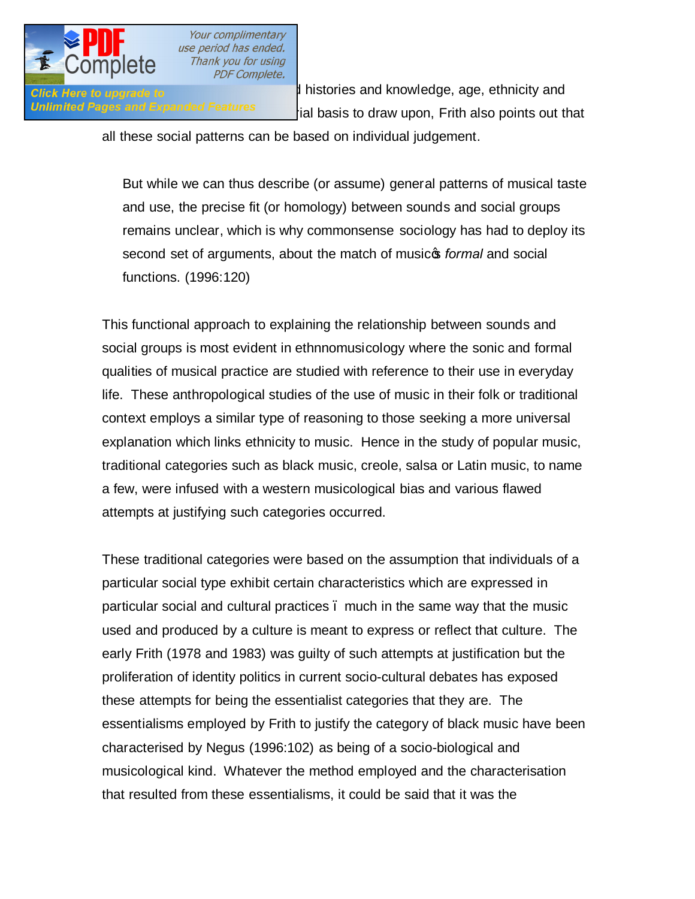

Click Here to upgrade to **the style of the style of the style of the style of the style of the style of the style** Unlimited Pages and Expanded Features ial basis to draw upon, Frith also points out that

#### all these social patterns can be based on individual judgement.

But while we can thus describe (or assume) general patterns of musical taste and use, the precise fit (or homology) between sounds and social groups remains unclear, which is why commonsense sociology has had to deploy its second set of arguments, about the match of musicos *formal* and social functions. (1996:120)

This functional approach to explaining the relationship between sounds and social groups is most evident in ethnnomusicology where the sonic and formal qualities of musical practice are studied with reference to their use in everyday life. These anthropological studies of the use of music in their folk or traditional context employs a similar type of reasoning to those seeking a more universal explanation which links ethnicity to music. Hence in the study of popular music, traditional categories such as black music, creole, salsa or Latin music, to name a few, were infused with a western musicological bias and various flawed attempts at justifying such categories occurred.

These traditional categories were based on the assumption that individuals of a particular social type exhibit certain characteristics which are expressed in particular social and cultural practices – much in the same way that the music used and produced by a culture is meant to express or reflect that culture. The early Frith (1978 and 1983) was guilty of such attempts at justification but the proliferation of identity politics in current socio-cultural debates has exposed these attempts for being the essentialist categories that they are. The essentialisms employed by Frith to justify the category of black music have been characterised by Negus (1996:102) as being of a socio-biological and musicological kind. Whatever the method employed and the characterisation that resulted from these essentialisms, it could be said that it was the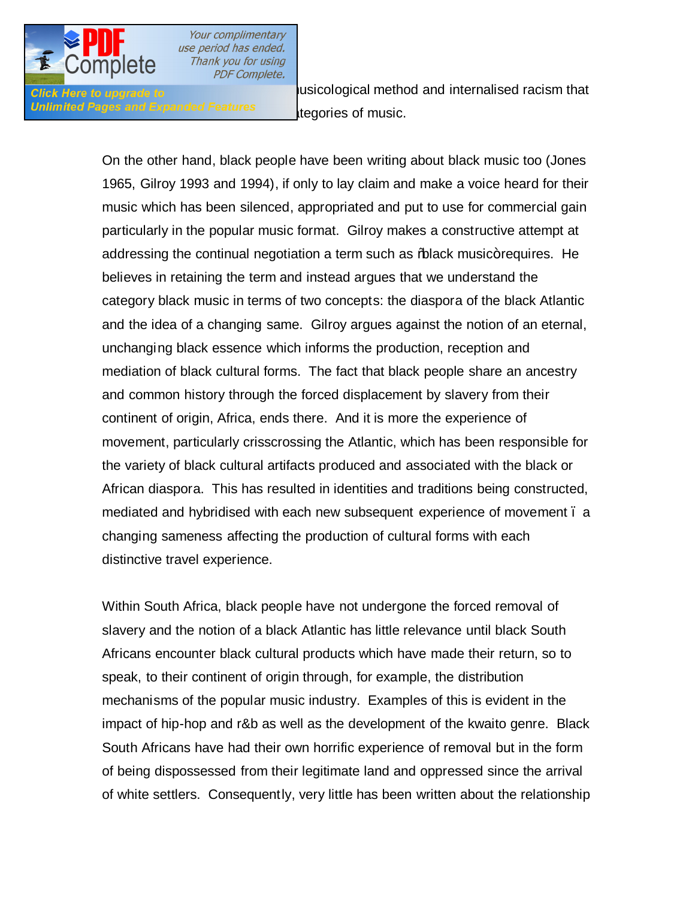

Unlimited Pages and Expanded Features ether at the pories of music.

**Click Here to upgrade to we see that we see the western formal method and internalised racism that** 

On the other hand, black people have been writing about black music too (Jones 1965, Gilroy 1993 and 1994), if only to lay claim and make a voice heard for their music which has been silenced, appropriated and put to use for commercial gain particularly in the popular music format. Gilroy makes a constructive attempt at addressing the continual negotiation a term such as % alack music+requires. He believes in retaining the term and instead argues that we understand the category black music in terms of two concepts: the diaspora of the black Atlantic and the idea of a changing same. Gilroy argues against the notion of an eternal, unchanging black essence which informs the production, reception and mediation of black cultural forms. The fact that black people share an ancestry and common history through the forced displacement by slavery from their continent of origin, Africa, ends there. And it is more the experience of movement, particularly crisscrossing the Atlantic, which has been responsible for the variety of black cultural artifacts produced and associated with the black or African diaspora. This has resulted in identities and traditions being constructed, mediated and hybridised with each new subsequent experience of movement – a changing sameness affecting the production of cultural forms with each distinctive travel experience.

Within South Africa, black people have not undergone the forced removal of slavery and the notion of a black Atlantic has little relevance until black South Africans encounter black cultural products which have made their return, so to speak, to their continent of origin through, for example, the distribution mechanisms of the popular music industry. Examples of this is evident in the impact of hip-hop and r&b as well as the development of the kwaito genre. Black South Africans have had their own horrific experience of removal but in the form of being dispossessed from their legitimate land and oppressed since the arrival of white settlers. Consequently, very little has been written about the relationship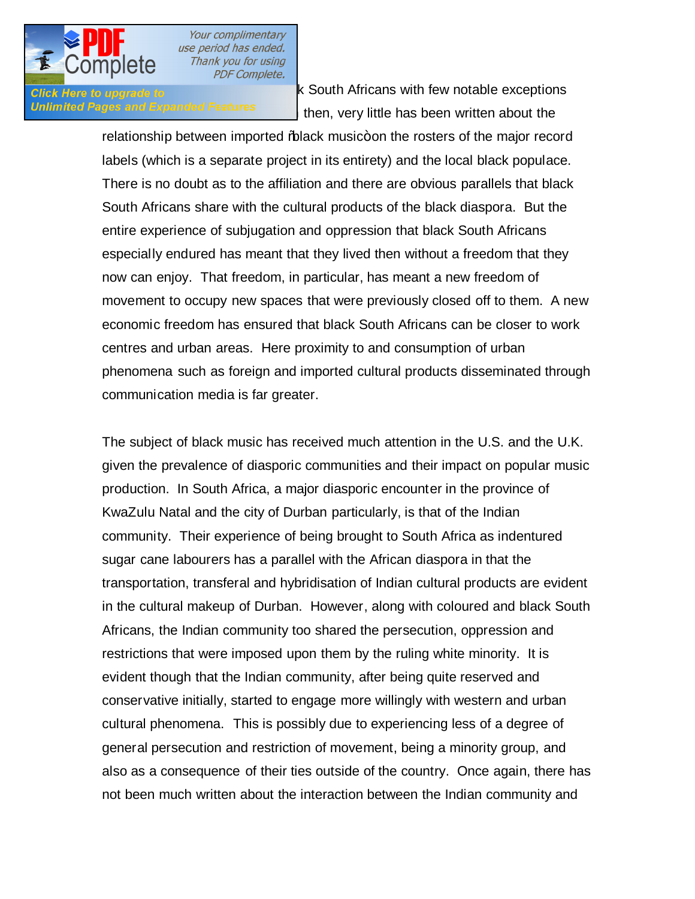

**Click Here to upgrade to contract and black South Africans with few notable exceptions** Unlimited Pages and Expanded Features and then, very little has been written about the

> relationship between imported % ack music+on the rosters of the major record labels (which is a separate project in its entirety) and the local black populace. There is no doubt as to the affiliation and there are obvious parallels that black South Africans share with the cultural products of the black diaspora. But the entire experience of subjugation and oppression that black South Africans especially endured has meant that they lived then without a freedom that they now can enjoy. That freedom, in particular, has meant a new freedom of movement to occupy new spaces that were previously closed off to them. A new economic freedom has ensured that black South Africans can be closer to work centres and urban areas. Here proximity to and consumption of urban phenomena such as foreign and imported cultural products disseminated through communication media is far greater.

> The subject of black music has received much attention in the U.S. and the U.K. given the prevalence of diasporic communities and their impact on popular music production. In South Africa, a major diasporic encounter in the province of KwaZulu Natal and the city of Durban particularly, is that of the Indian community. Their experience of being brought to South Africa as indentured sugar cane labourers has a parallel with the African diaspora in that the transportation, transferal and hybridisation of Indian cultural products are evident in the cultural makeup of Durban. However, along with coloured and black South Africans, the Indian community too shared the persecution, oppression and restrictions that were imposed upon them by the ruling white minority. It is evident though that the Indian community, after being quite reserved and conservative initially, started to engage more willingly with western and urban cultural phenomena. This is possibly due to experiencing less of a degree of general persecution and restriction of movement, being a minority group, and also as a consequence of their ties outside of the country. Once again, there has not been much written about the interaction between the Indian community and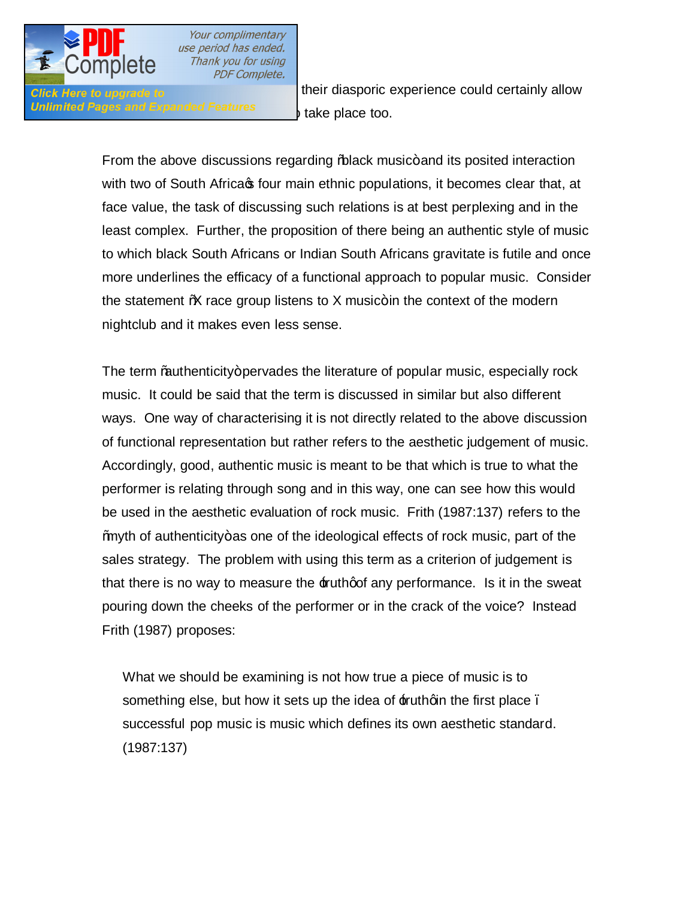

Unlimited Pages and Expanded Features (black place too.

**Click Here to upgrade to country but their diasporic experience could certainly allow** 

From the above discussions regarding % black music+ and its posited interaction with two of South Africa of four main ethnic populations, it becomes clear that, at face value, the task of discussing such relations is at best perplexing and in the least complex. Further, the proposition of there being an authentic style of music to which black South Africans or Indian South Africans gravitate is futile and once more underlines the efficacy of a functional approach to popular music. Consider the statement  $\%$  race group listens to X music+in the context of the modern nightclub and it makes even less sense.

The term "authenticity+pervades the literature of popular music, especially rock music. It could be said that the term is discussed in similar but also different ways. One way of characterising it is not directly related to the above discussion of functional representation but rather refers to the aesthetic judgement of music. Accordingly, good, authentic music is meant to be that which is true to what the performer is relating through song and in this way, one can see how this would be used in the aesthetic evaluation of rock music. Frith (1987:137) refers to the "myth of authenticity" as one of the ideological effects of rock music, part of the sales strategy. The problem with using this term as a criterion of judgement is that there is no way to measure the  $\pm$  uth of any performance. Is it in the sweat pouring down the cheeks of the performer or in the crack of the voice? Instead Frith (1987) proposes:

What we should be examining is not how true a piece of music is to something else, but how it sets up the idea of truthoin the first place. successful pop music is music which defines its own aesthetic standard. (1987:137)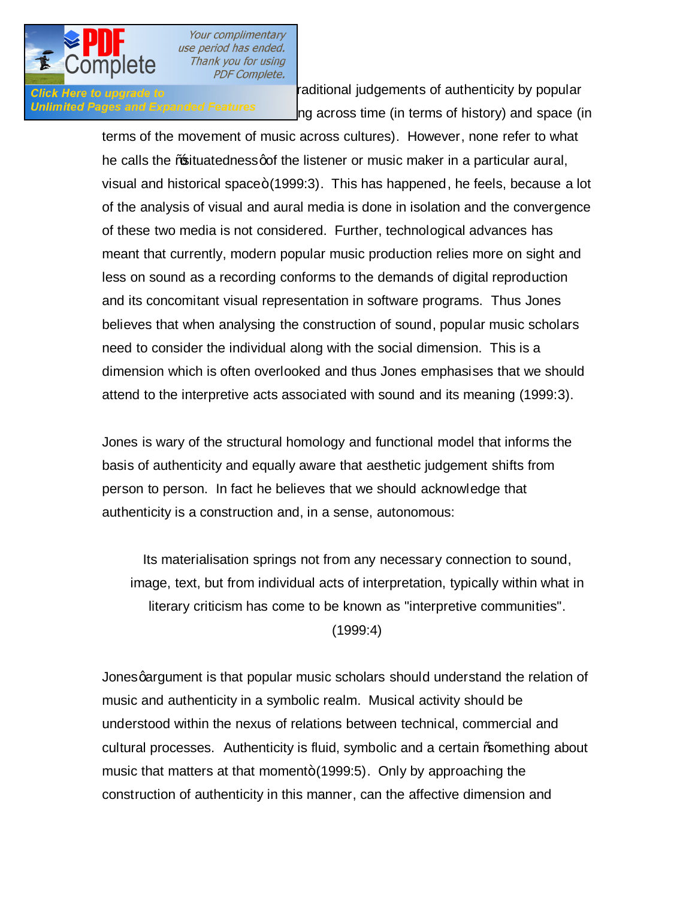

Click Here to upgrade to **The traditional judgements of authenticity by popular** Unlimited Pages and Expanded Features and across time (in terms of history) and space (in

> terms of the movement of music across cultures). However, none refer to what he calls the % situatedness q the listener or music maker in a particular aural, visual and historical space $+(1999:3)$ . This has happened, he feels, because a lot of the analysis of visual and aural media is done in isolation and the convergence of these two media is not considered. Further, technological advances has meant that currently, modern popular music production relies more on sight and less on sound as a recording conforms to the demands of digital reproduction and its concomitant visual representation in software programs. Thus Jones believes that when analysing the construction of sound, popular music scholars need to consider the individual along with the social dimension. This is a dimension which is often overlooked and thus Jones emphasises that we should attend to the interpretive acts associated with sound and its meaning (1999:3).

Jones is wary of the structural homology and functional model that informs the basis of authenticity and equally aware that aesthetic judgement shifts from person to person. In fact he believes that we should acknowledge that authenticity is a construction and, in a sense, autonomous:

Its materialisation springs not from any necessary connection to sound, image, text, but from individual acts of interpretation, typically within what in literary criticism has come to be known as "interpretive communities". (1999:4)

Jones gargument is that popular music scholars should understand the relation of music and authenticity in a symbolic realm. Musical activity should be understood within the nexus of relations between technical, commercial and cultural processes. Authenticity is fluid, symbolic and a certain "something about music that matters at that moment $+(1999:5)$ . Only by approaching the construction of authenticity in this manner, can the affective dimension and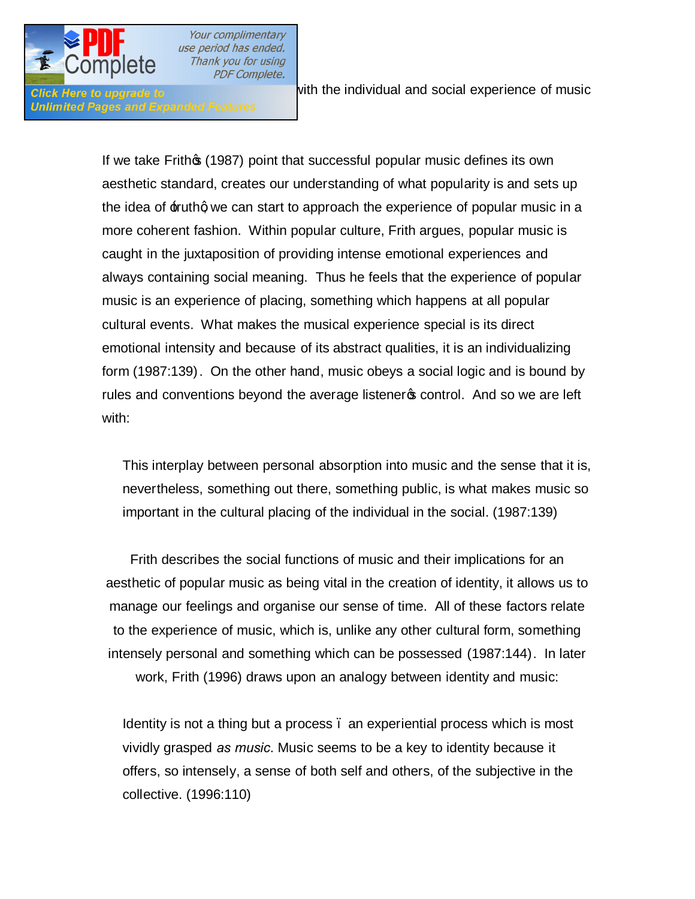

**Unlimited Pages and Expanded Features** 

Click Here to upgrade to **Exercise 20 and Social experience** of music

If we take Frith (1987) point that successful popular music defines its own aesthetic standard, creates our understanding of what popularity is and sets up the idea of  $\pm$ ruthg we can start to approach the experience of popular music in a more coherent fashion. Within popular culture, Frith argues, popular music is caught in the juxtaposition of providing intense emotional experiences and always containing social meaning. Thus he feels that the experience of popular music is an experience of placing, something which happens at all popular cultural events. What makes the musical experience special is its direct emotional intensity and because of its abstract qualities, it is an individualizing form (1987:139). On the other hand, music obeys a social logic and is bound by rules and conventions beyond the average listener to control. And so we are left with:

This interplay between personal absorption into music and the sense that it is, nevertheless, something out there, something public, is what makes music so important in the cultural placing of the individual in the social. (1987:139)

Frith describes the social functions of music and their implications for an aesthetic of popular music as being vital in the creation of identity, it allows us to manage our feelings and organise our sense of time. All of these factors relate to the experience of music, which is, unlike any other cultural form, something intensely personal and something which can be possessed (1987:144). In later work, Frith (1996) draws upon an analogy between identity and music:

Identity is not a thing but a process – an experiential process which is most vividly grasped *as music*. Music seems to be a key to identity because it offers, so intensely, a sense of both self and others, of the subjective in the collective. (1996:110)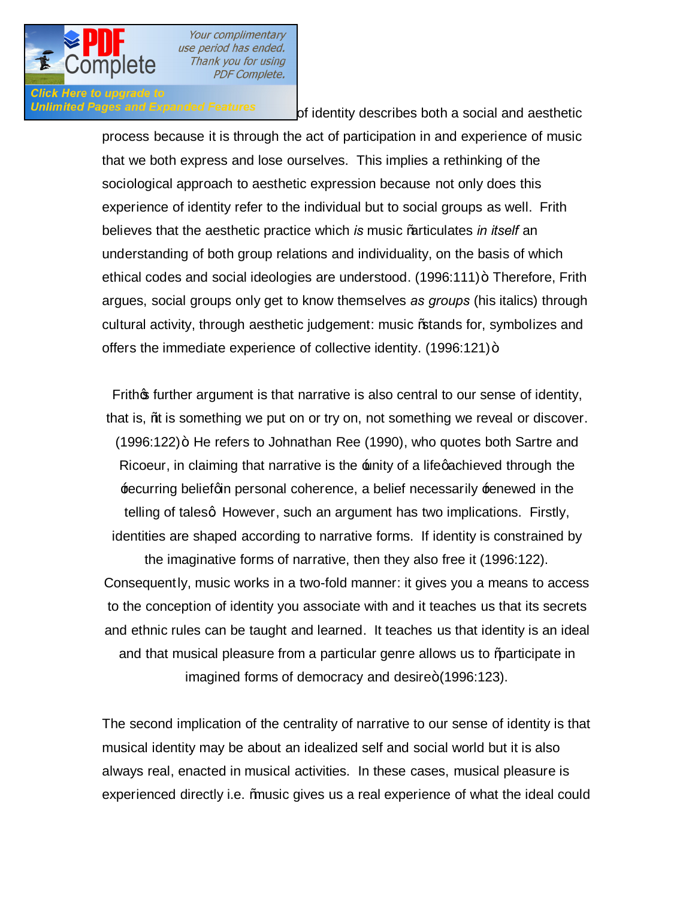

#### Click Here to upgrade to Unlimited Pages and Expanded Features of identity describes both a social and aesthetic

process because it is through the act of participation in and experience of music that we both express and lose ourselves. This implies a rethinking of the sociological approach to aesthetic expression because not only does this experience of identity refer to the individual but to social groups as well. Frith believes that the aesthetic practice which *is* music "articulates *in itself* an understanding of both group relations and individuality, on the basis of which ethical codes and social ideologies are understood. (1996:111) + Therefore, Frith argues, social groups only get to know themselves *as groups* (his italics) through cultural activity, through aesthetic judgement: music % ands for, symbolizes and offers the immediate experience of collective identity.  $(1996:121) +$ 

Frithos further argument is that narrative is also central to our sense of identity, that is, % to is something we put on or try on, not something we reveal or discover.  $(1996:122)$  + He refers to Johnathan Ree (1990), who quotes both Sartre and Ricoeur, in claiming that narrative is the  $\pm$ nity of a life qachieved through the **Example in personal coherence, a belief necessarily Frenewed in the** telling of talesg However, such an argument has two implications. Firstly, identities are shaped according to narrative forms. If identity is constrained by

the imaginative forms of narrative, then they also free it (1996:122). Consequently, music works in a two-fold manner: it gives you a means to access to the conception of identity you associate with and it teaches us that its secrets and ethnic rules can be taught and learned. It teaches us that identity is an ideal and that musical pleasure from a particular genre allows us to "participate in imagined forms of democracy and desire + (1996:123).

The second implication of the centrality of narrative to our sense of identity is that musical identity may be about an idealized self and social world but it is also always real, enacted in musical activities. In these cases, musical pleasure is experienced directly i.e. "music gives us a real experience of what the ideal could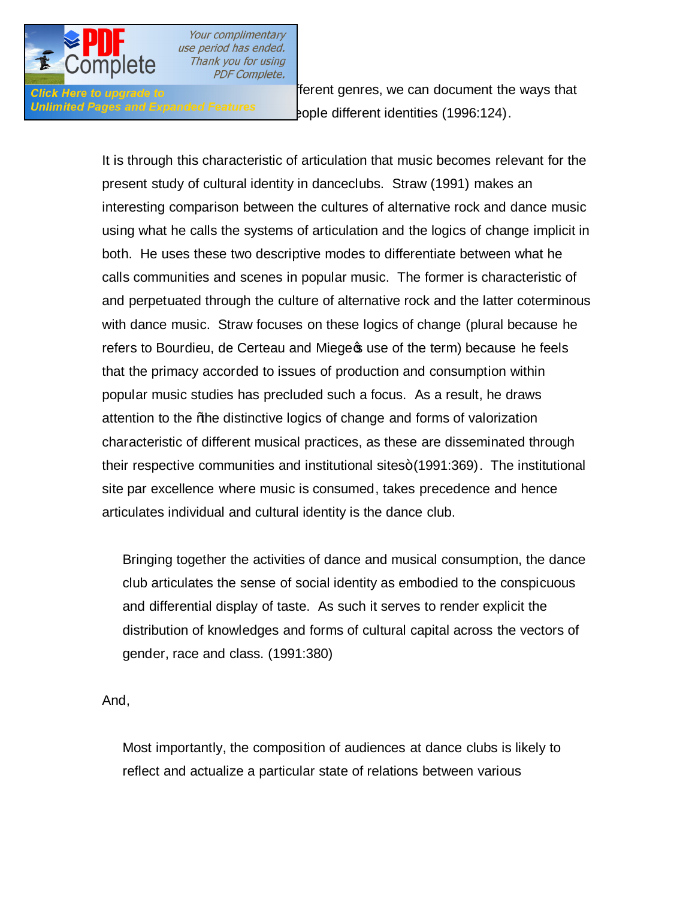

**Click Here to upgrade to Electer 2006:** Herent genres, we can document the ways that **Unlimited Pages and Expanded Features by apple different identities (1996:124).** 

> It is through this characteristic of articulation that music becomes relevant for the present study of cultural identity in danceclubs. Straw (1991) makes an interesting comparison between the cultures of alternative rock and dance music using what he calls the systems of articulation and the logics of change implicit in both. He uses these two descriptive modes to differentiate between what he calls communities and scenes in popular music. The former is characteristic of and perpetuated through the culture of alternative rock and the latter coterminous with dance music. Straw focuses on these logics of change (plural because he refers to Bourdieu, de Certeau and Miege t use of the term) because he feels that the primacy accorded to issues of production and consumption within popular music studies has precluded such a focus. As a result, he draws attention to the % the distinctive logics of change and forms of valorization characteristic of different musical practices, as these are disseminated through their respective communities and institutional sites+ (1991:369). The institutional site par excellence where music is consumed, takes precedence and hence articulates individual and cultural identity is the dance club.

Bringing together the activities of dance and musical consumption, the dance club articulates the sense of social identity as embodied to the conspicuous and differential display of taste. As such it serves to render explicit the distribution of knowledges and forms of cultural capital across the vectors of gender, race and class. (1991:380)

And,

Most importantly, the composition of audiences at dance clubs is likely to reflect and actualize a particular state of relations between various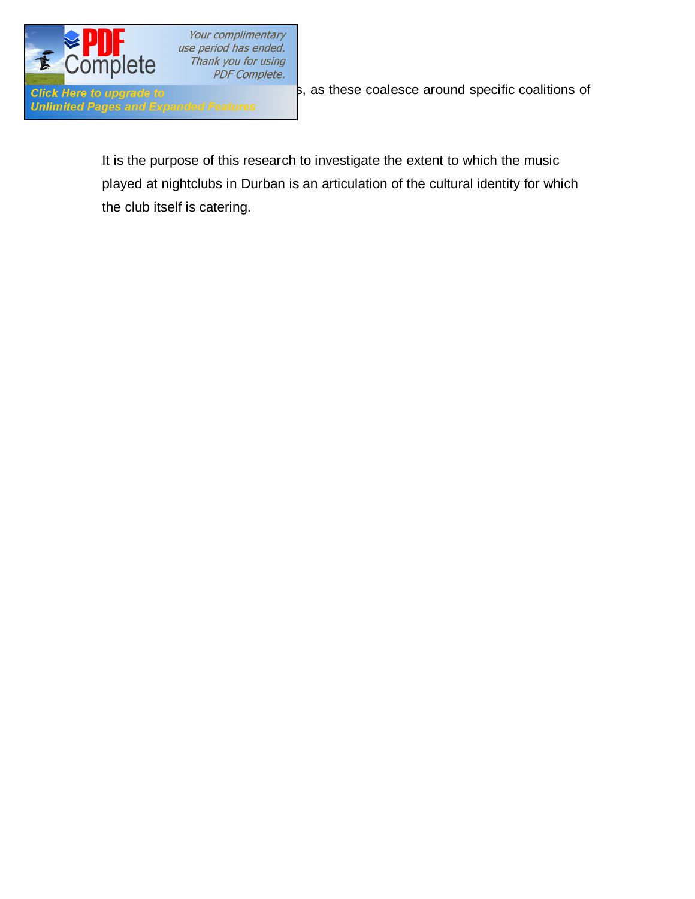

**Unlimited Pages and Expanded Features** 

**Click Here to upgrade to**<br> **populations of** s, as these coalesce around specific coalitions of

It is the purpose of this research to investigate the extent to which the music played at nightclubs in Durban is an articulation of the cultural identity for which the club itself is catering.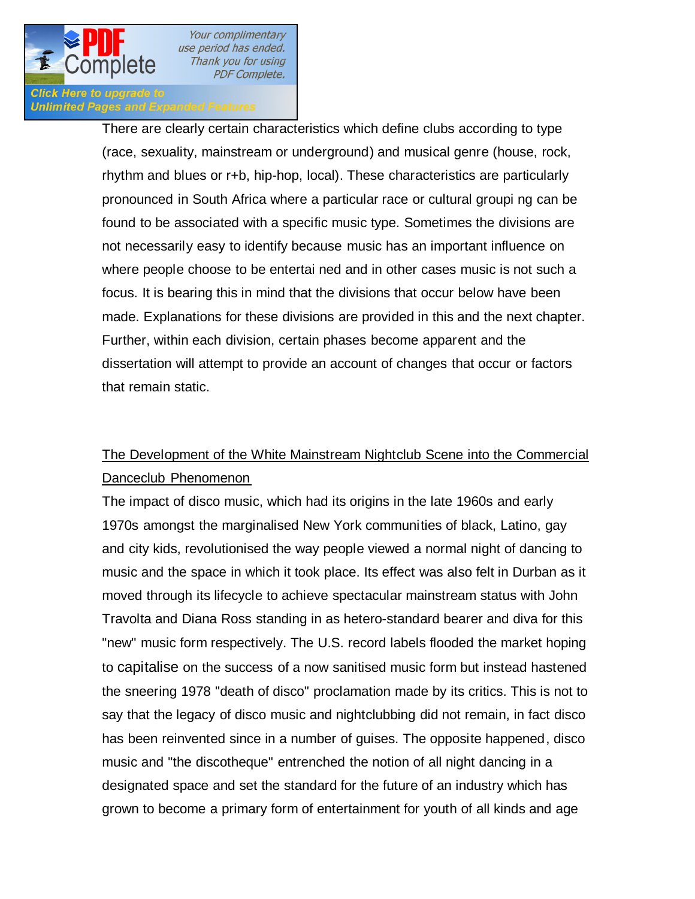

# Click Here to upgrade to<br>Unlimited Pages and Expanded Features

There are clearly certain characteristics which define clubs according to type (race, sexuality, mainstream or underground) and musical genre (house, rock, rhythm and blues or r+b, hip-hop, local). These characteristics are particularly pronounced in South Africa where a particular race or cultural groupi ng can be found to be associated with a specific music type. Sometimes the divisions are not necessarily easy to identify because music has an important influence on where people choose to be entertai ned and in other cases music is not such a focus. It is bearing this in mind that the divisions that occur below have been made. Explanations for these divisions are provided in this and the next chapter. Further, within each division, certain phases become apparent and the dissertation will attempt to provide an account of changes that occur or factors that remain static.

### The Development of the White Mainstream Nightclub Scene into the Commercial Danceclub Phenomenon

The impact of disco music, which had its origins in the late 1960s and early 1970s amongst the marginalised New York communities of black, Latino, gay and city kids, revolutionised the way people viewed a normal night of dancing to music and the space in which it took place. Its effect was also felt in Durban as it moved through its lifecycle to achieve spectacular mainstream status with John Travolta and Diana Ross standing in as hetero-standard bearer and diva for this "new" music form respectively. The U.S. record labels flooded the market hoping to capitalise on the success of a now sanitised music form but instead hastened the sneering 1978 "death of disco" proclamation made by its critics. This is not to say that the legacy of disco music and nightclubbing did not remain, in fact disco has been reinvented since in a number of guises. The opposite happened, disco music and "the discotheque" entrenched the notion of all night dancing in a designated space and set the standard for the future of an industry which has grown to become a primary form of entertainment for youth of all kinds and age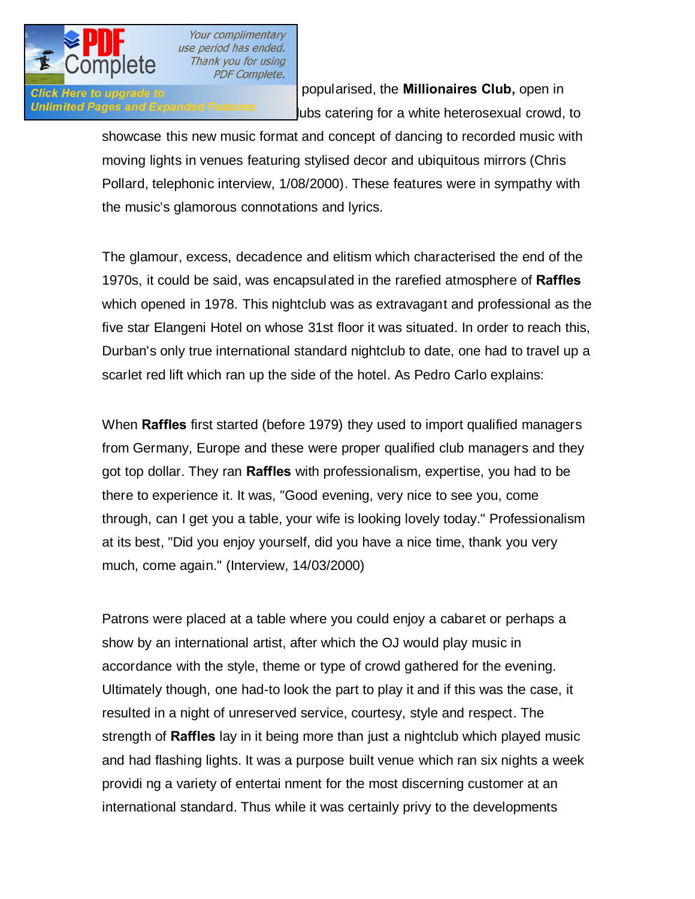

**Click Here to upgrade to have a become popularised, the Millionaires Club, open in** Unlimited Pages and Expanded Features **burned upon the first of a white heterosexual crowd**, to

> showcase this new music format and concept of dancing to recorded music with moving lights in venues featuring stylised decor and ubiquitous mirrors (Chris Pollard, telephonic interview, 1/08/2000). These features were in sympathy with the music's glamorous connotations and lyrics.

The glamour, excess, decadence and elitism which characterised the end of the 1970s, it could be said, was encapsulated in the rarefied atmosphere of **Raffles**  which opened in 1978. This nightclub was as extravagant and professional as the five star Elangeni Hotel on whose 31st floor it was situated. In order to reach this, Durban's only true international standard nightclub to date, one had to travel up a scarlet red lift which ran up the side of the hotel. As Pedro Carlo explains:

When **Raffles** first started (before 1979) they used to import qualified managers from Germany, Europe and these were proper qualified club managers and they got top dollar. They ran **Raffles** with professionalism, expertise, you had to be there to experience it. It was, "Good evening, very nice to see you, come through, can I get you a table, your wife is looking lovely today." Professionalism at its best, "Did you enjoy yourself, did you have a nice time, thank you very much, come again." (Interview, 14/03/2000)

Patrons were placed at a table where you could enjoy a cabaret or perhaps a show by an international artist, after which the OJ would play music in accordance with the style, theme or type of crowd gathered for the evening. Ultimately though, one had-to look the part to play it and if this was the case, it resulted in a night of unreserved service, courtesy, style and respect. The strength of **Raffles** lay in it being more than just a nightclub which played music and had flashing lights. It was a purpose built venue which ran six nights a week providi ng a variety of entertai nment for the most discerning customer at an international standard. Thus while it was certainly privy to the developments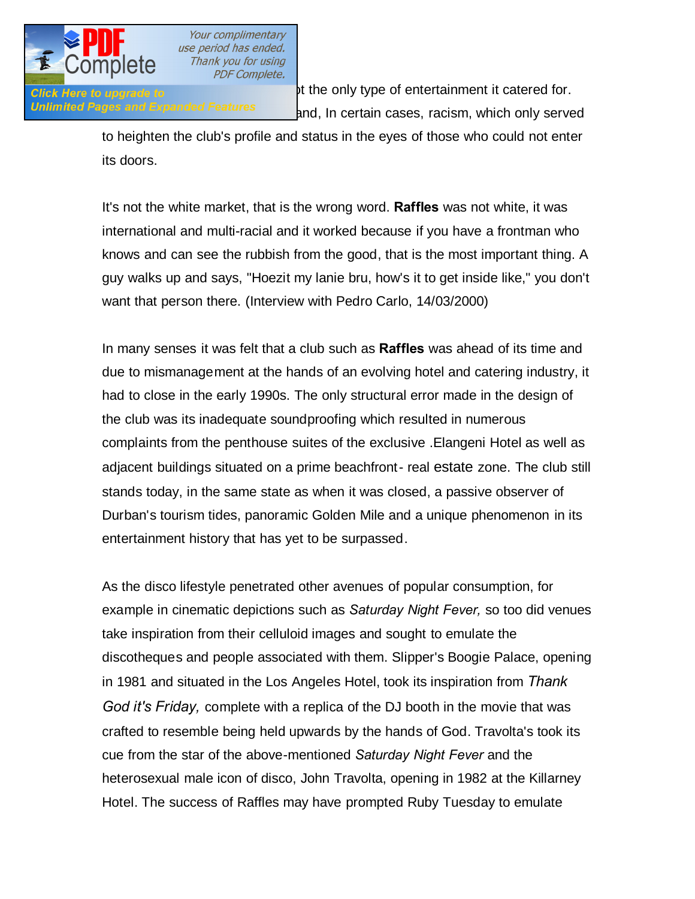

Click Here to upgrade to **the click of the only type of entertainment it catered for.** Unlimited Pages and Expanded Features and, In certain cases, racism, which only served

> to heighten the club's profile and status in the eyes of those who could not enter its doors.

It's not the white market, that is the wrong word. **Raffles** was not white, it was international and multi-racial and it worked because if you have a frontman who knows and can see the rubbish from the good, that is the most important thing. A guy walks up and says, "Hoezit my lanie bru, how's it to get inside like," you don't want that person there. (Interview with Pedro Carlo, 14/03/2000)

In many senses it was felt that a club such as **Raffles** was ahead of its time and due to mismanagement at the hands of an evolving hotel and catering industry, it had to close in the early 1990s. The only structural error made in the design of the club was its inadequate soundproofing which resulted in numerous complaints from the penthouse suites of the exclusive .Elangeni Hotel as well as adjacent buildings situated on a prime beachfront- real estate zone. The club still stands today, in the same state as when it was closed, a passive observer of Durban's tourism tides, panoramic Golden Mile and a unique phenomenon in its entertainment history that has yet to be surpassed.

As the disco lifestyle penetrated other avenues of popular consumption, for example in cinematic depictions such as *Saturday Night Fever,* so too did venues take inspiration from their celluloid images and sought to emulate the discotheques and people associated with them. Slipper's Boogie Palace, opening in 1981 and situated in the Los Angeles Hotel, took its inspiration from *Thank God it's Friday,* complete with a replica of the DJ booth in the movie that was crafted to resemble being held upwards by the hands of God. Travolta's took its cue from the star of the above-mentioned *Saturday Night Fever* and the heterosexual male icon of disco, John Travolta, opening in 1982 at the Killarney Hotel. The success of Raffles may have prompted Ruby Tuesday to emulate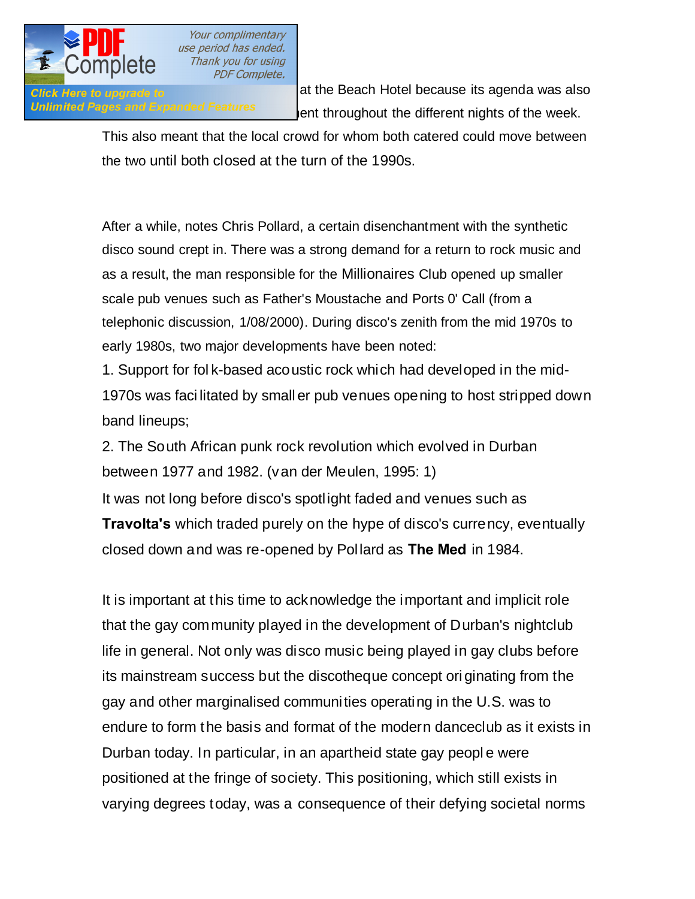

**Click Here to upgrade to** 1983 at the Beach Hotel because its agenda was also Unlimited Pages and Expanded Features entertainment the different nights of the week.

> This also meant that the local crowd for whom both catered could move between the two until both closed at the turn of the 1990s.

After a while, notes Chris Pollard, a certain disenchantment with the synthetic disco sound crept in. There was a strong demand for a return to rock music and as a result, the man responsible for the Millionaires Club opened up smaller scale pub venues such as Father's Moustache and Ports 0' Call (from a telephonic discussion, 1/08/2000). During disco's zenith from the mid 1970s to early 1980s, two major developments have been noted:

1. Support for fol k-based acoustic rock which had developed in the mid-1970s was faci litated by small er pub venues opening to host stripped down band lineups;

2. The South African punk rock revolution which evolved in Durban between 1977 and 1982. (van der Meulen, 1995: 1)

It was not long before disco's spotlight faded and venues such as **Travolta's** which traded purely on the hype of disco's currency, eventually closed down and was re-opened by Pollard as **The Med** in 1984.

It is important at this time to acknowledge the important and implicit role that the gay community played in the development of Durban's nightclub life in general. Not only was disco music being played in gay clubs before its mainstream success but the discotheque concept ori ginating from the gay and other marginalised communities operating in the U.S. was to endure to form the basis and format of the modern danceclub as it exists in Durban today. In particular, in an apartheid state gay peopl e were positioned at the fringe of society. This positioning, which still exists in varying degrees today, was a consequence of their defying societal norms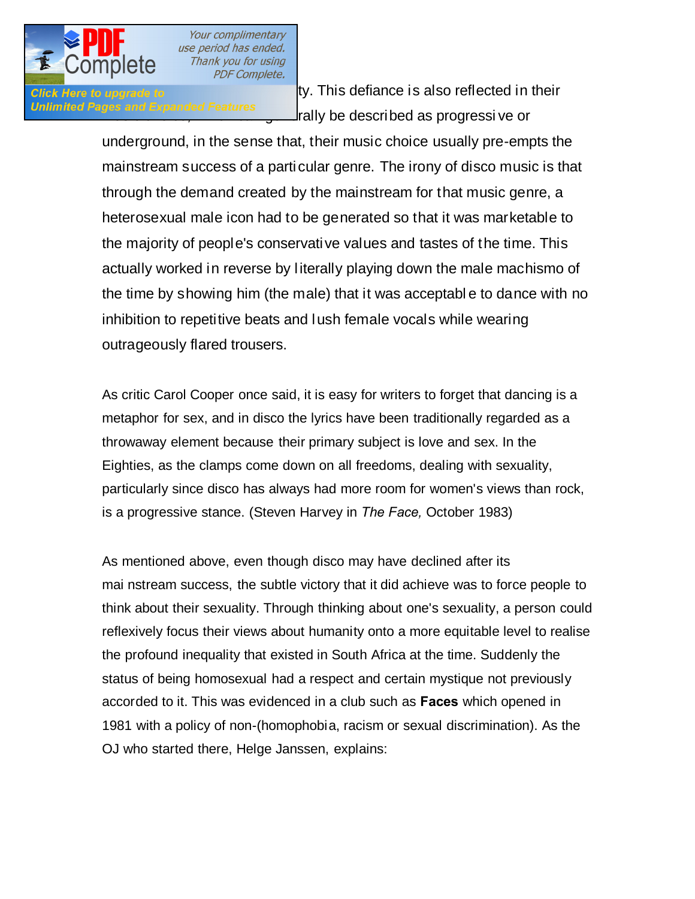

Click Here to upgrade to **the choice of sexuality**. This defiance is also reflected in their Unlimited Pages and Expanded Features<br>Tally be described as progressi ve or

> underground, in the sense that, their music choice usually pre-empts the mainstream success of a particular genre. The irony of disco music is that through the demand created by the mainstream for that music genre, a heterosexual male icon had to be generated so that it was marketable to the majority of people's conservative values and tastes of the time. This actually worked in reverse by literally playing down the male machismo of the time by showing him (the male) that it was acceptabl e to dance with no inhibition to repetitive beats and lush female vocals while wearing outrageously flared trousers.

As critic Carol Cooper once said, it is easy for writers to forget that dancing is a metaphor for sex, and in disco the lyrics have been traditionally regarded as a throwaway element because their primary subject is love and sex. In the Eighties, as the clamps come down on all freedoms, dealing with sexuality, particularly since disco has always had more room for women's views than rock, is a progressive stance. (Steven Harvey in *The Face,* October 1983)

As mentioned above, even though disco may have declined after its mai nstream success, the subtle victory that it did achieve was to force people to think about their sexuality. Through thinking about one's sexuality, a person could reflexively focus their views about humanity onto a more equitable level to realise the profound inequality that existed in South Africa at the time. Suddenly the status of being homosexual had a respect and certain mystique not previously accorded to it. This was evidenced in a club such as **Faces** which opened in 1981 with a policy of non-(homophobia, racism or sexual discrimination). As the OJ who started there, Helge Janssen, explains: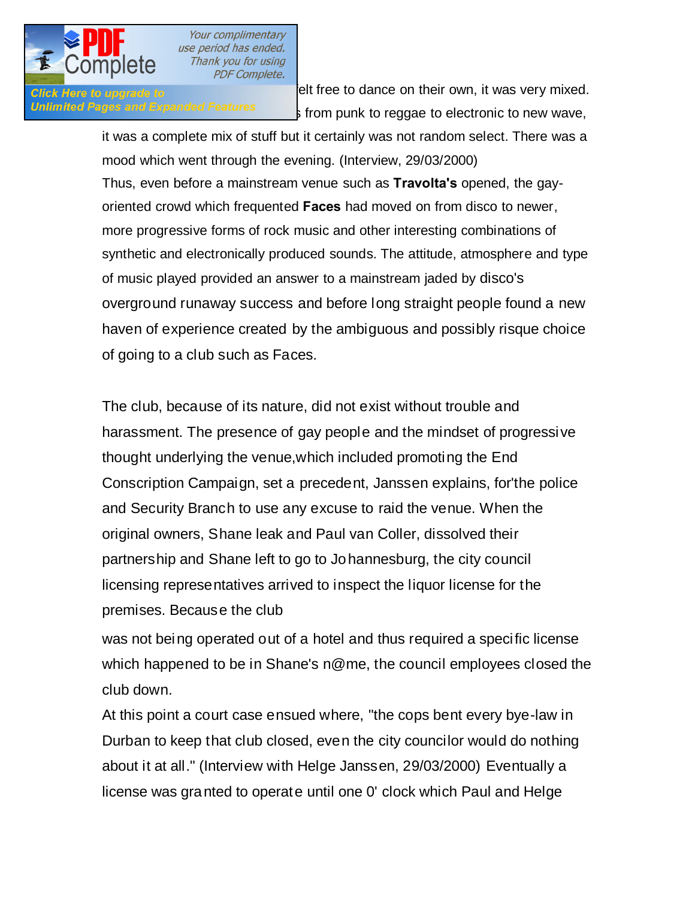

Click Here to upgrade to **the came in the felt free to dance on their own**, it was very mixed. Unlimited Pages and Expanded Features strom punk to reggae to electronic to new wave,

> it was a complete mix of stuff but it certainly was not random select. There was a mood which went through the evening. (Interview, 29/03/2000) Thus, even before a mainstream venue such as **Travolta's** opened, the gayoriented crowd which frequented **Faces** had moved on from disco to newer, more progressive forms of rock music and other interesting combinations of synthetic and electronically produced sounds. The attitude, atmosphere and type of music played provided an answer to a mainstream jaded by disco's overground runaway success and before long straight people found a new haven of experience created by the ambiguous and possibly risque choice of going to a club such as Faces.

The club, because of its nature, did not exist without trouble and harassment. The presence of gay people and the mindset of progressive thought underlying the venue,which included promoting the End Conscription Campaign, set a precedent, Janssen explains, for'the police and Security Branch to use any excuse to raid the venue. When the original owners, Shane leak and Paul van Coller, dissolved their partnership and Shane left to go to Jo hannesburg, the city council licensing representatives arrived to inspect the liquor license for the premises. Because the club

was not being operated out of a hotel and thus required a specific license which happened to be in Shane's n@me, the council employees closed the club down.

At this point a court case ensued where, "the cops bent every bye-law in Durban to keep that club closed, even the city councilor would do nothing about it at all." (Interview with Helge Janssen, 29/03/2000) Eventually a license was granted to operate until one 0' clock which Paul and Helge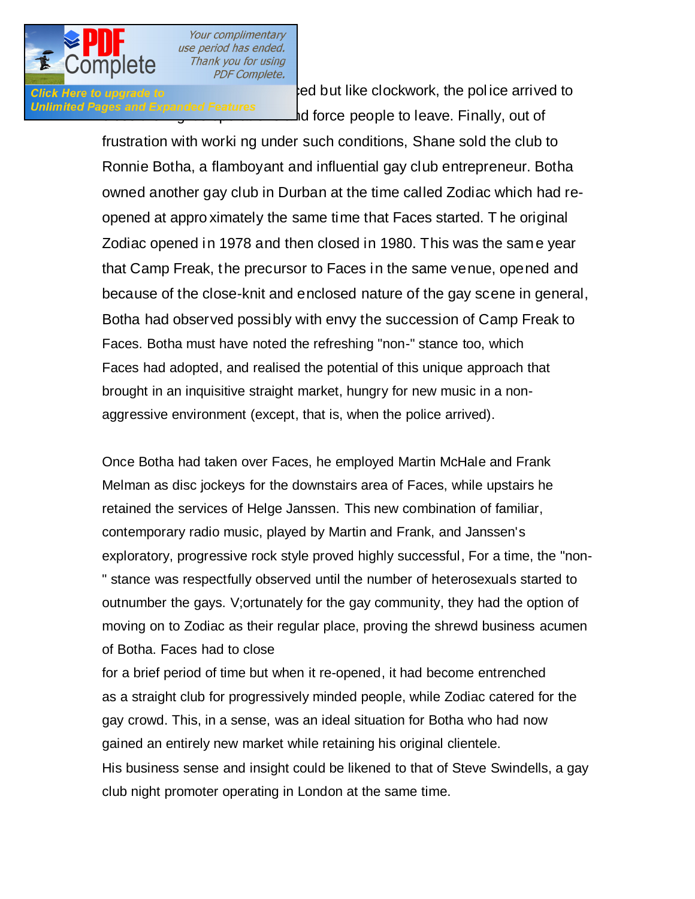

Click Here to upgrade to **the endominator of the enforced but like clockwork**, the police arrived to Unlimited Pages and Expanded Features<br>and force people to leave. Finally, out of

> frustration with worki ng under such conditions, Shane sold the club to Ronnie Botha, a flamboyant and influential gay club entrepreneur. Botha owned another gay club in Durban at the time called Zodiac which had reopened at appro ximately the same time that Faces started. T he original Zodiac opened in 1978 and then closed in 1980. This was the same year that Camp Freak, t he precursor to Faces in the same venue, opened and because of the close-knit and enclosed nature of the gay scene in general, Botha had observed possibly with envy the succession of Camp Freak to Faces. Botha must have noted the refreshing "non-" stance too, which Faces had adopted, and realised the potential of this unique approach that brought in an inquisitive straight market, hungry for new music in a nonaggressive environment (except, that is, when the police arrived).

> Once Botha had taken over Faces, he employed Martin McHale and Frank Melman as disc jockeys for the downstairs area of Faces, while upstairs he retained the services of Helge Janssen. This new combination of familiar, contemporary radio music, played by Martin and Frank, and Janssen's exploratory, progressive rock style proved highly successful, For a time, the "non- " stance was respectfully observed until the number of heterosexuals started to outnumber the gays. V;ortunately for the gay community, they had the option of moving on to Zodiac as their regular place, proving the shrewd business acumen of Botha. Faces had to close

> for a brief period of time but when it re-opened, it had become entrenched as a straight club for progressively minded people, while Zodiac catered for the gay crowd. This, in a sense, was an ideal situation for Botha who had now gained an entirely new market while retaining his original clientele. His business sense and insight could be likened to that of Steve Swindells, a gay club night promoter operating in London at the same time.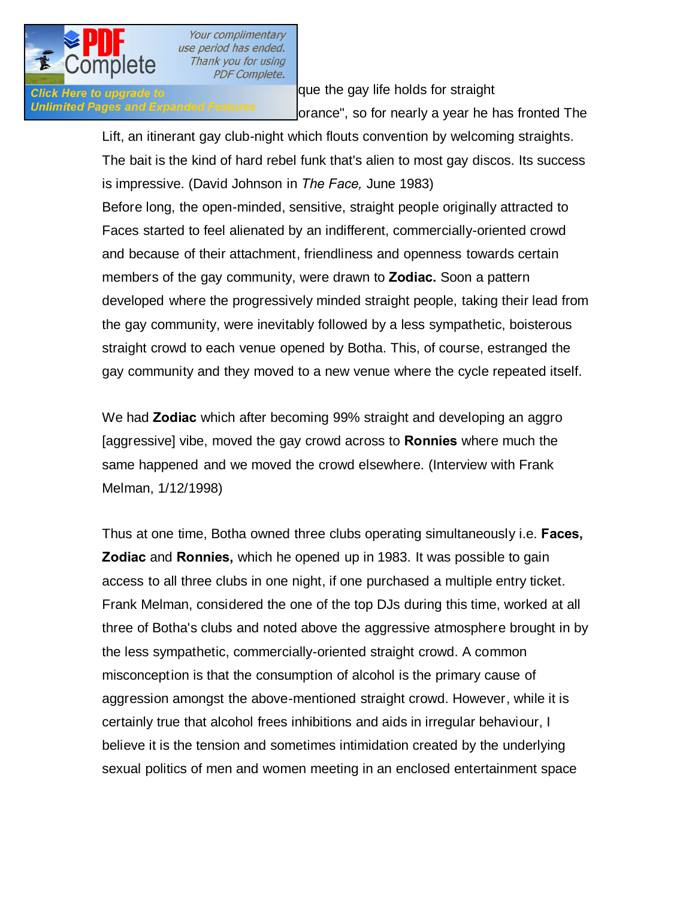

Click Here to upgrade to **Swinger and Tennis and Tennis and Tennis and Tennis and Tennis and Tennis and Tennis A** Unlimited Pages and Expanded Features or ance", so for nearly a year he has fronted The

> Lift, an itinerant gay club-night which flouts convention by welcoming straights. The bait is the kind of hard rebel funk that's alien to most gay discos. Its success is impressive. (David Johnson in *The Face,* June 1983)

> Before long, the open-minded, sensitive, straight people originally attracted to Faces started to feel alienated by an indifferent, commercially-oriented crowd and because of their attachment, friendliness and openness towards certain members of the gay community, were drawn to **Zodiac.** Soon a pattern developed where the progressively minded straight people, taking their lead from the gay community, were inevitably followed by a less sympathetic, boisterous straight crowd to each venue opened by Botha. This, of course, estranged the gay community and they moved to a new venue where the cycle repeated itself.

We had **Zodiac** which after becoming 99% straight and developing an aggro [aggressive] vibe, moved the gay crowd across to **Ronnies** where much the same happened and we moved the crowd elsewhere. (Interview with Frank Melman, 1/12/1998)

Thus at one time, Botha owned three clubs operating simultaneously i.e. **Faces, Zodiac** and **Ronnies,** which he opened up in 1983. It was possible to gain access to all three clubs in one night, if one purchased a multiple entry ticket. Frank Melman, considered the one of the top DJs during this time, worked at all three of Botha's clubs and noted above the aggressive atmosphere brought in by the less sympathetic, commercially-oriented straight crowd. A common misconception is that the consumption of alcohol is the primary cause of aggression amongst the above-mentioned straight crowd. However, while it is certainly true that alcohol frees inhibitions and aids in irregular behaviour, I believe it is the tension and sometimes intimidation created by the underlying sexual politics of men and women meeting in an enclosed entertainment space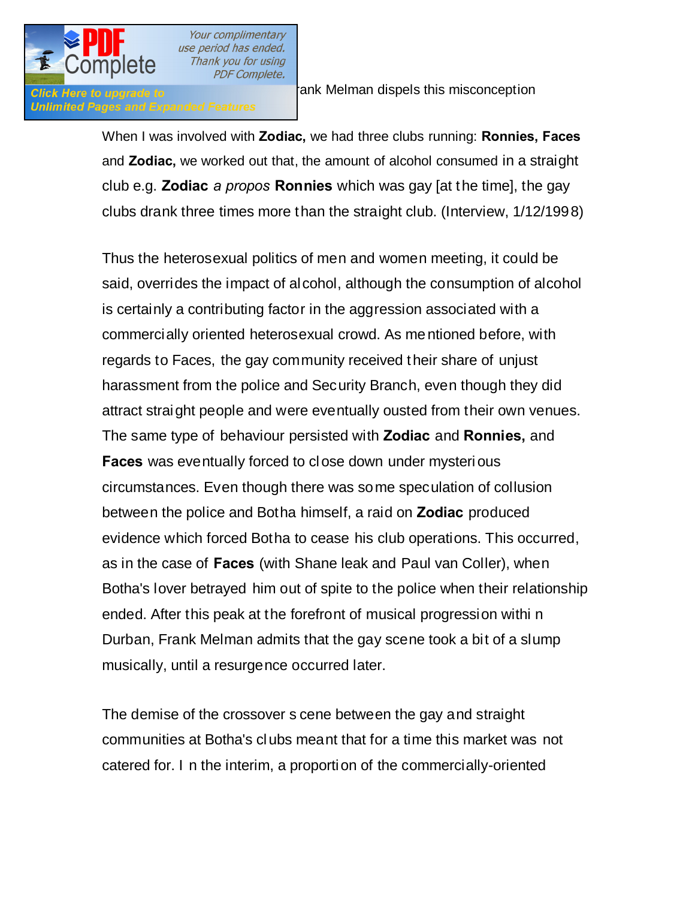Unlimited Pages and Expanded Features

We have to upgrade to this aggression. Frank Melman dispels this misconception.

When I was involved with **Zodiac,** we had three clubs running: **Ronnies, Faces**  and **Zodiac,** we worked out that, the amount of alcohol consumed in a straight club e.g. **Zodiac** *a propos* **Ronnies** which was gay [at t he time], the gay clubs drank three times more than the straight club. (Interview, 1/12/199 8)

Thus the heterosexual politics of men and women meeting, it could be said, overrides the impact of alcohol, although the consumption of alcohol is certainly a contributing factor in the aggression associated with a commercially oriented heterosexual crowd. As me ntioned before, with regards to Faces, the gay community received their share of unjust harassment from the police and Security Branch, even though they did attract straight people and were eventually ousted from their own venues. The same type of behaviour persisted with **Zodiac** and **Ronnies,** and **Faces** was eventually forced to cl ose down under mysteri ous circumstances. Even though there was some speculation of collusion between the police and Botha himself, a raid on **Zodiac** produced evidence which forced Botha to cease his club operations. This occurred, as in the case of **Faces** (with Shane leak and Paul van Coller), when Botha's lover betrayed him out of spite to the police when their relationship ended. After this peak at the forefront of musical progression withi n Durban, Frank Melman admits that the gay scene took a bit of a slump musically, until a resurgence occurred later.

The demise of the crossover s cene between the gay and straight communities at Botha's clubs meant that for a time this market was not catered for. I n the interim, a proportion of the commercially-oriented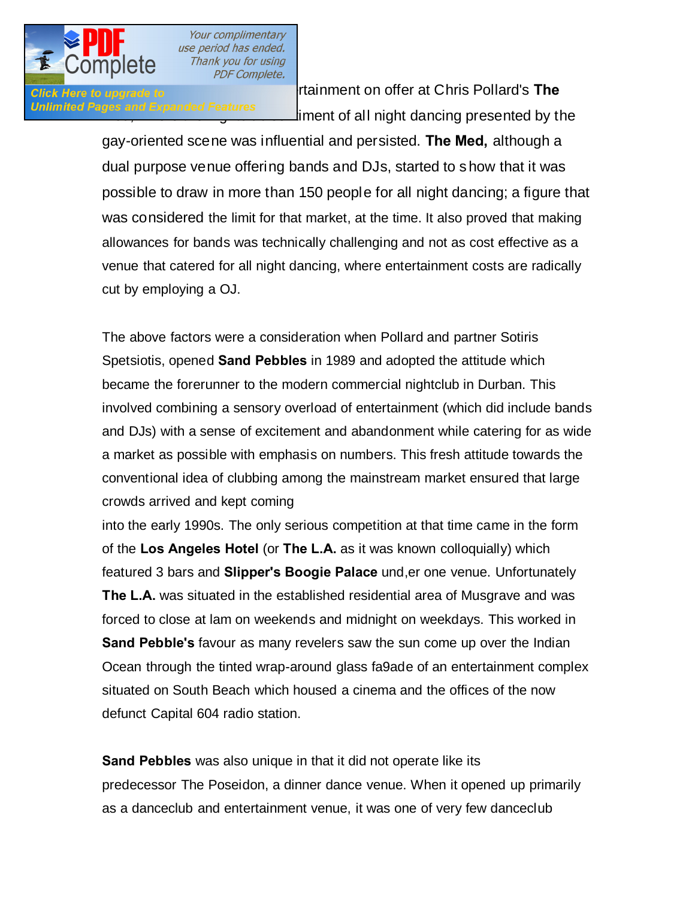

**Crick Here to upgrade to the entertainment on offer at Chris Pollard's The** Unlimited Pages and Expanded Features<br>iment of all night dancing presented by the

> gay-oriented scene was influential and persisted. **The Med,** although a dual purpose venue offering bands and DJs, started to s how that it was possible to draw in more than 150 people for all night dancing; a figure that was considered the limit for that market, at the time. It also proved that making allowances for bands was technically challenging and not as cost effective as a venue that catered for all night dancing, where entertainment costs are radically cut by employing a OJ.

> The above factors were a consideration when Pollard and partner Sotiris Spetsiotis, opened **Sand Pebbles** in 1989 and adopted the attitude which became the forerunner to the modern commercial nightclub in Durban. This involved combining a sensory overload of entertainment (which did include bands and DJs) with a sense of excitement and abandonment while catering for as wide a market as possible with emphasis on numbers. This fresh attitude towards the conventional idea of clubbing among the mainstream market ensured that large crowds arrived and kept coming

> into the early 1990s. The only serious competition at that time came in the form of the **Los Angeles Hotel** (or **The L.A.** as it was known colloquially) which featured 3 bars and **Slipper's Boogie Palace** und,er one venue. Unfortunately **The L.A.** was situated in the established residential area of Musgrave and was forced to close at lam on weekends and midnight on weekdays. This worked in **Sand Pebble's** favour as many revelers saw the sun come up over the Indian Ocean through the tinted wrap-around glass fa9ade of an entertainment complex situated on South Beach which housed a cinema and the offices of the now defunct Capital 604 radio station.

**Sand Pebbles** was also unique in that it did not operate like its predecessor The Poseidon, a dinner dance venue. When it opened up primarily as a danceclub and entertainment venue, it was one of very few danceclub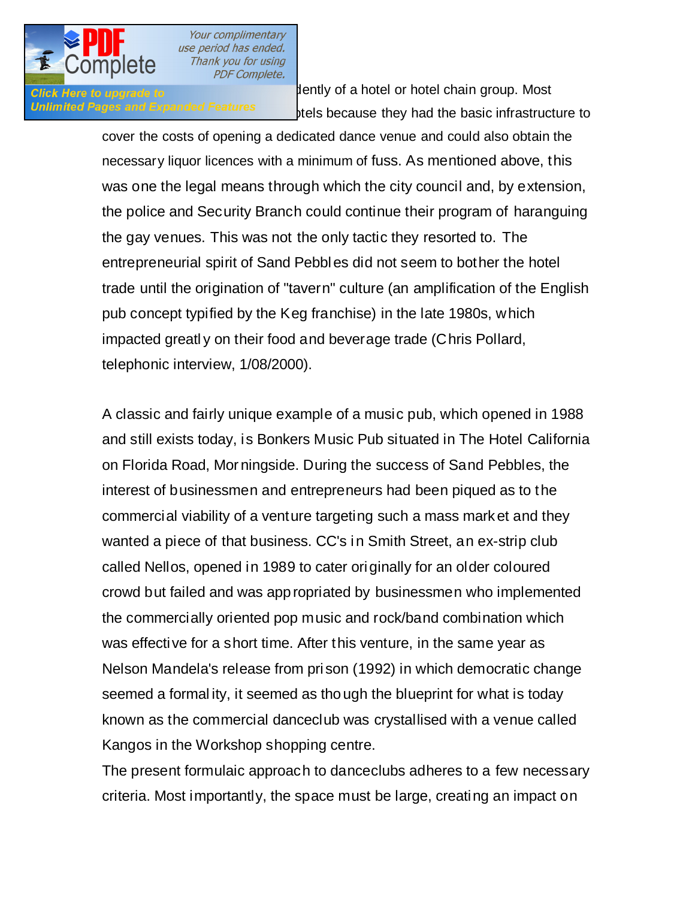

Click Here to upgrade to **verture independently** dently of a hotel or hotel chain group. Most Unlimited Pages and Expanded Features because they had the basic infrastructure to

> cover the costs of opening a dedicated dance venue and could also obtain the necessary liquor licences with a minimum of fuss. As mentioned above, this was one the legal means through which the city council and, by extension, the police and Security Branch could continue their program of haranguing the gay venues. This was not the only tactic they resorted to. The entrepreneurial spirit of Sand Pebbl es did not seem to bother the hotel trade until the origination of "tavern" culture (an amplification of the English pub concept typified by the Keg franchise) in the late 1980s, which impacted greatl y on their food and beverage trade (Chris Pollard, telephonic interview, 1/08/2000).

> A classic and fairly unique example of a music pub, which opened in 1988 and still exists today, is Bonkers Music Pub situated in The Hotel California on Florida Road, Mor ningside. During the success of Sand Pebbles, the interest of businessmen and entrepreneurs had been piqued as to the commercial viability of a venture targeting such a mass mark et and they wanted a piece of that business. CC's in Smith Street, an ex-strip club called Nellos, opened in 1989 to cater originally for an older coloured crowd but failed and was app ropriated by businessmen who implemented the commercially oriented pop music and rock/band combination which was effective for a short time. After this venture, in the same year as Nelson Mandela's release from pri son (1992) in which democratic change seemed a formal ity, it seemed as tho ugh the blueprint for what is today known as the commercial danceclub was crystallised with a venue called Kangos in the Workshop shopping centre.

> The present formulaic approach to danceclubs adheres to a few necessary criteria. Most importantly, the space must be large, creating an impact on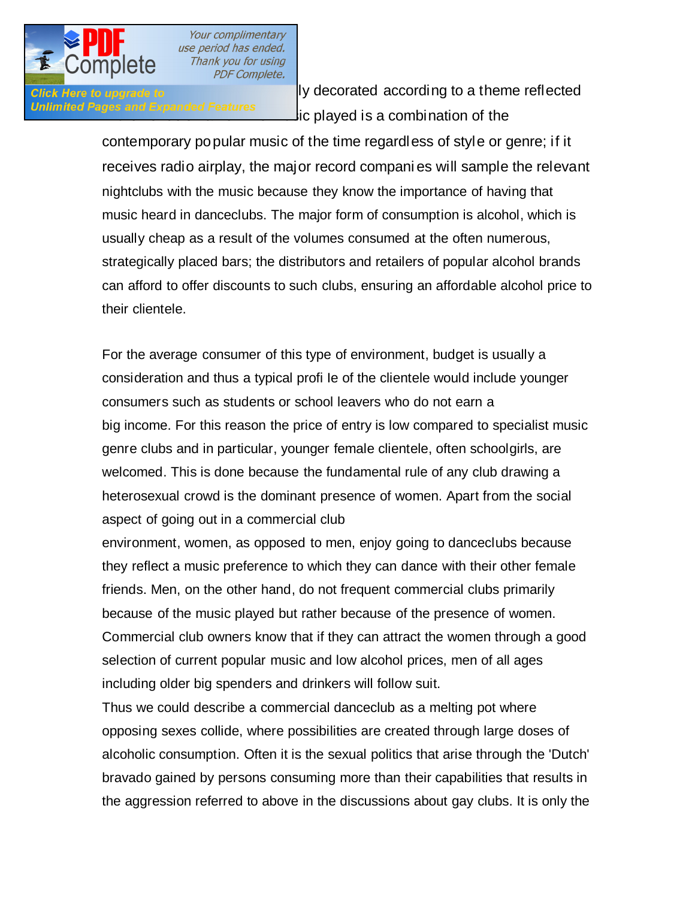

**Click Here to upgrade to suitably decorated according to a theme reflected** in the venue's name. The music played is a combination of the

> contemporary popular music of the time regardless of style or genre; if it receives radio airplay, the major record compani es will sample the relevant nightclubs with the music because they know the importance of having that music heard in danceclubs. The major form of consumption is alcohol, which is usually cheap as a result of the volumes consumed at the often numerous, strategically placed bars; the distributors and retailers of popular alcohol brands can afford to offer discounts to such clubs, ensuring an affordable alcohol price to their clientele.

> For the average consumer of this type of environment, budget is usually a consideration and thus a typical profi Ie of the clientele would include younger consumers such as students or school leavers who do not earn a big income. For this reason the price of entry is low compared to specialist music genre clubs and in particular, younger female clientele, often schoolgirls, are welcomed. This is done because the fundamental rule of any club drawing a heterosexual crowd is the dominant presence of women. Apart from the social aspect of going out in a commercial club

> environment, women, as opposed to men, enjoy going to danceclubs because they reflect a music preference to which they can dance with their other female friends. Men, on the other hand, do not frequent commercial clubs primarily because of the music played but rather because of the presence of women. Commercial club owners know that if they can attract the women through a good selection of current popular music and low alcohol prices, men of all ages including older big spenders and drinkers will follow suit.

> Thus we could describe a commercial danceclub as a melting pot where opposing sexes collide, where possibilities are created through large doses of alcoholic consumption. Often it is the sexual politics that arise through the 'Dutch' bravado gained by persons consuming more than their capabilities that results in the aggression referred to above in the discussions about gay clubs. It is only the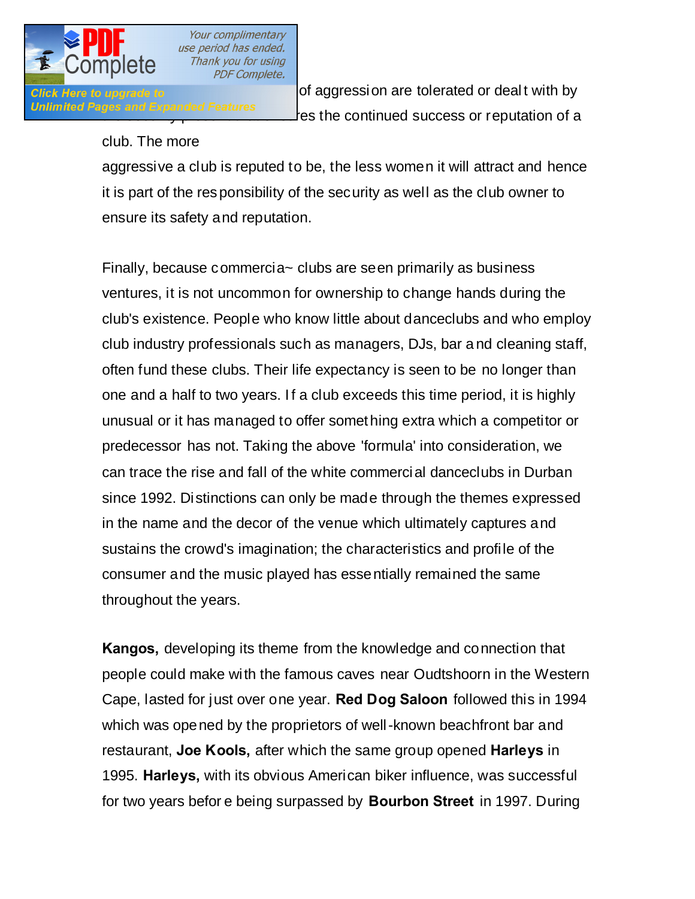

**Click Here to upgrade to contract such such such situations of aggression are tolerated or deal t with by** Unlimited Pages and Expanded Features<br>Les the continued success or reputation of a

## club. The more

aggressive a club is reputed to be, the less women it will attract and hence it is part of the res ponsibility of the security as well as the club owner to ensure its safety and reputation.

Finally, because commercia~ clubs are seen primarily as business ventures, it is not uncommon for ownership to change hands during the club's existence. People who know little about danceclubs and who employ club industry professionals such as managers, DJs, bar a nd cleaning staff, often fund these clubs. Their life expectancy is seen to be no longer than one and a half to two years. I f a club exceeds this time period, it is highly unusual or it has managed to offer something extra which a competitor or predecessor has not. Taking the above 'formula' into consideration, we can trace the rise and fall of the white commercial danceclubs in Durban since 1992. Distinctions can only be made through the themes expressed in the name and the decor of the venue which ultimately captures and sustains the crowd's imagination; the characteristics and profile of the consumer and the music played has essentially remained the same throughout the years.

**Kangos,** developing its theme from the knowledge and connection that people could make with the famous caves near Oudtshoorn in the Western Cape, lasted for just over one year. **Red Dog Saloon** followed this in 1994 which was opened by the proprietors of well-known beachfront bar and restaurant, **Joe Kools,** after which the same group opened **Harleys** in 1995. **Harleys,** with its obvious American biker influence, was successful for two years befor e being surpassed by **Bourbon Street** in 1997. During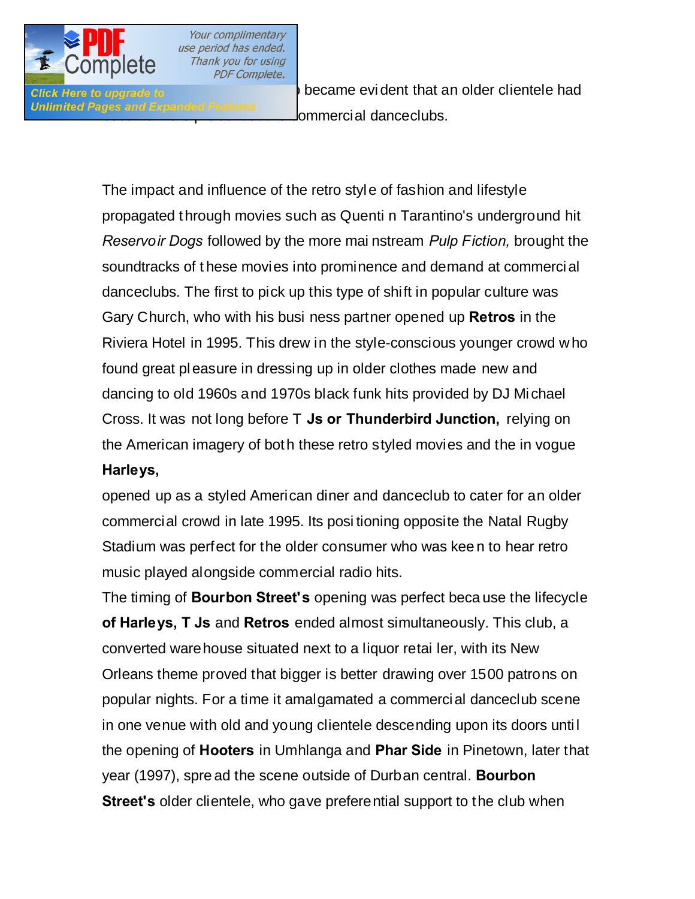

Unlimited Pages and Expanded Features<br> **Commercial danceclubs.** 

the success of **Harleys of** *Harleys of Click Here to upgrade to* **also became evident that an older clientele had** 

The impact and influence of the retro style of fashion and lifestyle propagated through movies such as Quenti n Tarantino's underground hit *Reservoir Dogs* followed by the more mai nstream *Pulp Fiction,* brought the soundtracks of t hese movies into prominence and demand at commerci al danceclubs. The first to pick up this type of shift in popular culture was Gary Church, who with his busi ness partner opened up **Retros** in the Riviera Hotel in 1995. This drew in the style-conscious younger crowd w ho found great pl easure in dressing up in older clothes made new and dancing to old 1960s and 1970s black funk hits provided by DJ Mi chael Cross. It was not long before T **Js or Thunderbird Junction,** relying on the American imagery of bot h these retro styled movies and the in vogue **Harleys,** 

opened up as a styled American diner and danceclub to cater for an older commercial crowd in late 1995. Its posi tioning opposite the Natal Rugby Stadium was perfect for the older consumer who was kee n to hear retro music played alongside commercial radio hits.

The timing of **Bourbon Street's** opening was perfect beca use the lifecycle **of Harleys, T Js** and **Retros** ended almost simultaneously. This club, a converted warehouse situated next to a liquor retai ler, with its New Orleans theme proved that bigger is better drawing over 1500 patrons on popular nights. For a time it amalgamated a commercial danceclub scene in one venue with old and young clientele descending upon its doors until the opening of **Hooters** in Umhlanga and **Phar Side** in Pinetown, later that year (1997), spre ad the scene outside of Durban central. **Bourbon Street's** older clientele, who gave preferential support to the club when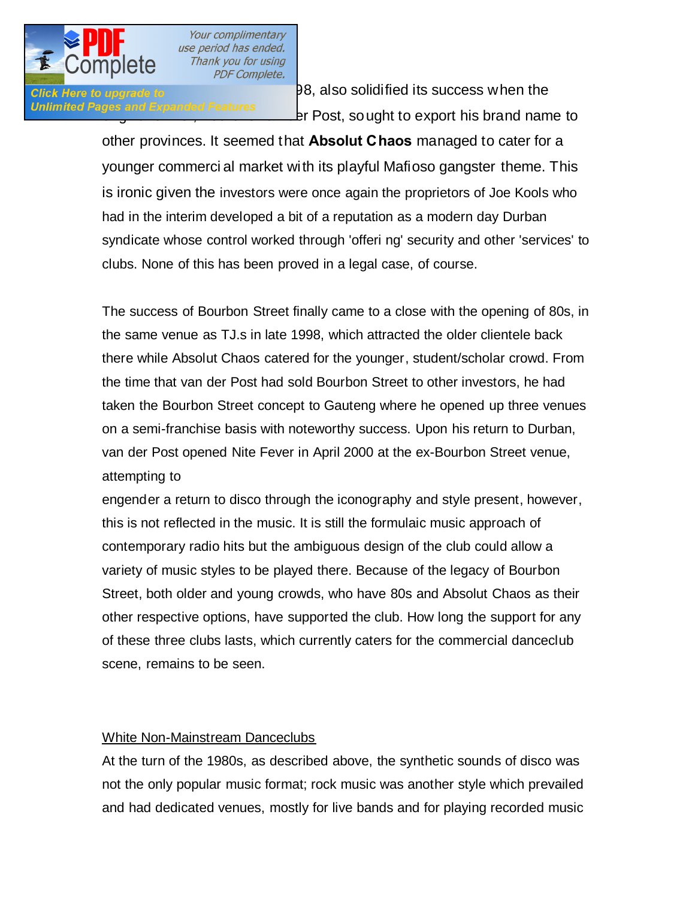

**Absolut Chaos** opened in 1998, also solidified its success when the Unlimited Pages and Expanded Features van der Post, so ught to export his brand name to

> other provinces. It seemed that **Absolut Chaos** managed to cater for a younger commerci al market with its playful Mafioso gangster theme. This is ironic given the investors were once again the proprietors of Joe Kools who had in the interim developed a bit of a reputation as a modern day Durban syndicate whose control worked through 'offeri ng' security and other 'services' to clubs. None of this has been proved in a legal case, of course.

> The success of Bourbon Street finally came to a close with the opening of 80s, in the same venue as TJ.s in late 1998, which attracted the older clientele back there while Absolut Chaos catered for the younger, student/scholar crowd. From the time that van der Post had sold Bourbon Street to other investors, he had taken the Bourbon Street concept to Gauteng where he opened up three venues on a semi-franchise basis with noteworthy success. Upon his return to Durban, van der Post opened Nite Fever in April 2000 at the ex-Bourbon Street venue, attempting to

engender a return to disco through the iconography and style present, however, this is not reflected in the music. It is still the formulaic music approach of contemporary radio hits but the ambiguous design of the club could allow a variety of music styles to be played there. Because of the legacy of Bourbon Street, both older and young crowds, who have 80s and Absolut Chaos as their other respective options, have supported the club. How long the support for any of these three clubs lasts, which currently caters for the commercial danceclub scene, remains to be seen.

## White Non-Mainstream Danceclubs

At the turn of the 1980s, as described above, the synthetic sounds of disco was not the only popular music format; rock music was another style which prevailed and had dedicated venues, mostly for live bands and for playing recorded music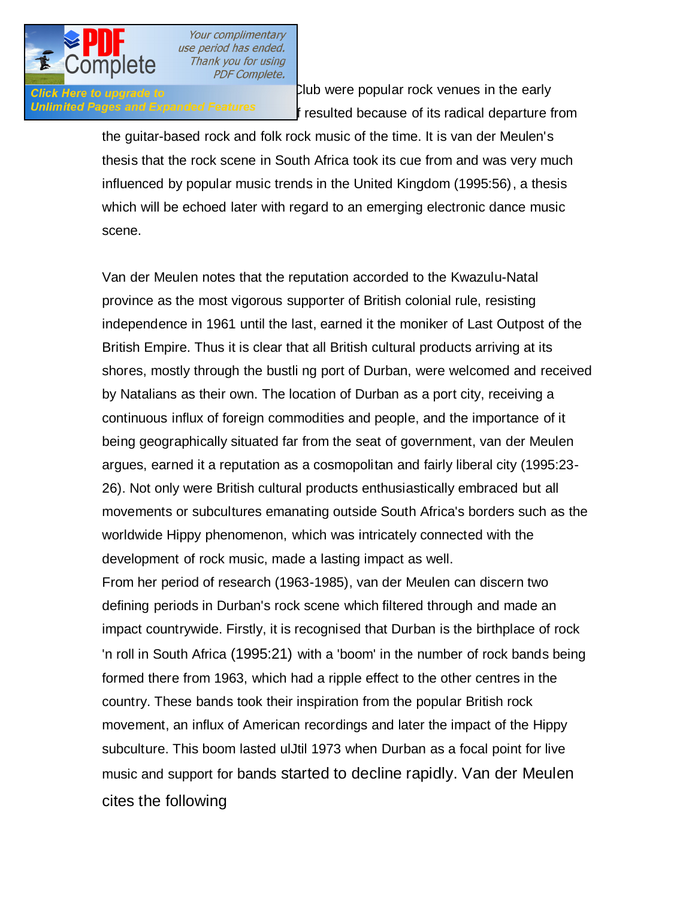

Click Here to upgrade to **The Arena Club** were popular rock venues in the early Unlimited Pages and Expanded Features fresulted because of its radical departure from

> the guitar-based rock and folk rock music of the time. It is van der Meulen's thesis that the rock scene in South Africa took its cue from and was very much influenced by popular music trends in the United Kingdom (1995:56), a thesis which will be echoed later with regard to an emerging electronic dance music scene.

Van der Meulen notes that the reputation accorded to the Kwazulu-Natal province as the most vigorous supporter of British colonial rule, resisting independence in 1961 until the last, earned it the moniker of Last Outpost of the British Empire. Thus it is clear that all British cultural products arriving at its shores, mostly through the bustli ng port of Durban, were welcomed and received by Natalians as their own. The location of Durban as a port city, receiving a continuous influx of foreign commodities and people, and the importance of it being geographically situated far from the seat of government, van der Meulen argues, earned it a reputation as a cosmopolitan and fairly liberal city (1995:23- 26). Not only were British cultural products enthusiastically embraced but all movements or subcultures emanating outside South Africa's borders such as the worldwide Hippy phenomenon, which was intricately connected with the development of rock music, made a lasting impact as well.

From her period of research (1963-1985), van der Meulen can discern two defining periods in Durban's rock scene which filtered through and made an impact countrywide. Firstly, it is recognised that Durban is the birthplace of rock 'n roll in South Africa (1995:21) with a 'boom' in the number of rock bands being formed there from 1963, which had a ripple effect to the other centres in the country. These bands took their inspiration from the popular British rock movement, an influx of American recordings and later the impact of the Hippy subculture. This boom lasted ulJtil 1973 when Durban as a focal point for live music and support for bands started to decline rapidly. Van der Meulen cites the following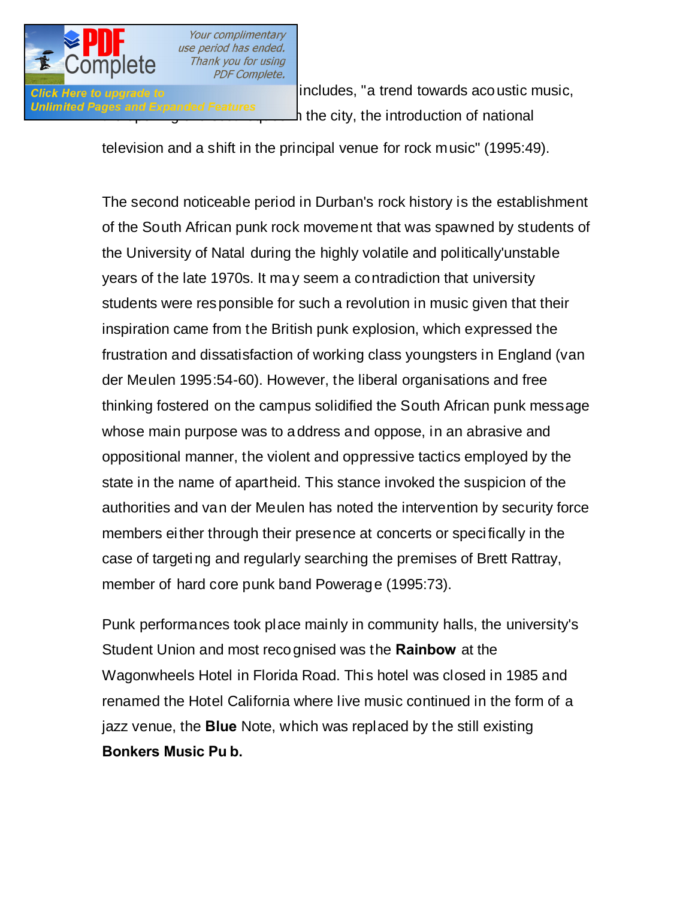

**Click Here to upgrade to construct the includes, "a trend towards acoustic music,** Unlimited Pages and Expanded Features<br>
a the city, the introduction of national

television and a shift in the principal venue for rock music" (1995:49).

The second noticeable period in Durban's rock history is the establishment of the South African punk rock movement that was spawned by students of the University of Natal during the highly volatile and politically'unstable years of the late 1970s. It ma y seem a contradiction that university students were responsible for such a revolution in music given that their inspiration came from t he British punk explosion, which expressed the frustration and dissatisfaction of working class youngsters in England (van der Meulen 1995:54-60). However, the liberal organisations and free thinking fostered on the campus solidified the South African punk message whose main purpose was to a ddress and oppose, in an abrasive and oppositional manner, the violent and oppressive tactics employed by the state in the name of apartheid. This stance invoked the suspicion of the authorities and van der Meulen has noted the intervention by security force members either through their presence at concerts or specifically in the case of targeti ng and regularly searching the premises of Brett Rattray, member of hard core punk band Powerage (1995:73).

Punk performances took place mainly in community halls, the university's Student Union and most reco gnised was the **Rainbow** at the Wagonwheels Hotel in Florida Road. This hotel was closed in 1985 and renamed the Hotel California where live music continued in the form of a jazz venue, the **Blue** Note, which was replaced by the still existing **Bonkers Music Pu b.**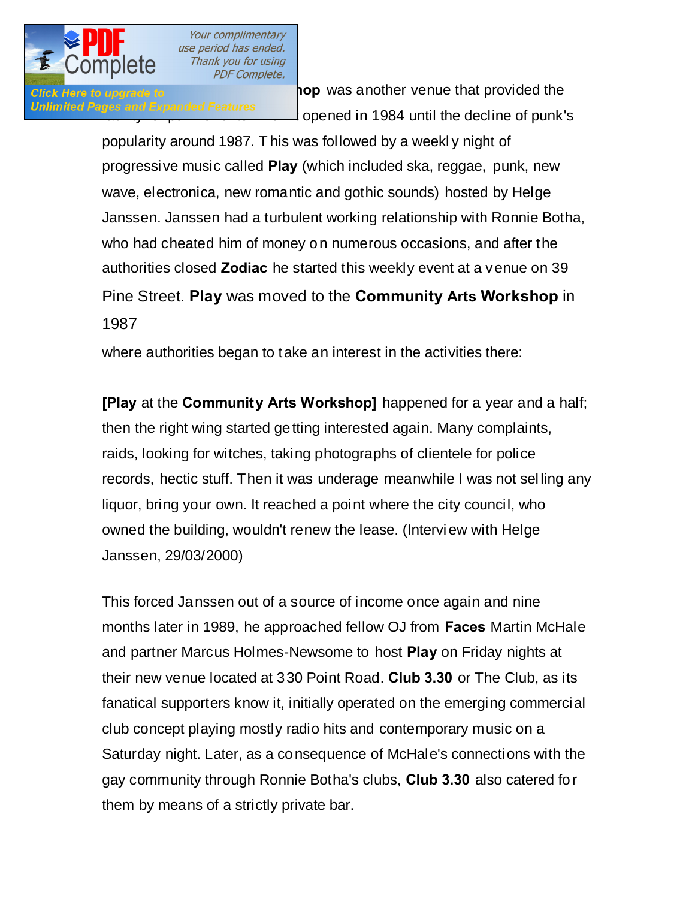**Click Here to upgrade to <b>The Community** Click Here to upgrade to **The Community Click** Here is a nother venue that provided the Infinited Pages and Expanded Features<br>Copened in 1984 until the decline of punk's

> popularity around 1987. T his was followed by a weekl y night of progressive music called **Play** (which included ska, reggae, punk, new wave, electronica, new romantic and gothic sounds) hosted by Helge Janssen. Janssen had a turbulent working relationship with Ronnie Botha, who had cheated him of money on numerous occasions, and after the authorities closed **Zodiac** he started this weekly event at a venue on 39 Pine Street. **Play** was moved to the **Community Arts Workshop** in 1987

where authorities began to take an interest in the activities there:

**[Play** at the **Community Arts Workshop]** happened for a year and a half; then the right wing started ge tting interested again. Many complaints, raids, looking for witches, taking photographs of clientele for police records, hectic stuff. Then it was underage meanwhile I was not selling any liquor, bring your own. It reached a point where the city council, who owned the building, wouldn't renew the lease. (Intervi ew with Helge Janssen, 29/03/2000)

This forced Janssen out of a source of income once again and nine months later in 1989, he approached fellow OJ from **Faces** Martin McHale and partner Marcus Holmes-Newsome to host **Play** on Friday nights at their new venue located at 330 Point Road. **Club 3.30** or The Club, as its fanatical supporters know it, initially operated on the emerging commercial club concept playing mostly radio hits and contemporary music on a Saturday night. Later, as a consequence of McHale's connections with the gay community through Ronnie Botha's clubs, **Club 3.30** also catered fo r them by means of a strictly private bar.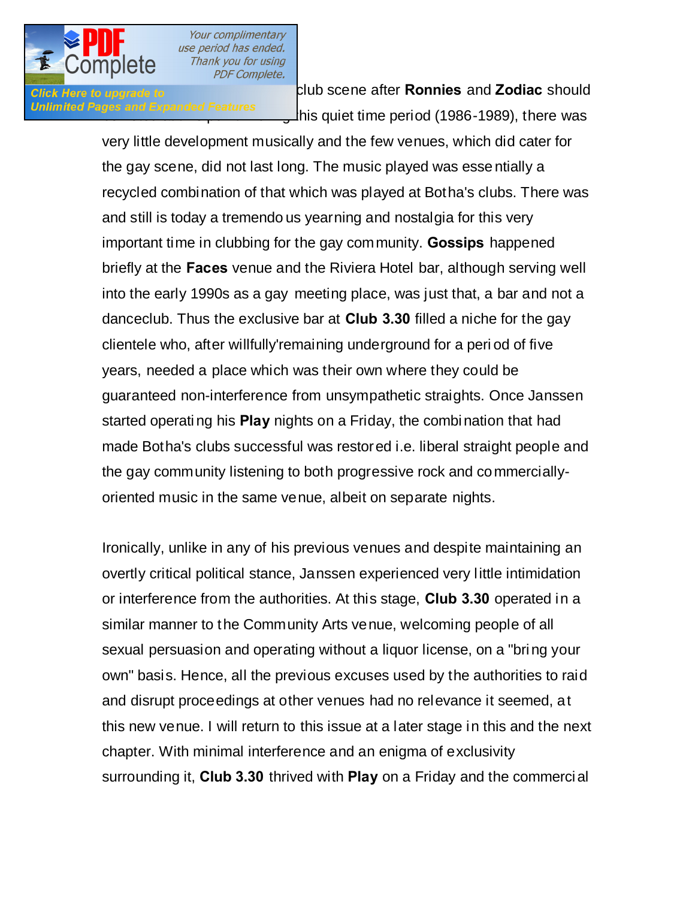

**Click Here to upgrade to the gay club scene after Ronnies and Zodiac should** Unlimited Pages and Expanded Features<br>his quiet time period (1986-1989), there was

> very little development musically and the few venues, which did cater for the gay scene, did not last long. The music played was esse ntially a recycled combination of that which was played at Botha's clubs. There was and still is today a tremendo us yearning and nostalgia for this very important time in clubbing for the gay community. **Gossips** happened briefly at the **Faces** venue and the Riviera Hotel bar, although serving well into the early 1990s as a gay meeting place, was just that, a bar and not a danceclub. Thus the exclusive bar at **Club 3.30** filled a niche for the gay clientele who, after willfully'remaining underground for a peri od of five years, needed a place which was their own where they could be guaranteed non-interference from unsympathetic straights. Once Janssen started operati ng his **Play** nights on a Friday, the combi nation that had made Botha's clubs successful was restored i.e. liberal straight people and the gay community listening to both progressive rock and co mmerciallyoriented music in the same venue, albeit on separate nights.

> Ironically, unlike in any of his previous venues and despite maintaining an overtly critical political stance, Janssen experienced very little intimidation or interference from the authorities. At this stage, **Club 3.30** operated in a similar manner to the Community Arts venue, welcoming people of all sexual persuasion and operating without a liquor license, on a "bri ng your own" basis. Hence, all the previous excuses used by the authorities to raid and disrupt proceedings at other venues had no relevance it seemed, at this new venue. I will return to this issue at a later stage in this and the next chapter. With minimal interference and an enigma of exclusivity surrounding it, **Club 3.30** thrived with **Play** on a Friday and the commercial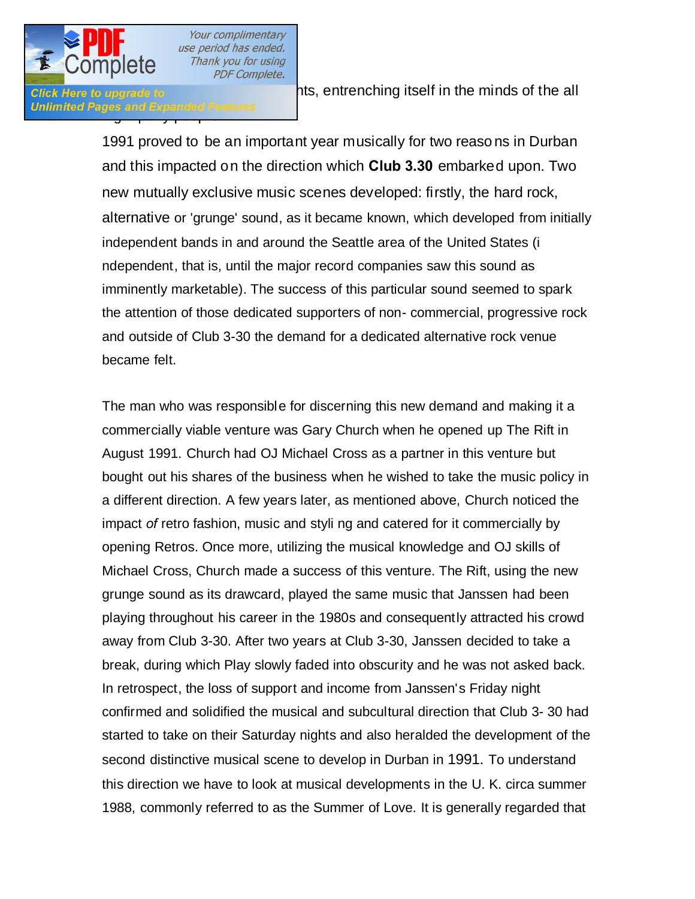

**Unlimited Pages and Expanded Features** 

**Click Here to upgrade to Saturday nights**, entrenching itself in the minds of the all

1991 proved to be an important year musically for two reaso ns in Durban and this impacted on the direction which **Club 3.30** embarked upon. Two new mutually exclusive music scenes developed: firstly, the hard rock, alternative or 'grunge' sound, as it became known, which developed from initially independent bands in and around the Seattle area of the United States (i ndependent, that is, until the major record companies saw this sound as imminently marketable). The success of this particular sound seemed to spark the attention of those dedicated supporters of non- commercial, progressive rock and outside of Club 3-30 the demand for a dedicated alternative rock venue became felt.

The man who was responsible for discerning this new demand and making it a commercially viable venture was Gary Church when he opened up The Rift in August 1991. Church had OJ Michael Cross as a partner in this venture but bought out his shares of the business when he wished to take the music policy in a different direction. A few years later, as mentioned above, Church noticed the impact *of* retro fashion, music and styli ng and catered for it commercially by opening Retros. Once more, utilizing the musical knowledge and OJ skills of Michael Cross, Church made a success of this venture. The Rift, using the new grunge sound as its drawcard, played the same music that Janssen had been playing throughout his career in the 1980s and consequently attracted his crowd away from Club 3-30. After two years at Club 3-30, Janssen decided to take a break, during which Play slowly faded into obscurity and he was not asked back. In retrospect, the loss of support and income from Janssen's Friday night confirmed and solidified the musical and subcultural direction that Club 3- 30 had started to take on their Saturday nights and also heralded the development of the second distinctive musical scene to develop in Durban in 1991. To understand this direction we have to look at musical developments in the U. K. circa summer 1988, commonly referred to as the Summer of Love. It is generally regarded that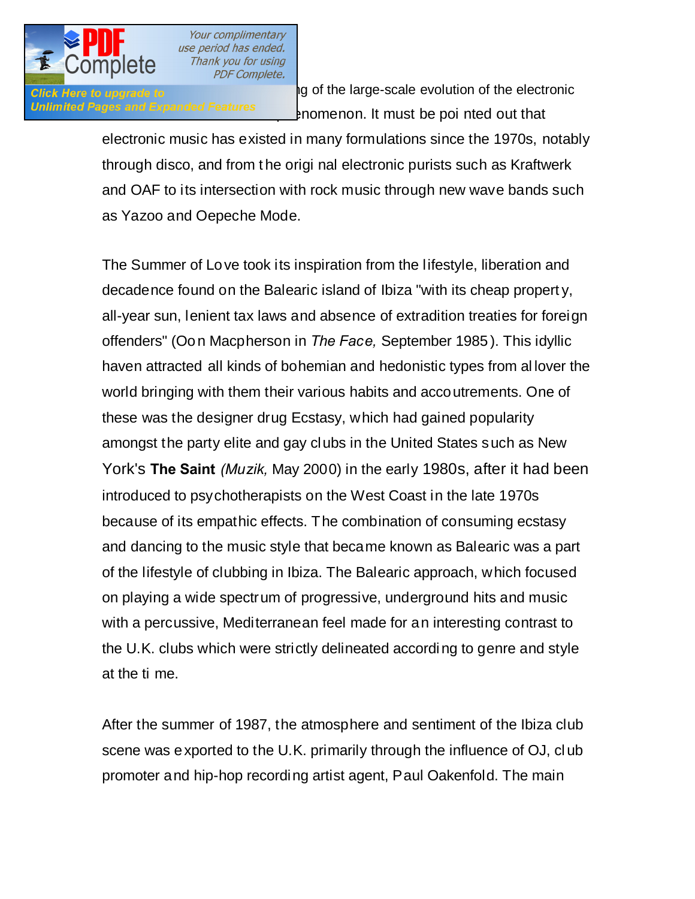**Click Here to upgrade to Example 20 and 19 and 19 and 19 and 19 and 19 and 19 and 19 and 19 and 19 and 19 and 19 and 19 and 19 and 19 and 19 and 19 and 19 and 19 and 19 and 19 and 19 and 19 and 19 and 19 and 19 and 19 a** Unlimited Pages and Expanded Features encomponed phenon. It must be poi nted out that

> electronic music has existed in many formulations since the 1970s, notably through disco, and from t he origi nal electronic purists such as Kraftwerk and OAF to its intersection with rock music through new wave bands such as Yazoo and Oepeche Mode.

> The Summer of Love took its inspiration from the lifestyle, liberation and decadence found on the Balearic island of Ibiza "with its cheap propert y, all-year sun, lenient tax laws and absence of extradition treaties for foreign offenders" (Oo n Macpherson in *The Face,* September 1985 ). This idyllic haven attracted all kinds of bohemian and hedonistic types from al lover the world bringing with them their various habits and accoutrements. One of these was the designer drug Ecstasy, which had gained popularity amongst the party elite and gay clubs in the United States such as New York's **The Saint** *(Muzik,* May 2000) in the early 1980s, after it had been introduced to psychotherapists on the West Coast in the late 1970s because of its empathic effects. The combination of consuming ecstasy and dancing to the music style that became known as Balearic was a part of the lifestyle of clubbing in Ibiza. The Balearic approach, which focused on playing a wide spectrum of progressive, underground hits and music with a percussive, Mediterranean feel made for an interesting contrast to the U.K. clubs which were strictly delineated accordi ng to genre and style at the ti me.

After the summer of 1987, the atmosphere and sentiment of the Ibiza club scene was exported to the U.K. primarily through the influence of OJ, cl ub promoter and hip-hop recording artist agent, Paul Oakenfold. The main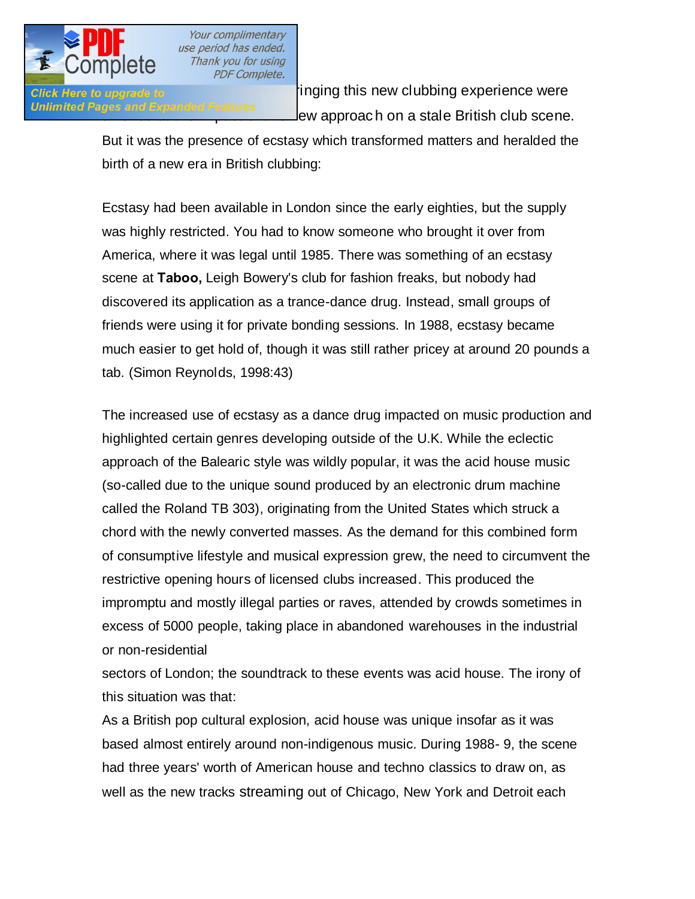

**Click Here to upgrade to bring this new clubbing experience were** Unlimited Pages and Expanded Features<br> **EXPLO At Approach on a stale British club scene.** 

> But it was the presence of ecstasy which transformed matters and heralded the birth of a new era in British clubbing:

Ecstasy had been available in London since the early eighties, but the supply was highly restricted. You had to know someone who brought it over from America, where it was legal until 1985. There was something of an ecstasy scene at **Taboo,** Leigh Bowery's club for fashion freaks, but nobody had discovered its application as a trance-dance drug. Instead, small groups of friends were using it for private bonding sessions. In 1988, ecstasy became much easier to get hold of, though it was still rather pricey at around 20 pounds a tab. (Simon Reynolds, 1998:43)

The increased use of ecstasy as a dance drug impacted on music production and highlighted certain genres developing outside of the U.K. While the eclectic approach of the Balearic style was wildly popular, it was the acid house music (so-called due to the unique sound produced by an electronic drum machine called the Roland TB 303), originating from the United States which struck a chord with the newly converted masses. As the demand for this combined form of consumptive lifestyle and musical expression grew, the need to circumvent the restrictive opening hours of licensed clubs increased. This produced the impromptu and mostly illegal parties or raves, attended by crowds sometimes in excess of 5000 people, taking place in abandoned warehouses in the industrial or non-residential

sectors of London; the soundtrack to these events was acid house. The irony of this situation was that:

As a British pop cultural explosion, acid house was unique insofar as it was based almost entirely around non-indigenous music. During 1988- 9, the scene had three years' worth of American house and techno classics to draw on, as well as the new tracks streaming out of Chicago, New York and Detroit each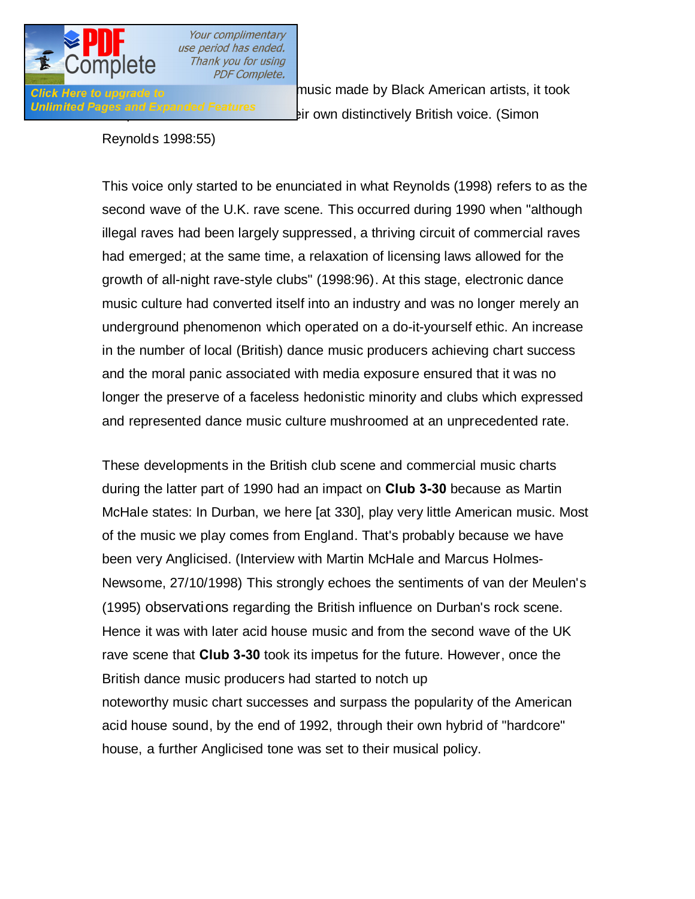

Click Here to upgrade to **the click of music made by Black American** artists, it took Unlimited Pages and Expanded Features **Business 1999** ir own distinctively British voice. (Simon

Reynolds 1998:55)

This voice only started to be enunciated in what Reynolds (1998) refers to as the second wave of the U.K. rave scene. This occurred during 1990 when "although illegal raves had been largely suppressed, a thriving circuit of commercial raves had emerged; at the same time, a relaxation of licensing laws allowed for the growth of all-night rave-style clubs" (1998:96). At this stage, electronic dance music culture had converted itself into an industry and was no longer merely an underground phenomenon which operated on a do-it-yourself ethic. An increase in the number of local (British) dance music producers achieving chart success and the moral panic associated with media exposure ensured that it was no longer the preserve of a faceless hedonistic minority and clubs which expressed and represented dance music culture mushroomed at an unprecedented rate.

These developments in the British club scene and commercial music charts during the latter part of 1990 had an impact on **Club 3-30** because as Martin McHale states: In Durban, we here [at 330], play very little American music. Most of the music we play comes from England. That's probably because we have been very Anglicised. (Interview with Martin McHale and Marcus Holmes-Newsome, 27/10/1998) This strongly echoes the sentiments of van der Meulen's (1995) observations regarding the British influence on Durban's rock scene. Hence it was with later acid house music and from the second wave of the UK rave scene that **Club 3-30** took its impetus for the future. However, once the British dance music producers had started to notch up noteworthy music chart successes and surpass the popularity of the American acid house sound, by the end of 1992, through their own hybrid of "hardcore" house, a further Anglicised tone was set to their musical policy.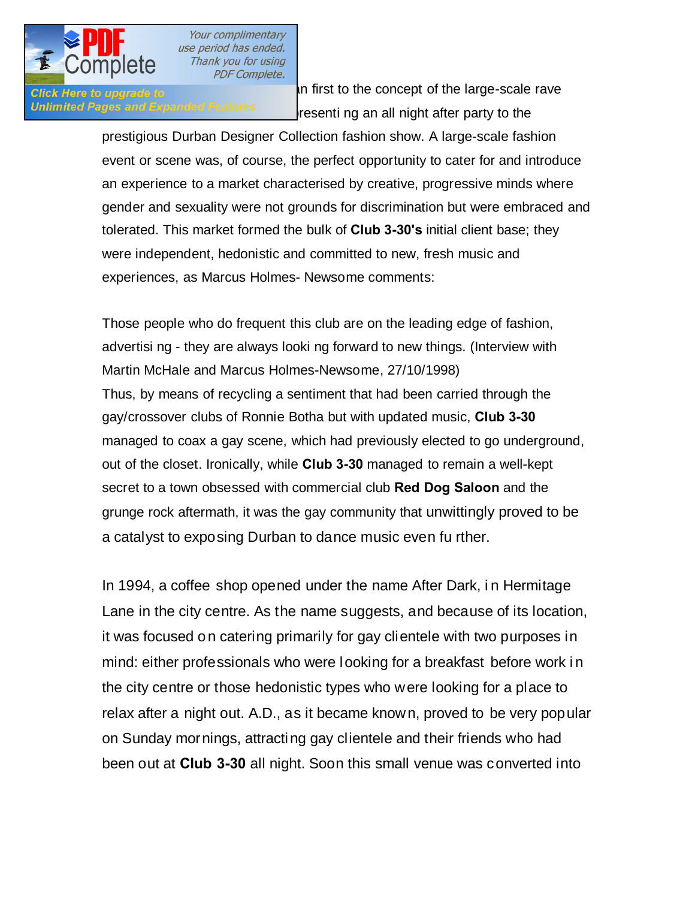

**Click Here to upgrade to also interest intervalse intervalse intervalse intervalse intervalse intervalse interv** Unlimited Pages and Expanded Features resenti ng an all night after party to the

> prestigious Durban Designer Collection fashion show. A large-scale fashion event or scene was, of course, the perfect opportunity to cater for and introduce an experience to a market characterised by creative, progressive minds where gender and sexuality were not grounds for discrimination but were embraced and tolerated. This market formed the bulk of **Club 3-30's** initial client base; they were independent, hedonistic and committed to new, fresh music and experiences, as Marcus Holmes- Newsome comments:

Those people who do frequent this club are on the leading edge of fashion, advertisi ng - they are always looki ng forward to new things. (Interview with Martin McHale and Marcus Holmes-Newsome, 27/10/1998) Thus, by means of recycling a sentiment that had been carried through the gay/crossover clubs of Ronnie Botha but with updated music, **Club 3-30**  managed to coax a gay scene, which had previously elected to go underground, out of the closet. Ironically, while **Club 3-30** managed to remain a well-kept secret to a town obsessed with commercial club **Red Dog Saloon** and the grunge rock aftermath, it was the gay community that unwittingly proved to be a catalyst to exposing Durban to dance music even fu rther.

In 1994, a coffee shop opened under the name After Dark, i n Hermitage Lane in the city centre. As the name suggests, and because of its location, it was focused o n catering primarily for gay clientele with two purposes in mind: either professionals who were looking for a breakfast before work i n the city centre or those hedonistic types who were looking for a place to relax after a night out. A.D., as it became know n, proved to be very popular on Sunday mornings, attracting gay clientele and their friends who had been out at **Club 3-30** all night. Soon this small venue was converted into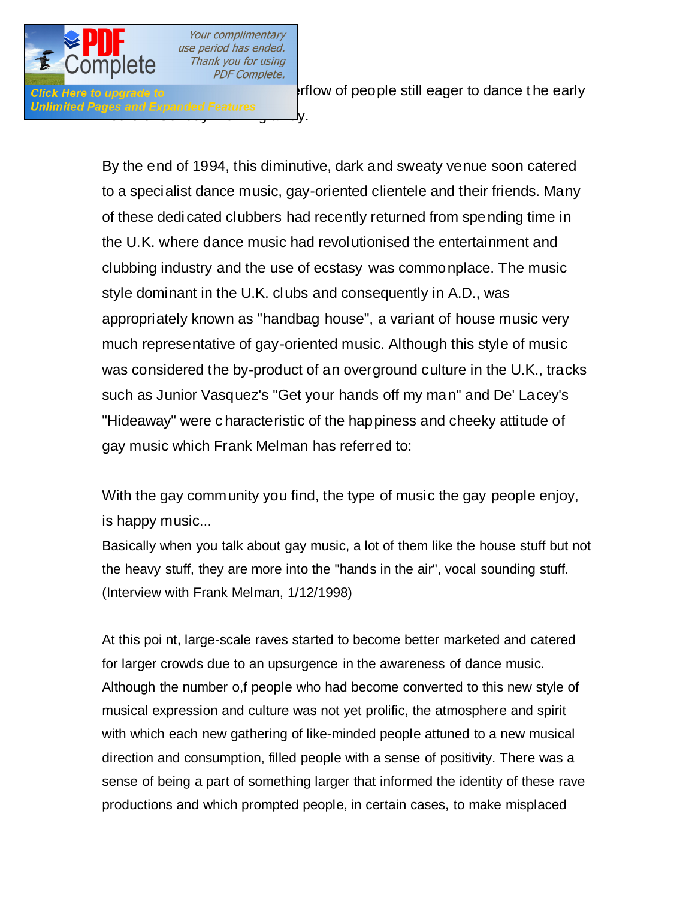

Unlimited Pages and Expanded Features<br>y.

**Click Here to upgrade to cater for the overflow of people still eager to dance the early** 

By the end of 1994, this diminutive, dark and sweaty venue soon catered to a specialist dance music, gay-oriented clientele and their friends. Many of these dedi cated clubbers had recently returned from spe nding time in the U.K. where dance music had revolutionised the entertainment and clubbing industry and the use of ecstasy was commonplace. The music style dominant in the U.K. clubs and consequently in A.D., was appropriately known as "handbag house", a variant of house music very much representative of gay-oriented music. Although this style of music was considered the by-product of an overground culture in the U.K., tracks such as Junior Vasquez's "Get your hands off my man" and De' Lacey's "Hideaway" were c haracteristic of the happiness and cheeky attitude of gay music which Frank Melman has referred to:

With the gay community you find, the type of music the gay people enjoy, is happy music...

Basically when you talk about gay music, a lot of them like the house stuff but not the heavy stuff, they are more into the "hands in the air", vocal sounding stuff. (Interview with Frank Melman, 1/12/1998)

At this poi nt, large-scale raves started to become better marketed and catered for larger crowds due to an upsurgence in the awareness of dance music. Although the number o,f people who had become converted to this new style of musical expression and culture was not yet prolific, the atmosphere and spirit with which each new gathering of like-minded people attuned to a new musical direction and consumption, filled people with a sense of positivity. There was a sense of being a part of something larger that informed the identity of these rave productions and which prompted people, in certain cases, to make misplaced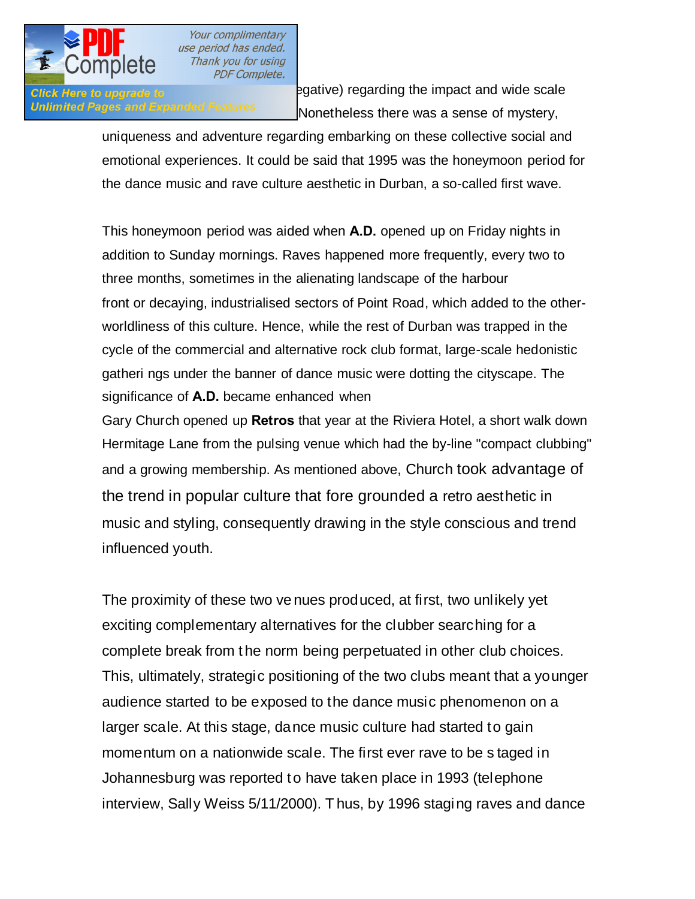

Click Here to upgrade to **positive and negative**) regarding the impact and wide scale Unlimited Pages and Expanded Features<br>Nonetheless there was a sense of mystery,

> uniqueness and adventure regarding embarking on these collective social and emotional experiences. It could be said that 1995 was the honeymoon period for the dance music and rave culture aesthetic in Durban, a so-called first wave.

> This honeymoon period was aided when **A.D.** opened up on Friday nights in addition to Sunday mornings. Raves happened more frequently, every two to three months, sometimes in the alienating landscape of the harbour front or decaying, industrialised sectors of Point Road, which added to the otherworldliness of this culture. Hence, while the rest of Durban was trapped in the cycle of the commercial and alternative rock club format, large-scale hedonistic gatheri ngs under the banner of dance music were dotting the cityscape. The significance of **A.D.** became enhanced when

> Gary Church opened up **Retros** that year at the Riviera Hotel, a short walk down Hermitage Lane from the pulsing venue which had the by-line "compact clubbing" and a growing membership. As mentioned above, Church took advantage of the trend in popular culture that fore grounded a retro aesthetic in music and styling, consequently drawing in the style conscious and trend influenced youth.

> The proximity of these two ve nues produced, at first, two unlikely yet exciting complementary alternatives for the clubber searching for a complete break from t he norm being perpetuated in other club choices. This, ultimately, strategic positioning of the two clubs meant that a younger audience started to be exposed to the dance music phenomenon on a larger scale. At this stage, dance music culture had started to gain momentum on a nationwide scale. The first ever rave to be s taged in Johannesburg was reported to have taken place in 1993 (telephone interview, Sally Weiss 5/11/2000). T hus, by 1996 staging raves and dance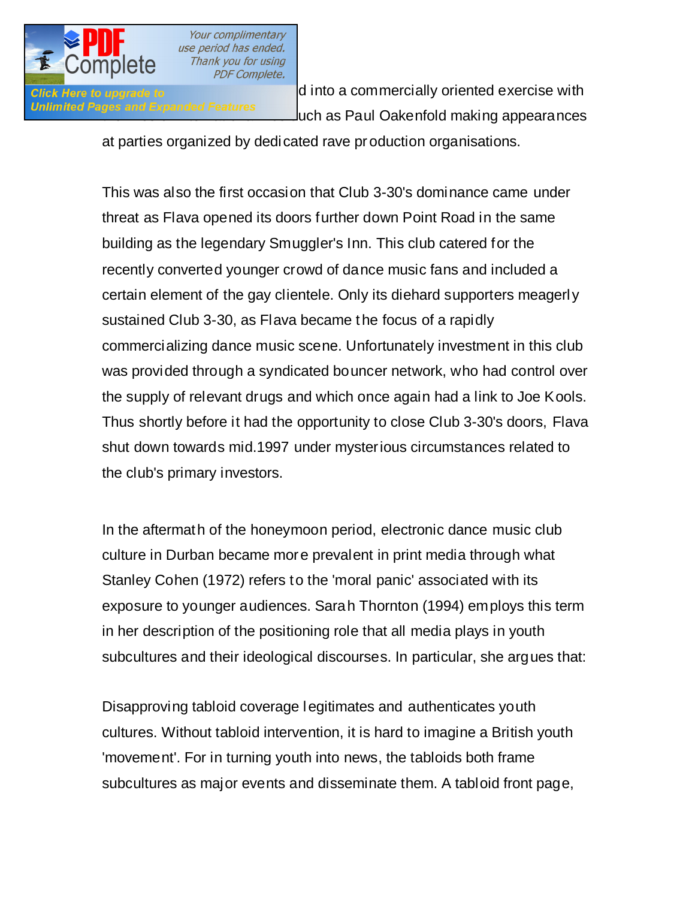

Click Here to upgrade to **the evolution of the evolved into a commercially oriented exercise with** Unlimited Pages and Expanded Features<br>Like of as Paul Oakenfold making appearances

at parties organized by dedicated rave pr oduction organisations.

**PDF Complete.** 

This was also the first occasion that Club 3-30's dominance came under threat as Flava opened its doors further down Point Road in the same building as the legendary Smuggler's Inn. This club catered for the recently converted younger crowd of dance music fans and included a certain element of the gay clientele. Only its diehard supporters meagerly sustained Club 3-30, as Flava became t he focus of a rapidly commercializing dance music scene. Unfortunately investment in this club was provided through a syndicated bouncer network, who had control over the supply of relevant drugs and which once again had a link to Joe Kools. Thus shortly before it had the opportunity to close Club 3-30's doors, Flava shut down towards mid.1997 under mysterious circumstances related to the club's primary investors.

In the aftermath of the honeymoon period, electronic dance music club culture in Durban became more prevalent in print media through what Stanley Cohen (1972) refers to the 'moral panic' associated with its exposure to younger audiences. Sarah Thornton (1994) employs this term in her description of the positioning role that all media plays in youth subcultures and their ideological discourses. In particular, she argues that:

Disapproving tabloid coverage legitimates and authenticates youth cultures. Without tabloid intervention, it is hard to imagine a British youth 'movement'. For in turning youth into news, the tabloids both frame subcultures as major events and disseminate them. A tabloid front page,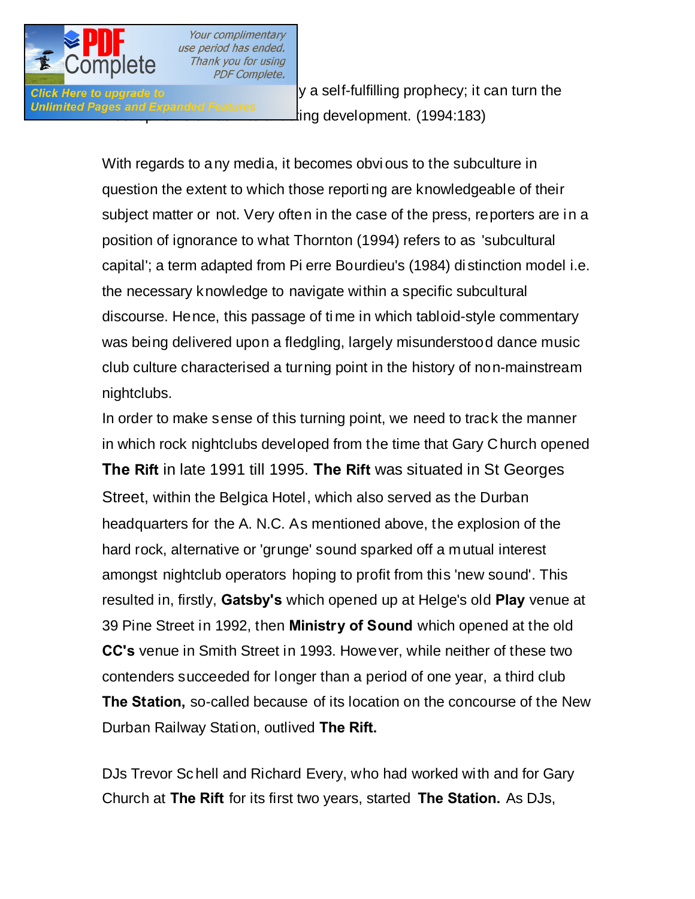

Click Here to upgrade to **interest in the self-fulfilling prophecy**; it can turn the Unlimited Pages and Expanded Features<br>ing development. (1994:183)

> With regards to a ny media, it becomes obvi ous to the subculture in question the extent to which those reporti ng are knowledgeable of their subject matter or not. Very often in the case of the press, reporters are in a position of ignorance to what Thornton (1994) refers to as 'subcultural capital'; a term adapted from Pi erre Bourdieu's (1984) di stinction model i.e. the necessary knowledge to navigate within a specific subcultural discourse. Hence, this passage of ti me in which tabloid-style commentary was being delivered upon a fledgling, largely misunderstood dance music club culture characterised a turning point in the history of non-mainstream nightclubs.

> In order to make sense of this turning point, we need to track the manner in which rock nightclubs developed from the time that Gary C hurch opened **The Rift** in late 1991 till 1995. **The Rift** was situated in St Georges Street, within the Belgica Hotel, which also served as the Durban headquarters for the A. N.C. As mentioned above, the explosion of the hard rock, alternative or 'grunge' sound sparked off a m utual interest amongst nightclub operators hoping to profit from this 'new sound'. This resulted in, firstly, **Gatsby's** which opened up at Helge's old **Play** venue at 39 Pine Street in 1992, then **Ministry of Sound** which opened at the old **CC's** venue in Smith Street in 1993. However, while neither of these two contenders succeeded for longer than a period of one year, a third club **The Station,** so-called because of its location on the concourse of the New Durban Railway Station, outlived **The Rift.**

DJs Trevor Sc hell and Richard Every, who had worked with and for Gary Church at **The Rift** for its first two years, started **The Station.** As DJs,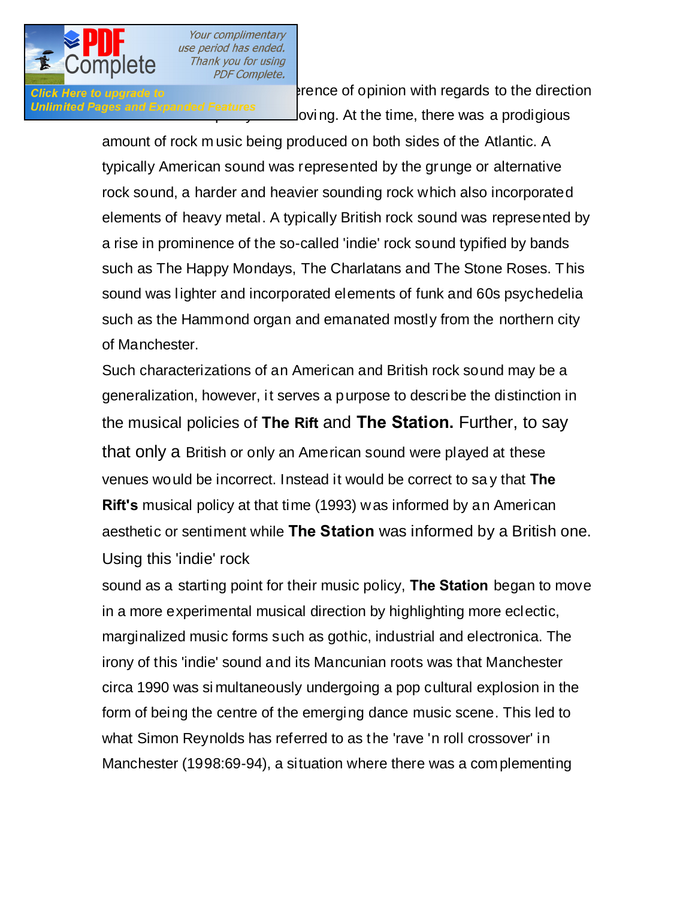

Click Here to upgrade to **Richard A difference of opinion with regards to the direction** *Unlimited Pages and Expanded Features* **DVing.** At the time, there was a prodigious

> amount of rock m usic being produced on both sides of the Atlantic. A typically American sound was represented by the grunge or alternative rock sound, a harder and heavier sounding rock which also incorporated elements of heavy metal. A typically British rock sound was represented by a rise in prominence of the so-called 'indie' rock sound typified by bands such as The Happy Mondays, The Charlatans and The Stone Roses. This sound was lighter and incorporated elements of funk and 60s psychedelia such as the Hammond organ and emanated mostly from the northern city of Manchester.

> Such characterizations of an American and British rock sound may be a generalization, however, it serves a purpose to describe the distinction in the musical policies of **The Rift** and **The Station.** Further, to say that only a British or only an American sound were played at these venues would be incorrect. Instead it would be correct to sa y that **The Rift's** musical policy at that time (1993) was informed by an American aesthetic or sentiment while **The Station** was informed by a British one. Using this 'indie' rock

> sound as a starting point for their music policy, **The Station** began to move in a more experimental musical direction by highlighting more eclectic, marginalized music forms such as gothic, industrial and electronica. The irony of this 'indie' sound and its Mancunian roots was that Manchester circa 1990 was si multaneously undergoing a pop cultural explosion in the form of being the centre of the emerging dance music scene. This led to what Simon Reynolds has referred to as the 'rave 'n roll crossover' in Manchester (1998:69-94), a situation where there was a com plementing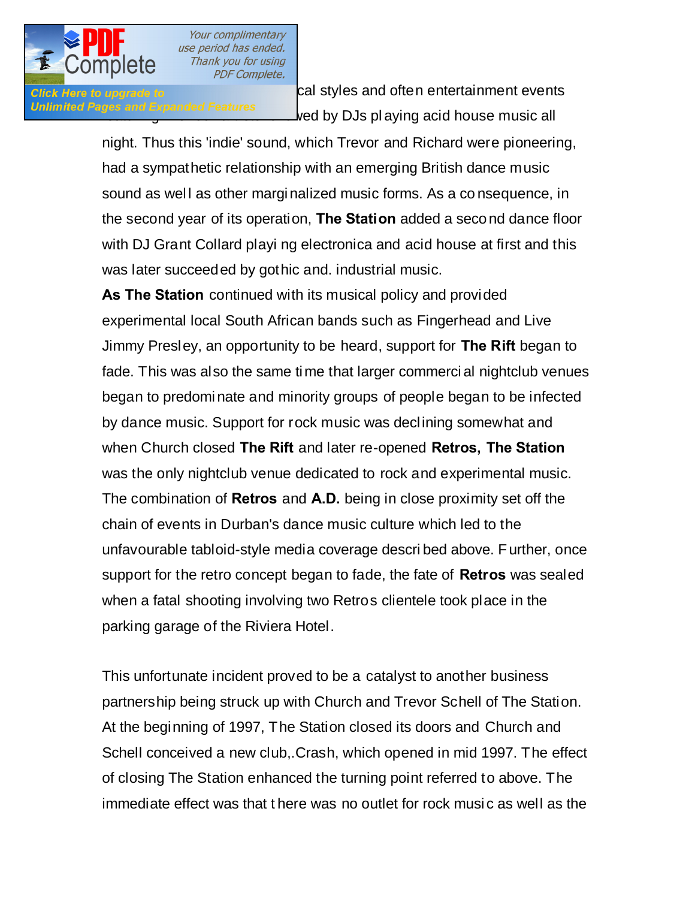**influence of the official styles and often entertainment events** Unlimited Pages and Expanded Features<br>Ned by DJs pl aying acid house music all

> night. Thus this 'indie' sound, which Trevor and Richard were pioneering, had a sympathetic relationship with an emerging British dance music sound as well as other marginalized music forms. As a consequence, in the second year of its operation, **The Station** added a seco nd dance floor with DJ Grant Collard playi ng electronica and acid house at first and this was later succeeded by gothic and. industrial music.

**As The Station** continued with its musical policy and provided experimental local South African bands such as Fingerhead and Live Jimmy Presley, an opportunity to be heard, support for **The Rift** began to fade. This was also the same time that larger commerci al nightclub venues began to predominate and minority groups of people began to be infected by dance music. Support for rock music was declining somewhat and when Church closed **The Rift** and later re-opened **Retros, The Station**  was the only nightclub venue dedicated to rock and experimental music. The combination of **Retros** and **A.D.** being in close proximity set off the chain of events in Durban's dance music culture which led to the unfavourable tabloid-style media coverage descri bed above. F urther, once support for the retro concept began to fade, the fate of **Retros** was sealed when a fatal shooting involving two Retros clientele took place in the parking garage of the Riviera Hotel.

This unfortunate incident proved to be a catalyst to another business partnership being struck up with Church and Trevor Schell of The Station. At the beginning of 1997, The Station closed its doors and Church and Schell conceived a new club,.Crash, which opened in mid 1997. The effect of closing The Station enhanced the turning point referred to above. The immediate effect was that t here was no outlet for rock musi c as well as the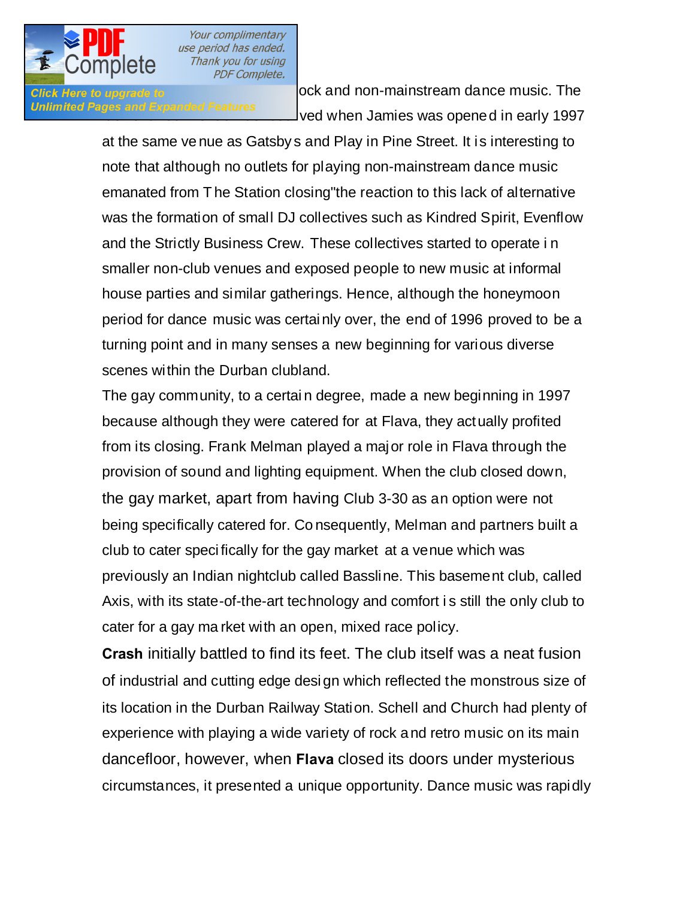

**Click Here to upgrade to rock and non-mainstream dance music. The** Unlimited Pages and Expanded Features<br>
Ved when Jamies was opened in early 1997

> at the same ve nue as Gatsby s and Play in Pine Street. It is interesting to note that although no outlets for playing non-mainstream dance music emanated from T he Station closing"the reaction to this lack of alternative was the formation of small DJ collectives such as Kindred Spirit, Evenflow and the Strictly Business Crew. These collectives started to operate i n smaller non-club venues and exposed people to new music at informal house parties and similar gatherings. Hence, although the honeymoon period for dance music was certainly over, the end of 1996 proved to be a turning point and in many senses a new beginning for various diverse scenes within the Durban clubland.

> The gay community, to a certai n degree, made a new beginning in 1997 because although they were catered for at Flava, they actually profited from its closing. Frank Melman played a major role in Flava through the provision of sound and lighting equipment. When the club closed down, the gay market, apart from having Club 3-30 as an option were not being specifically catered for. Co nsequently, Melman and partners built a club to cater speci fically for the gay market at a venue which was previously an Indian nightclub called Bassline. This basement club, called Axis, with its state-of-the-art technology and comfort i s still the only club to cater for a gay ma rket with an open, mixed race policy.

**Crash** initially battled to find its feet. The club itself was a neat fusion of industrial and cutting edge design which reflected the monstrous size of its location in the Durban Railway Station. Schell and Church had plenty of experience with playing a wide variety of rock and retro music on its main dancefloor, however, when **Flava** closed its doors under mysterious circumstances, it presented a unique opportunity. Dance music was rapidly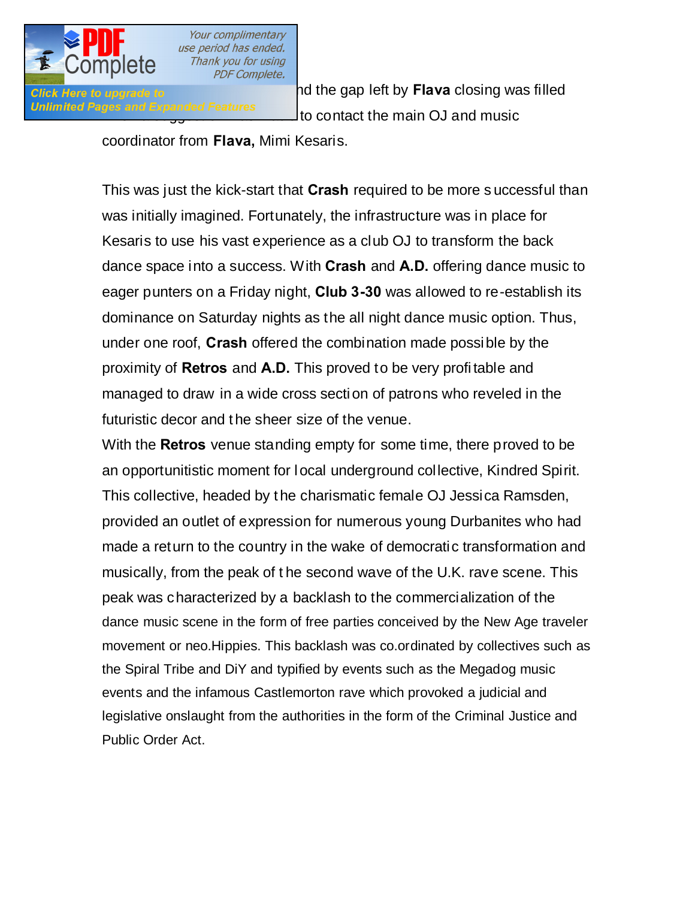

use period has ended. Thank you for using **PDF Complete.** 

**Click Here to upgrade to contract and the gap left by Flava closing was filled** Unlimited Pages and Expanded Features<br>Lo contact the main OJ and music

coordinator from **Flava,** Mimi Kesaris.

This was just the kick-start that **Crash** required to be more s uccessful than was initially imagined. Fortunately, the infrastructure was in place for Kesaris to use his vast experience as a club OJ to transform the back dance space into a success. With **Crash** and **A.D.** offering dance music to eager punters on a Friday night, **Club 3-30** was allowed to re-establish its dominance on Saturday nights as the all night dance music option. Thus, under one roof, **Crash** offered the combination made possible by the proximity of **Retros** and **A.D.** This proved to be very profi table and managed to draw in a wide cross secti on of patrons who reveled in the futuristic decor and the sheer size of the venue.

With the **Retros** venue standing empty for some time, there proved to be an opportunitistic moment for local underground collective, Kindred Spirit. This collective, headed by t he charismatic female OJ Jessica Ramsden, provided an outlet of expression for numerous young Durbanites who had made a return to the country in the wake of democratic transformation and musically, from the peak of t he second wave of the U.K. rave scene. This peak was characterized by a backlash to the commercialization of the dance music scene in the form of free parties conceived by the New Age traveler movement or neo.Hippies. This backlash was co.ordinated by collectives such as the Spiral Tribe and DiY and typified by events such as the Megadog music events and the infamous Castlemorton rave which provoked a judicial and legislative onslaught from the authorities in the form of the Criminal Justice and Public Order Act.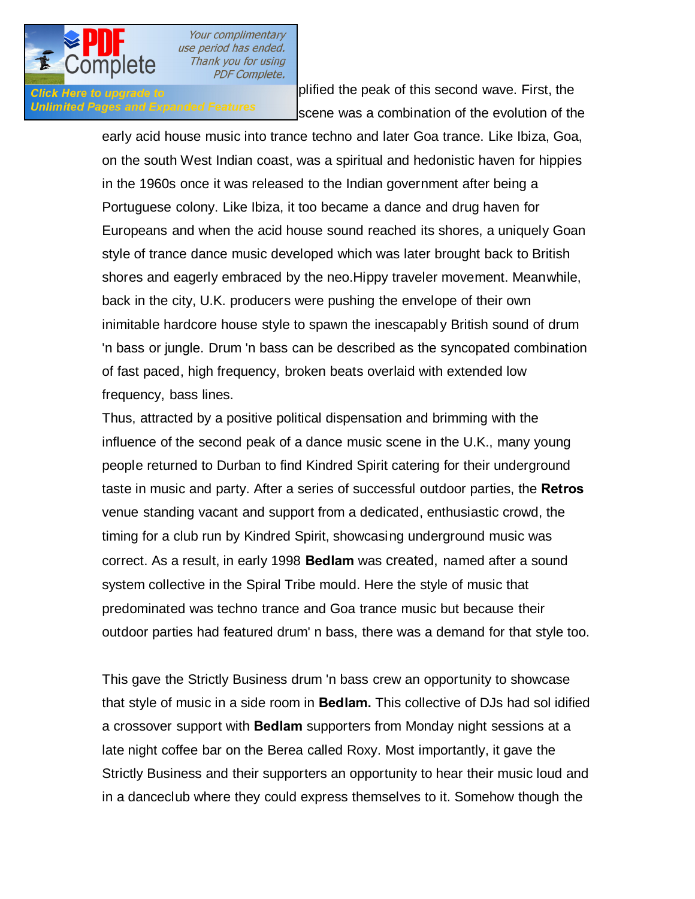

Click Here to upgrade to **The Click Here to upgrade to** plified the peak of this second wave. First, the Unlimited Pages and Expanded Features scene was a combination of the evolution of the

> early acid house music into trance techno and later Goa trance. Like Ibiza, Goa, on the south West Indian coast, was a spiritual and hedonistic haven for hippies in the 1960s once it was released to the Indian government after being a Portuguese colony. Like Ibiza, it too became a dance and drug haven for Europeans and when the acid house sound reached its shores, a uniquely Goan style of trance dance music developed which was later brought back to British shores and eagerly embraced by the neo.Hippy traveler movement. Meanwhile, back in the city, U.K. producers were pushing the envelope of their own inimitable hardcore house style to spawn the inescapably British sound of drum 'n bass or jungle. Drum 'n bass can be described as the syncopated combination of fast paced, high frequency, broken beats overlaid with extended low frequency, bass lines.

> Thus, attracted by a positive political dispensation and brimming with the influence of the second peak of a dance music scene in the U.K., many young people returned to Durban to find Kindred Spirit catering for their underground taste in music and party. After a series of successful outdoor parties, the **Retros**  venue standing vacant and support from a dedicated, enthusiastic crowd, the timing for a club run by Kindred Spirit, showcasing underground music was correct. As a result, in early 1998 **Bedlam** was created, named after a sound system collective in the Spiral Tribe mould. Here the style of music that predominated was techno trance and Goa trance music but because their outdoor parties had featured drum' n bass, there was a demand for that style too.

> This gave the Strictly Business drum 'n bass crew an opportunity to showcase that style of music in a side room in **Bedlam.** This collective of DJs had sol idified a crossover support with **Bedlam** supporters from Monday night sessions at a late night coffee bar on the Berea called Roxy. Most importantly, it gave the Strictly Business and their supporters an opportunity to hear their music loud and in a danceclub where they could express themselves to it. Somehow though the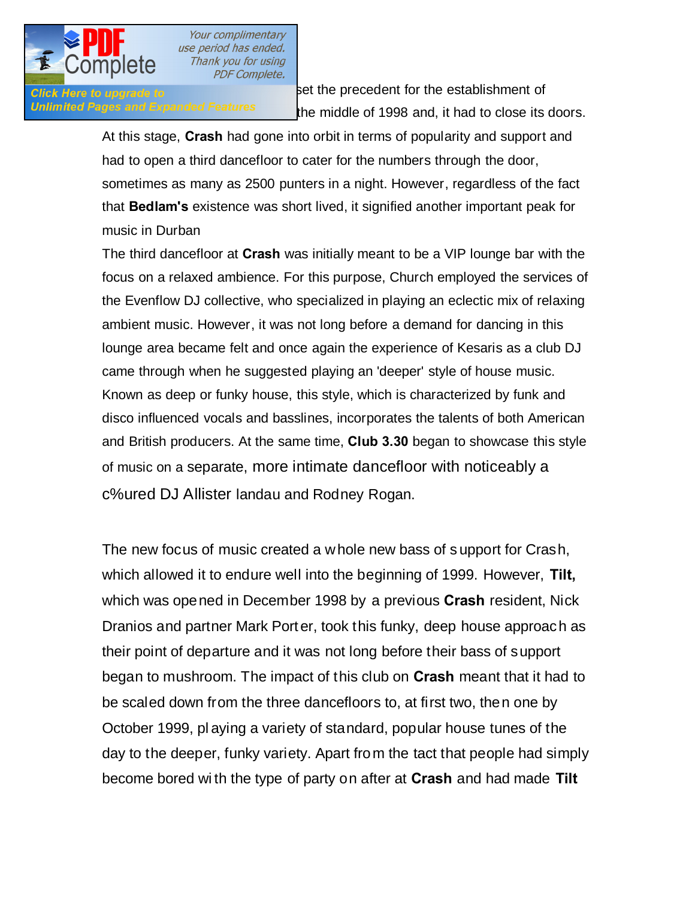

Click Here to upgrade to **Entity and Set the precedent for the establishment of Unlimited Pages and Expanded Features** the middle of 1998 and, it had to close its doors.

> At this stage, **Crash** had gone into orbit in terms of popularity and support and had to open a third dancefloor to cater for the numbers through the door, sometimes as many as 2500 punters in a night. However, regardless of the fact that **Bedlam's** existence was short lived, it signified another important peak for music in Durban

The third dancefloor at **Crash** was initially meant to be a VIP lounge bar with the focus on a relaxed ambience. For this purpose, Church employed the services of the Evenflow DJ collective, who specialized in playing an eclectic mix of relaxing ambient music. However, it was not long before a demand for dancing in this lounge area became felt and once again the experience of Kesaris as a club DJ came through when he suggested playing an 'deeper' style of house music. Known as deep or funky house, this style, which is characterized by funk and disco influenced vocals and basslines, incorporates the talents of both American and British producers. At the same time, **Club 3.30** began to showcase this style of music on a separate, more intimate dancefloor with noticeably a c%ured DJ Allister landau and Rodney Rogan.

The new focus of music created a w hole new bass of s upport for Crash, which allowed it to endure well into the beginning of 1999. However, **Tilt,**  which was opened in December 1998 by a previous **Crash** resident, Nick Dranios and partner Mark Port er, took this funky, deep house approach as their point of departure and it was not long before their bass of support began to mushroom. The impact of this club on **Crash** meant that it had to be scaled down from the three dancefloors to, at first two, then one by October 1999, pl aying a variety of standard, popular house tunes of the day to the deeper, funky variety. Apart fro m the tact that people had simply become bored wi th the type of party on after at **Crash** and had made **Tilt**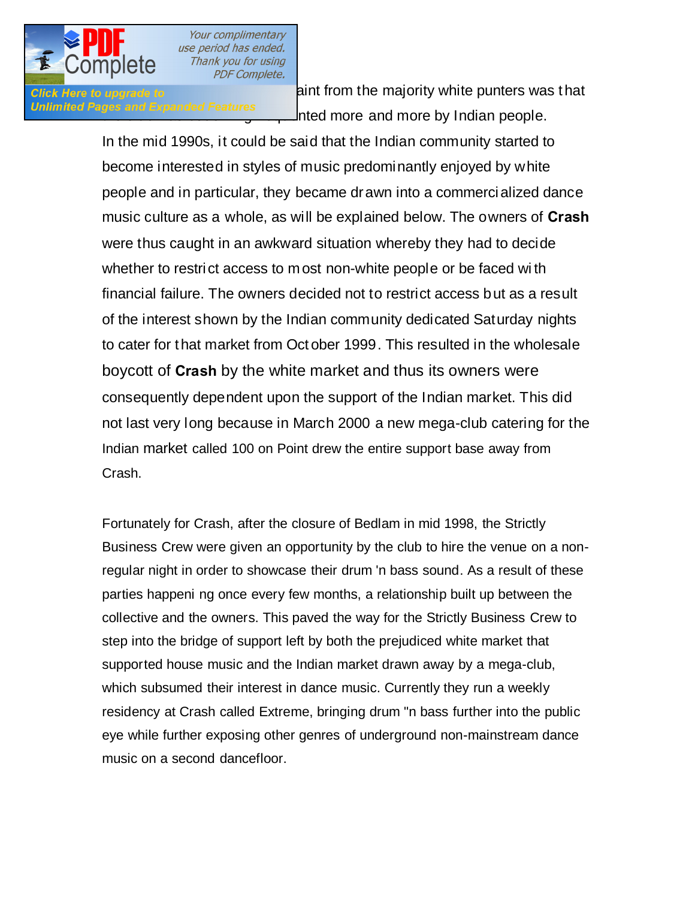

Click Here to upgrade to **the complaint from** the majority white punters was t hat Unlimited Pages and Expanded Features<br>Atled more and more by Indian people.

> In the mid 1990s, it could be said that the Indian community started to become interested in styles of music predominantly enjoyed by white people and in particular, they became drawn into a commerci alized dance music culture as a whole, as will be explained below. The owners of **Crash**  were thus caught in an awkward situation whereby they had to decide whether to restrict access to m ost non-white people or be faced wi th financial failure. The owners decided not to restrict access but as a result of the interest shown by the Indian community dedicated Saturday nights to cater for that market from Oct ober 1999. This resulted in the wholesale boycott of **Crash** by the white market and thus its owners were consequently dependent upon the support of the Indian market. This did not last very long because in March 2000 a new mega-club catering for the Indian market called 100 on Point drew the entire support base away from Crash.

> Fortunately for Crash, after the closure of Bedlam in mid 1998, the Strictly Business Crew were given an opportunity by the club to hire the venue on a nonregular night in order to showcase their drum 'n bass sound. As a result of these parties happeni ng once every few months, a relationship built up between the collective and the owners. This paved the way for the Strictly Business Crew to step into the bridge of support left by both the prejudiced white market that supported house music and the Indian market drawn away by a mega-club, which subsumed their interest in dance music. Currently they run a weekly residency at Crash called Extreme, bringing drum "n bass further into the public eye while further exposing other genres of underground non-mainstream dance music on a second dancefloor.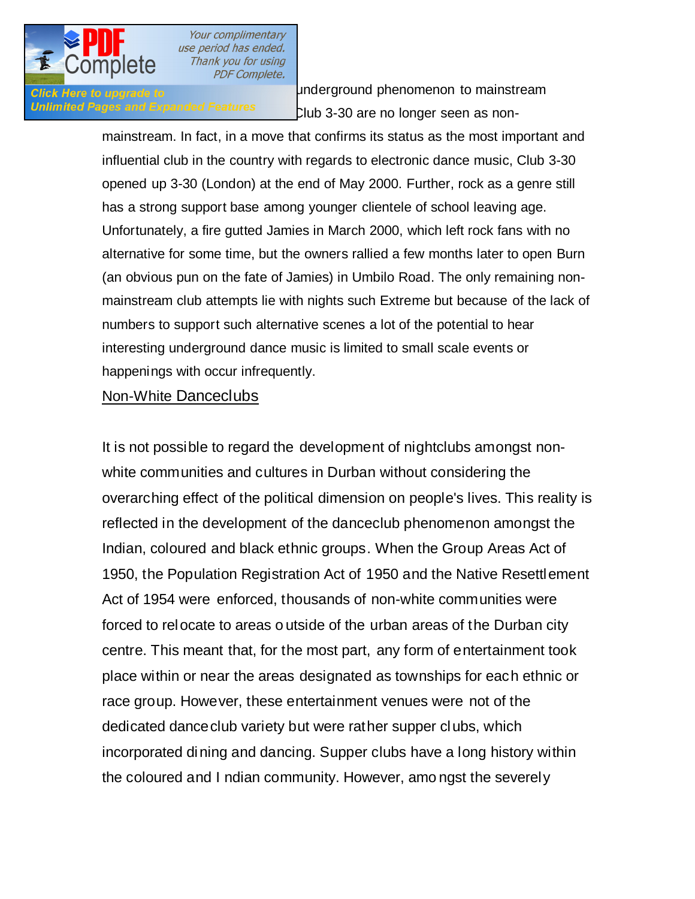

Click Here to upgrade to **Music growing from underground phenomenon** to mainstream Unlimited Pages and Expanded Features Club 3-30 are no longer seen as non-

> mainstream. In fact, in a move that confirms its status as the most important and influential club in the country with regards to electronic dance music, Club 3-30 opened up 3-30 (London) at the end of May 2000. Further, rock as a genre still has a strong support base among younger clientele of school leaving age. Unfortunately, a fire gutted Jamies in March 2000, which left rock fans with no alternative for some time, but the owners rallied a few months later to open Burn (an obvious pun on the fate of Jamies) in Umbilo Road. The only remaining nonmainstream club attempts lie with nights such Extreme but because of the lack of numbers to support such alternative scenes a lot of the potential to hear interesting underground dance music is limited to small scale events or happenings with occur infrequently.

## Non-White Danceclubs

It is not possible to regard the development of nightclubs amongst nonwhite communities and cultures in Durban without considering the overarching effect of the political dimension on people's lives. This reality is reflected in the development of the danceclub phenomenon amongst the Indian, coloured and black ethnic groups. When the Group Areas Act of 1950, the Population Registration Act of 1950 and the Native Resettlement Act of 1954 were enforced, thousands of non-white communities were forced to relocate to areas o utside of the urban areas of the Durban city centre. This meant that, for the most part, any form of entertainment took place within or near the areas designated as townships for each ethnic or race group. However, these entertainment venues were not of the dedicated dance club variety but were rather supper clubs, which incorporated dining and dancing. Supper clubs have a long history within the coloured and I ndian community. However, amo ngst the severely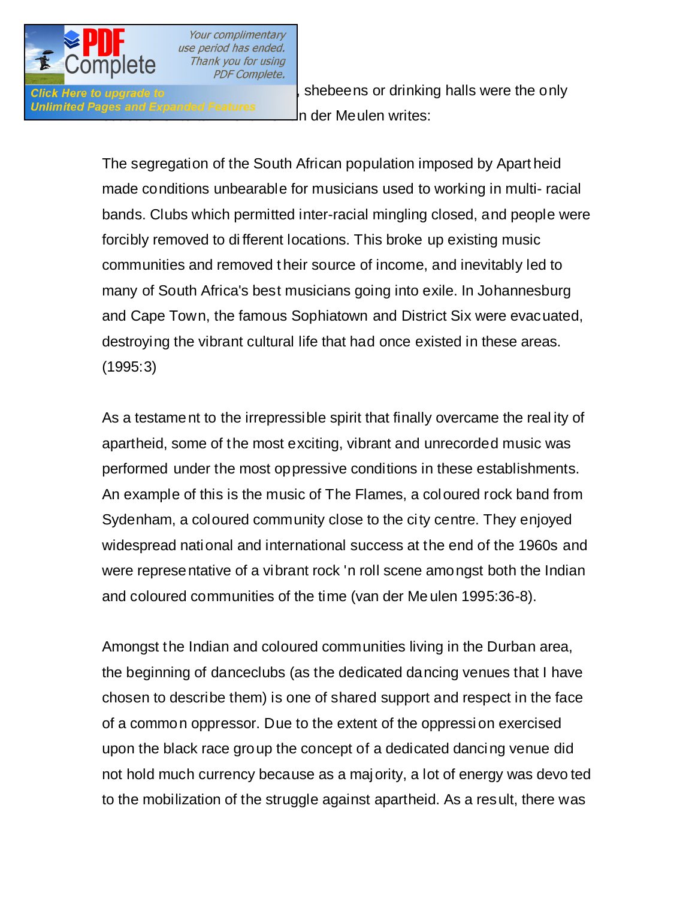

Click Here to upgrade to **notice and in the only** shebeens or drinking halls were the only outlet for entertainment. As van der Meulen writes:

> The segregation of the South African population imposed by Apart heid made conditions unbearable for musicians used to working in multi- racial bands. Clubs which permitted inter-racial mingling closed, and people were forcibly removed to di fferent locations. This broke up existing music communities and removed t heir source of income, and inevitably led to many of South Africa's best musicians going into exile. In Johannesburg and Cape Town, the famous Sophiatown and District Six were evacuated, destroying the vibrant cultural life that had once existed in these areas. (1995:3)

> As a testame nt to the irrepressible spirit that finally overcame the real ity of apartheid, some of the most exciting, vibrant and unrecorded music was performed under the most oppressive conditions in these establishments. An example of this is the music of The Flames, a coloured rock band from Sydenham, a coloured community close to the city centre. They enjoyed widespread national and international success at the end of the 1960s and were representative of a vibrant rock 'n roll scene amongst both the Indian and coloured communities of the time (van der Me ulen 1995:36-8).

> Amongst the Indian and coloured communities living in the Durban area, the beginning of danceclubs (as the dedicated dancing venues that I have chosen to describe them) is one of shared support and respect in the face of a common oppressor. Due to the extent of the oppressi on exercised upon the black race group the concept of a dedicated dancing venue did not hold much currency because as a maj ority, a lot of energy was devo ted to the mobilization of the struggle against apartheid. As a result, there was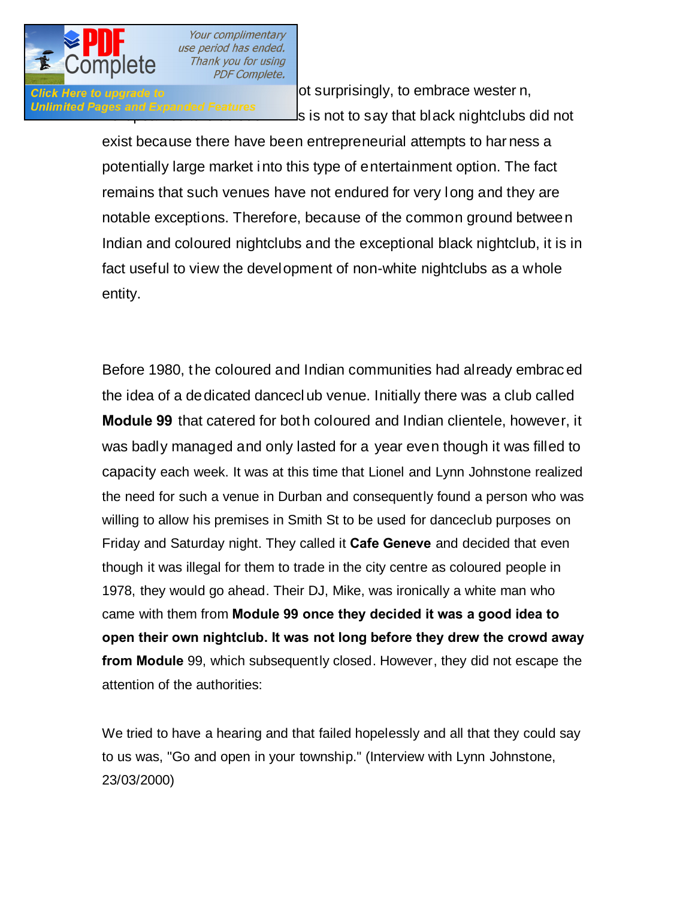**Click Here to upgrade to construct and all incredible constructs of surprisingly, to embrace wester n,** Unlimited Pages and Expanded Features<br>S is not to say that black nightclubs did not

> exist because there have been entrepreneurial attempts to har ness a potentially large market i nto this type of entertainment option. The fact remains that such venues have not endured for very long and they are notable exceptions. Therefore, because of the common ground between Indian and coloured nightclubs and the exceptional black nightclub, it is in fact useful to view the development of non-white nightclubs as a whole entity.

> Before 1980, t he coloured and Indian communities had already embrac ed the idea of a dedicated dancecl ub venue. Initially there was a club called **Module 99** that catered for both coloured and Indian clientele, however, it was badly managed and only lasted for a year even though it was filled to capacity each week. It was at this time that Lionel and Lynn Johnstone realized the need for such a venue in Durban and consequently found a person who was willing to allow his premises in Smith St to be used for danceclub purposes on Friday and Saturday night. They called it **Cafe Geneve** and decided that even though it was illegal for them to trade in the city centre as coloured people in 1978, they would go ahead. Their DJ, Mike, was ironically a white man who came with them from **Module 99 once they decided it was a good idea to open their own nightclub. It was not long before they drew the crowd away from Module** 99, which subsequently closed. However, they did not escape the attention of the authorities:

> We tried to have a hearing and that failed hopelessly and all that they could say to us was, "Go and open in your township." (Interview with Lynn Johnstone, 23/03/2000)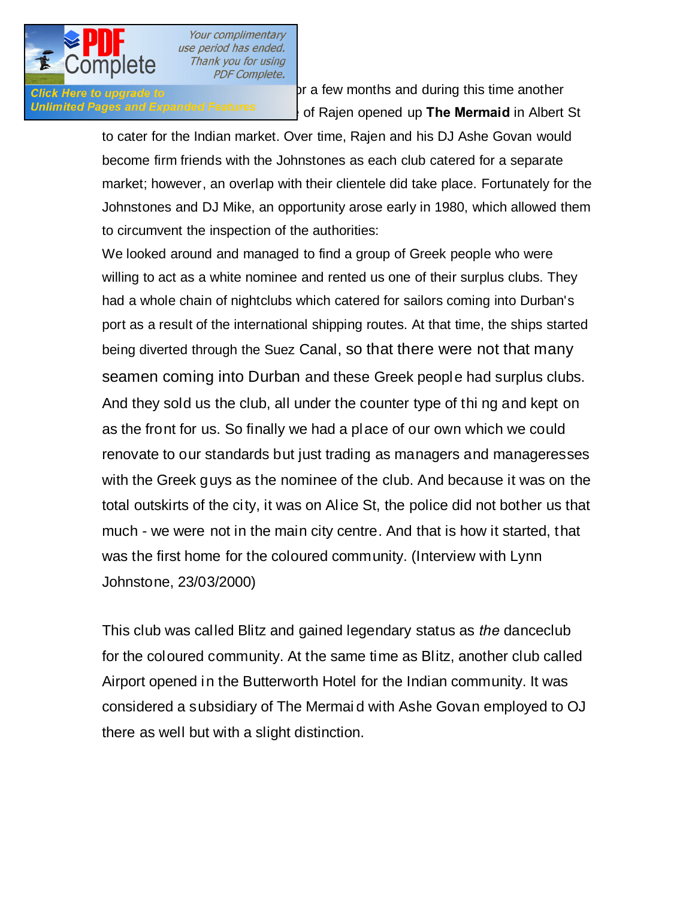

**Click Here to upgrade to a loss for a loss for a loss for a few months and during this time another** Infimited Pages and Expanded Features entries and the name of Rajen opened up **The Mermaid** in Albert St

> to cater for the Indian market. Over time, Rajen and his DJ Ashe Govan would become firm friends with the Johnstones as each club catered for a separate market; however, an overlap with their clientele did take place. Fortunately for the Johnstones and DJ Mike, an opportunity arose early in 1980, which allowed them to circumvent the inspection of the authorities:

> We looked around and managed to find a group of Greek people who were willing to act as a white nominee and rented us one of their surplus clubs. They had a whole chain of nightclubs which catered for sailors coming into Durban's port as a result of the international shipping routes. At that time, the ships started being diverted through the Suez Canal, so that there were not that many seamen coming into Durban and these Greek people had surplus clubs. And they sold us the club, all under the counter type of thi ng and kept on as the front for us. So finally we had a place of our own which we could renovate to our standards but just trading as managers and manageresses with the Greek guys as the nominee of the club. And because it was on the total outskirts of the city, it was on Alice St, the police did not bother us that much - we were not in the main city centre. And that is how it started, that was the first home for the coloured community. (Interview with Lynn Johnstone, 23/03/2000)

This club was called Blitz and gained legendary status as *the* danceclub for the coloured community. At the same time as Blitz, another club called Airport opened in the Butterworth Hotel for the Indian community. It was considered a subsidiary of The Mermai d with Ashe Govan employed to OJ there as well but with a slight distinction.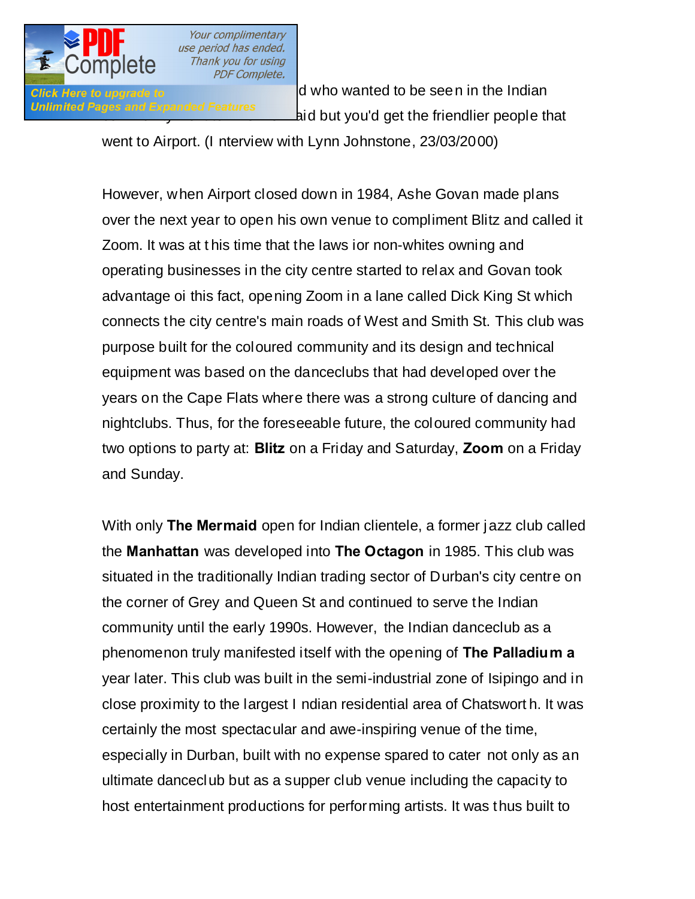

Click Here to upgrade to **Everyon Click** Here to upgrade to **be seen in the Indian** Unlimited Pages and Expanded Features<br>aid but you'd get the friendlier people that

went to Airport. (I nterview with Lynn Johnstone, 23/03/2000)

However, when Airport closed down in 1984, Ashe Govan made plans over the next year to open his own venue to compliment Blitz and called it Zoom. It was at t his time that the laws ior non-whites owning and operating businesses in the city centre started to relax and Govan took advantage oi this fact, opening Zoom in a lane called Dick King St which connects the city centre's main roads of West and Smith St. This club was purpose built for the coloured community and its design and technical equipment was based on the danceclubs that had developed over the years on the Cape Flats where there was a strong culture of dancing and nightclubs. Thus, for the foreseeable future, the coloured community had two options to party at: **Blitz** on a Friday and Saturday, **Zoom** on a Friday and Sunday.

With only **The Mermaid** open for Indian clientele, a former jazz club called the **Manhattan** was developed into **The Octagon** in 1985. This club was situated in the traditionally Indian trading sector of Durban's city centre on the corner of Grey and Queen St and continued to serve the Indian community until the early 1990s. However, the Indian danceclub as a phenomenon truly manifested itself with the opening of **The Palladium a**  year later. This club was built in the semi-industrial zone of Isipingo and in close proximity to the largest I ndian residential area of Chatswort h. It was certainly the most spectacular and awe-inspiring venue of the time, especially in Durban, built with no expense spared to cater not only as an ultimate danceclub but as a supper club venue including the capacity to host entertainment productions for performing artists. It was thus built to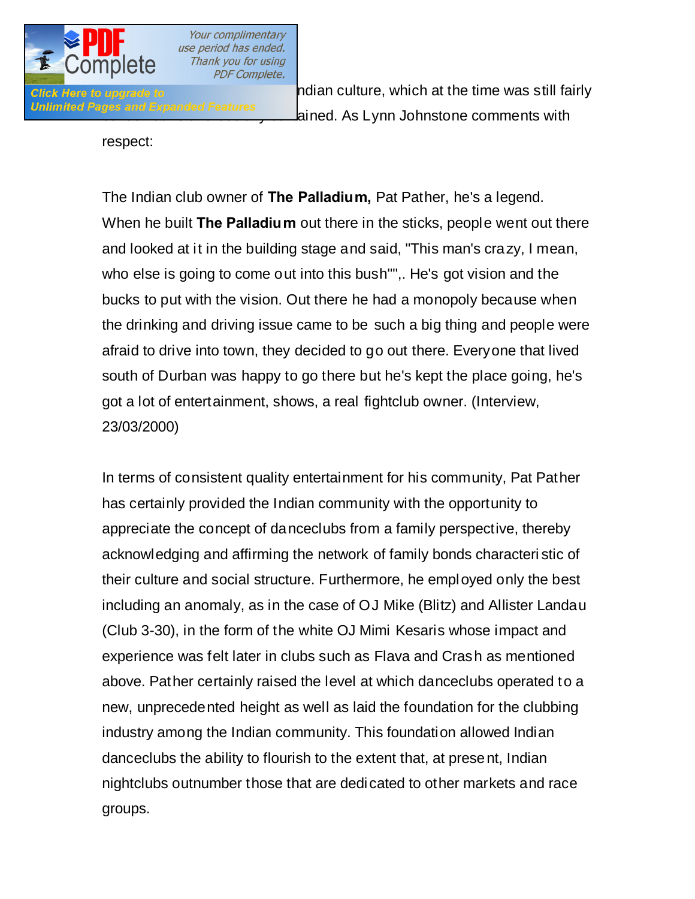

**Click Here to upgrade to the I now of the I ndian culture, which at the time was still fairly** Unlimited Pages and Expanded Features<br>Ained. As Lynn Johnstone comments with

respect:

The Indian club owner of **The Palladium,** Pat Pather, he's a legend. When he built **The Palladium** out there in the sticks, people went out there and looked at it in the building stage and said, "This man's crazy, I mean, who else is going to come out into this bush"",. He's got vision and the bucks to put with the vision. Out there he had a monopoly because when the drinking and driving issue came to be such a big thing and people were afraid to drive into town, they decided to go out there. Everyone that lived south of Durban was happy to go there but he's kept the place going, he's got a lot of entertainment, shows, a real fightclub owner. (Interview, 23/03/2000)

In terms of consistent quality entertainment for his community, Pat Pather has certainly provided the Indian community with the opportunity to appreciate the concept of danceclubs from a family perspective, thereby acknowledging and affirming the network of family bonds characteri stic of their culture and social structure. Furthermore, he employed only the best including an anomaly, as in the case of OJ Mike (Blitz) and Allister Landau (Club 3-30), in the form of the white OJ Mimi Kesaris whose impact and experience was felt later in clubs such as Flava and Crash as mentioned above. Pather certainly raised the level at which danceclubs operated to a new, unprecedented height as well as laid the foundation for the clubbing industry among the Indian community. This foundation allowed Indian danceclubs the ability to flourish to the extent that, at present, Indian nightclubs outnumber those that are dedicated to other markets and race groups.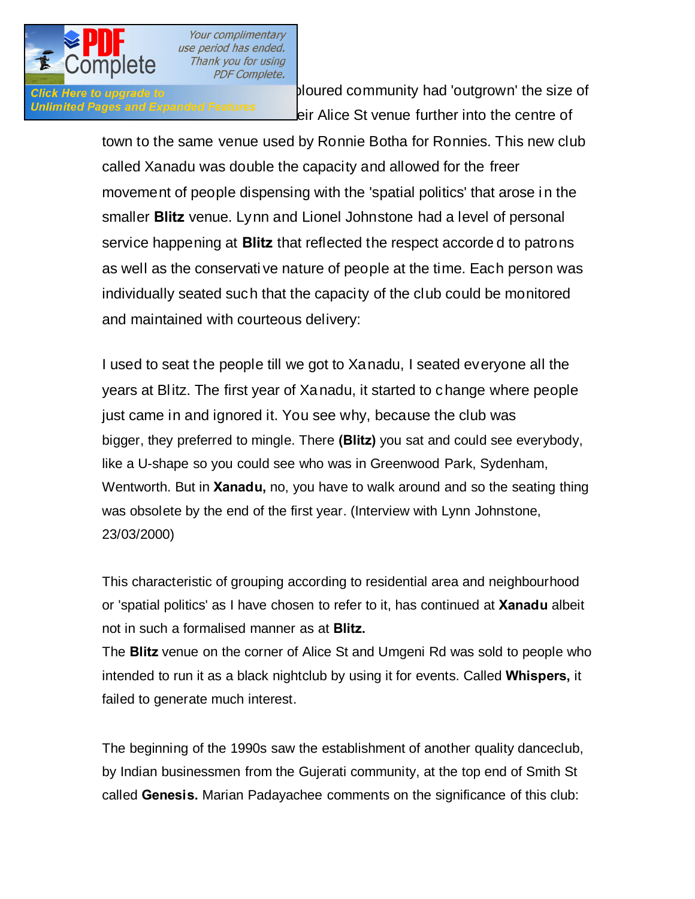

By the 1980s of the 1980s the 1980s the 1980s the 1980s the 1980s the community had 'outgrown' the size of **Blitz and Expanded Features**<br>**Bullimited Pages and Expanded Features**<br>**Bullimited Pages and Expanded Features** 

> town to the same venue used by Ronnie Botha for Ronnies. This new club called Xanadu was double the capacity and allowed for the freer movement of people dispensing with the 'spatial politics' that arose i n the smaller **Blitz** venue. Lynn and Lionel Johnstone had a level of personal service happening at **Blitz** that reflected the respect accorde d to patrons as well as the conservati ve nature of people at the time. Each person was individually seated such that the capacity of the club could be monitored and maintained with courteous delivery:

> I used to seat the people till we got to Xanadu, I seated everyone all the years at Blitz. The first year of Xa nadu, it started to c hange where people just came in and ignored it. You see why, because the club was bigger, they preferred to mingle. There **(Blitz)** you sat and could see everybody, like a U-shape so you could see who was in Greenwood Park, Sydenham, Wentworth. But in **Xanadu,** no, you have to walk around and so the seating thing was obsolete by the end of the first year. (Interview with Lynn Johnstone, 23/03/2000)

This characteristic of grouping according to residential area and neighbourhood or 'spatial politics' as I have chosen to refer to it, has continued at **Xanadu** albeit not in such a formalised manner as at **Blitz.** 

The **Blitz** venue on the corner of Alice St and Umgeni Rd was sold to people who intended to run it as a black nightclub by using it for events. Called **Whispers,** it failed to generate much interest.

The beginning of the 1990s saw the establishment of another quality danceclub, by Indian businessmen from the Gujerati community, at the top end of Smith St called **Genesis.** Marian Padayachee comments on the significance of this club: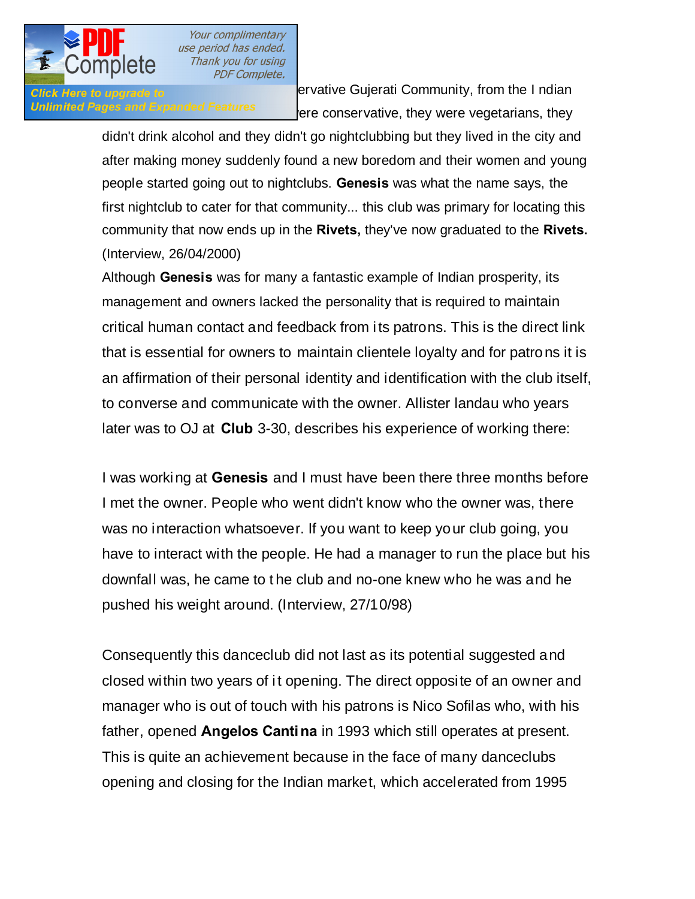

Click Here to upgrade to **Network in the conservative Gujerati Community**, from the I ndian Unlimited Pages and Expanded Features ereconservative, they were vegetarians, they

> didn't drink alcohol and they didn't go nightclubbing but they lived in the city and after making money suddenly found a new boredom and their women and young people started going out to nightclubs. **Genesis** was what the name says, the first nightclub to cater for that community... this club was primary for locating this community that now ends up in the **Rivets,** they've now graduated to the **Rivets.**  (Interview, 26/04/2000)

> Although **Genesis** was for many a fantastic example of Indian prosperity, its management and owners lacked the personality that is required to maintain critical human contact and feedback from i ts patrons. This is the direct link that is essential for owners to maintain clientele loyalty and for patro ns it is an affirmation of their personal identity and identification with the club itself, to converse and communicate with the owner. Allister landau who years later was to OJ at **Club** 3-30, describes his experience of working there:

> I was working at **Genesis** and I must have been there three months before I met the owner. People who went didn't know who the owner was, there was no interaction whatsoever. If you want to keep your club going, you have to interact with the people. He had a manager to run the place but his downfall was, he came to t he club and no-one knew who he was and he pushed his weight around. (Interview, 27/10/98)

Consequently this danceclub did not last as its potential suggested and closed within two years of i t opening. The direct opposite of an owner and manager who is out of touch with his patrons is Nico Sofilas who, with his father, opened **Angelos Cantina** in 1993 which still operates at present. This is quite an achievement because in the face of many danceclubs opening and closing for the Indian market, which accelerated from 1995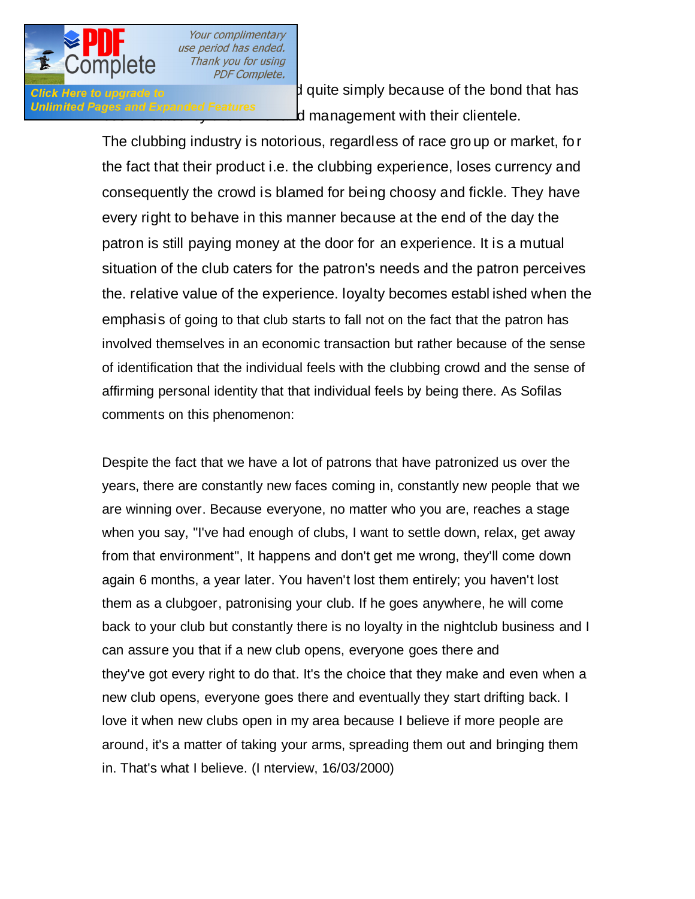

**Click Here to upgrade to <b>Anglelo Click** has a handled quite simply because of the bond that has Unlimited Pages and Expanded Features<br>d management with their clientele.

> The clubbing industry is notorious, regardless of race gro up or market, fo r the fact that their product i.e. the clubbing experience, loses currency and consequently the crowd is blamed for being choosy and fickle. They have every right to behave in this manner because at the end of the day the patron is still paying money at the door for an experience. It is a mutual situation of the club caters for the patron's needs and the patron perceives the. relative value of the experience. loyalty becomes establ ished when the emphasis of going to that club starts to fall not on the fact that the patron has involved themselves in an economic transaction but rather because of the sense of identification that the individual feels with the clubbing crowd and the sense of affirming personal identity that that individual feels by being there. As Sofilas comments on this phenomenon:

> Despite the fact that we have a lot of patrons that have patronized us over the years, there are constantly new faces coming in, constantly new people that we are winning over. Because everyone, no matter who you are, reaches a stage when you say, "I've had enough of clubs, I want to settle down, relax, get away from that environment", It happens and don't get me wrong, they'll come down again 6 months, a year later. You haven't lost them entirely; you haven't lost them as a clubgoer, patronising your club. If he goes anywhere, he will come back to your club but constantly there is no loyalty in the nightclub business and I can assure you that if a new club opens, everyone goes there and they've got every right to do that. It's the choice that they make and even when a new club opens, everyone goes there and eventually they start drifting back. I love it when new clubs open in my area because I believe if more people are around, it's a matter of taking your arms, spreading them out and bringing them in. That's what I believe. (I nterview, 16/03/2000)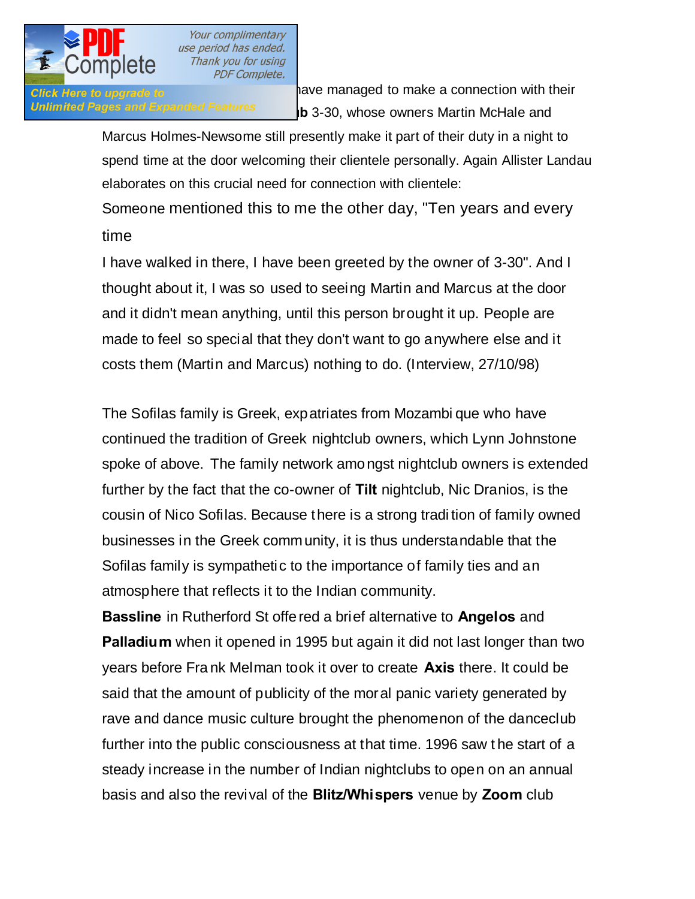

Another click Here to upgrade to **the owners have managed to make a connection with their Unlimited Pages and Expanded Features ib** 3-30, whose owners Martin McHale and

> Marcus Holmes-Newsome still presently make it part of their duty in a night to spend time at the door welcoming their clientele personally. Again Allister Landau elaborates on this crucial need for connection with clientele:

Someone mentioned this to me the other day, "Ten years and every time

I have walked in there, I have been greeted by the owner of 3-30". And I thought about it, I was so used to seeing Martin and Marcus at the door and it didn't mean anything, until this person brought it up. People are made to feel so special that they don't want to go anywhere else and it costs them (Martin and Marcus) nothing to do. (Interview, 27/10/98)

The Sofilas family is Greek, expatriates from Mozambi que who have continued the tradition of Greek nightclub owners, which Lynn Johnstone spoke of above. The family network amongst nightclub owners is extended further by the fact that the co-owner of **Tilt** nightclub, Nic Dranios, is the cousin of Nico Sofilas. Because there is a strong tradi tion of family owned businesses in the Greek comm unity, it is thus understandable that the Sofilas family is sympathetic to the importance of family ties and an atmosphere that reflects it to the Indian community.

**Bassline** in Rutherford St offe red a brief alternative to **Angelos** and **Palladium** when it opened in 1995 but again it did not last longer than two years before Fra nk Melman took it over to create **Axis** there. It could be said that the amount of publicity of the moral panic variety generated by rave and dance music culture brought the phenomenon of the danceclub further into the public consciousness at that time. 1996 saw t he start of a steady increase in the number of Indian nightclubs to open on an annual basis and also the revival of the **Blitz/Whispers** venue by **Zoom** club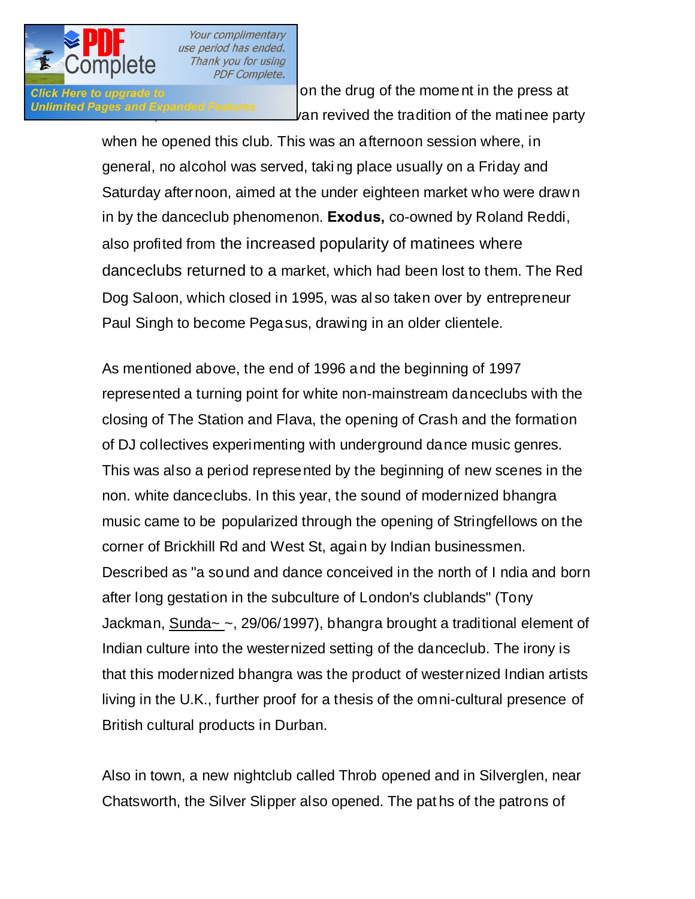

**Click Here to upgrade to Click Here to upgrade to click** on the drug of the moment in the press at Unlimited Pages and Expanded Features and allegation of the matinee party

> when he opened this club. This was an afternoon session where, in general, no alcohol was served, taki ng place usually on a Friday and Saturday afternoon, aimed at the under eighteen market who were draw n in by the danceclub phenomenon. **Exodus,** co-owned by Roland Reddi, also profited from the increased popularity of matinees where danceclubs returned to a market, which had been lost to them. The Red Dog Saloon, which closed in 1995, was al so taken over by entrepreneur Paul Singh to become Pegasus, drawing in an older clientele.

As mentioned above, the end of 1996 and the beginning of 1997 represented a turning point for white non-mainstream danceclubs with the closing of The Station and Flava, the opening of Crash and the formation of DJ collectives experimenting with underground dance music genres. This was also a period represented by the beginning of new scenes in the non. white danceclubs. In this year, the sound of modernized bhangra music came to be popularized through the opening of Stringfellows on the corner of Brickhill Rd and West St, again by Indian businessmen. Described as "a sound and dance conceived in the north of I ndia and born after long gestation in the subculture of London's clublands" (Tony Jackman, Sunda~ ~, 29/06/1997), bhangra brought a traditional element of Indian culture into the westernized setting of the danceclub. The irony is that this modernized bhangra was the product of westernized Indian artists living in the U.K., further proof for a thesis of the omni-cultural presence of British cultural products in Durban.

Also in town, a new nightclub called Throb opened and in Silverglen, near Chatsworth, the Silver Slipper also opened. The pat hs of the patrons of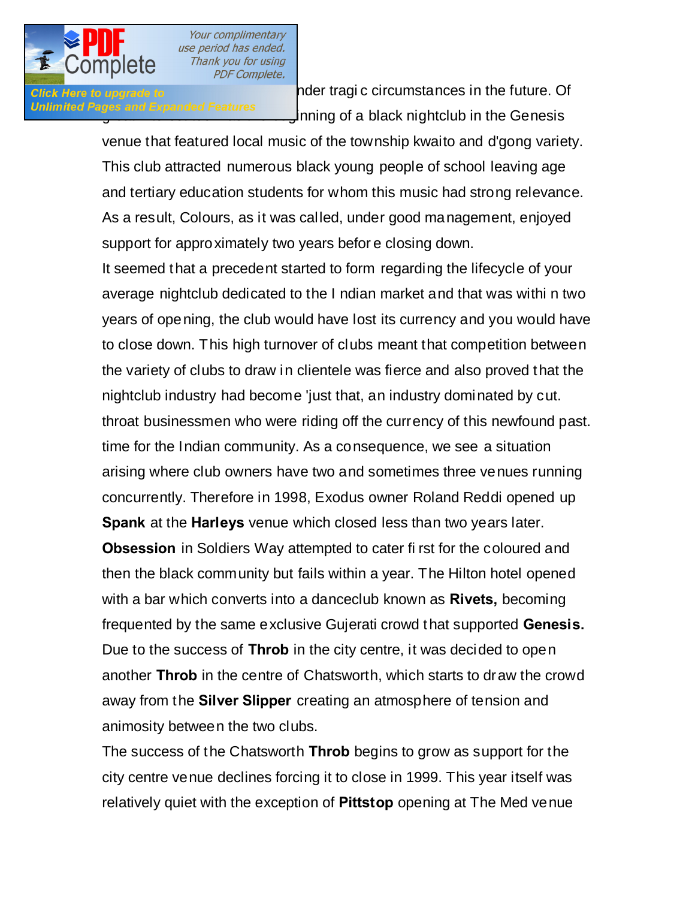

**Click Here to upgrade to clubs would cross under tragi c circumstances in the future. Of** Unlimited Pages and Expanded Features<br>inning of a black nightclub in the Genesis

> venue that featured local music of the township kwaito and d'gong variety. This club attracted numerous black young people of school leaving age and tertiary education students for whom this music had strong relevance. As a result, Colours, as it was called, under good management, enjoyed support for approximately two years befor e closing down.

It seemed that a precedent started to form regarding the lifecycle of your average nightclub dedicated to the I ndian market and that was withi n two years of opening, the club would have lost its currency and you would have to close down. This high turnover of clubs meant that competition between the variety of clubs to draw in clientele was fierce and also proved that the nightclub industry had become 'just that, an industry dominated by cut. throat businessmen who were riding off the currency of this newfound past. time for the Indian community. As a consequence, we see a situation arising where club owners have two and sometimes three venues running concurrently. Therefore in 1998, Exodus owner Roland Reddi opened up **Spank** at the **Harleys** venue which closed less than two years later.

**Obsession** in Soldiers Way attempted to cater fi rst for the coloured and then the black community but fails within a year. The Hilton hotel opened with a bar which converts into a danceclub known as **Rivets,** becoming frequented by the same exclusive Gujerati crowd that supported **Genesis.**  Due to the success of **Throb** in the city centre, it was decided to open another **Throb** in the centre of Chatsworth, which starts to draw the crowd away from the **Silver Slipper** creating an atmosphere of tension and animosity between the two clubs.

The success of the Chatsworth **Throb** begins to grow as support for the city centre venue declines forcing it to close in 1999. This year itself was relatively quiet with the exception of **Pittstop** opening at The Med venue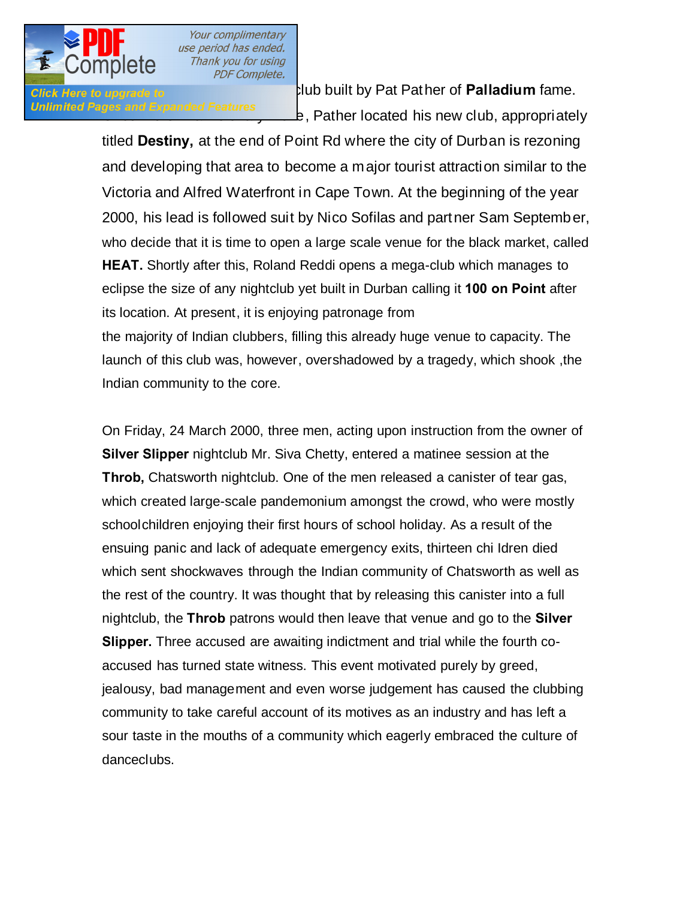

**and the eager of the eager of the eager of the eager of the eager of Palladium fame.** Unlimited Pages and Expanded Features e. Pather located his new club, appropriately

> titled **Destiny,** at the end of Point Rd where the city of Durban is rezoning and developing that area to become a major tourist attraction similar to the Victoria and Alfred Waterfront in Cape Town. At the beginning of the year 2000, his lead is followed suit by Nico Sofilas and partner Sam September, who decide that it is time to open a large scale venue for the black market, called **HEAT.** Shortly after this, Roland Reddi opens a mega-club which manages to eclipse the size of any nightclub yet built in Durban calling it **100 on Point** after its location. At present, it is enjoying patronage from the majority of Indian clubbers, filling this already huge venue to capacity. The

launch of this club was, however, overshadowed by a tragedy, which shook ,the Indian community to the core.

On Friday, 24 March 2000, three men, acting upon instruction from the owner of **Silver Slipper** nightclub Mr. Siva Chetty, entered a matinee session at the **Throb,** Chatsworth nightclub. One of the men released a canister of tear gas, which created large-scale pandemonium amongst the crowd, who were mostly schoolchildren enjoying their first hours of school holiday. As a result of the ensuing panic and lack of adequate emergency exits, thirteen chi Idren died which sent shockwaves through the Indian community of Chatsworth as well as the rest of the country. It was thought that by releasing this canister into a full nightclub, the **Throb** patrons would then leave that venue and go to the **Silver Slipper.** Three accused are awaiting indictment and trial while the fourth coaccused has turned state witness. This event motivated purely by greed, jealousy, bad management and even worse judgement has caused the clubbing community to take careful account of its motives as an industry and has left a sour taste in the mouths of a community which eagerly embraced the culture of danceclubs.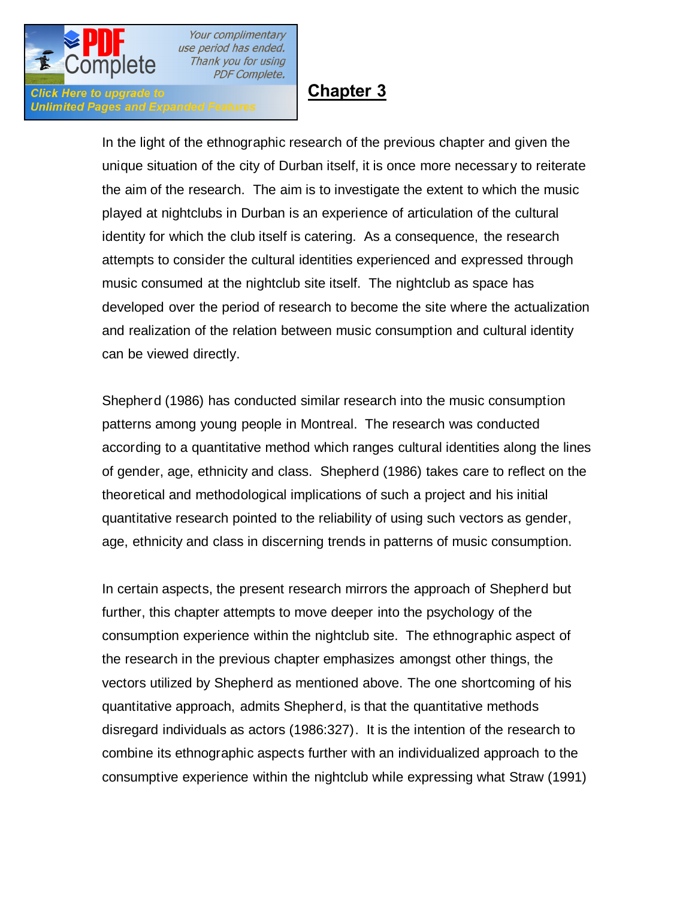

Click Here to upgrade to

**Unlimited Pages and Expanded Features** 

Your complimentary use period has ended. Thank you for using **PDF Complete.** 

## **Chapter 3**

In the light of the ethnographic research of the previous chapter and given the unique situation of the city of Durban itself, it is once more necessary to reiterate the aim of the research. The aim is to investigate the extent to which the music played at nightclubs in Durban is an experience of articulation of the cultural identity for which the club itself is catering. As a consequence, the research attempts to consider the cultural identities experienced and expressed through music consumed at the nightclub site itself. The nightclub as space has developed over the period of research to become the site where the actualization and realization of the relation between music consumption and cultural identity

can be viewed directly.

Shepherd (1986) has conducted similar research into the music consumption patterns among young people in Montreal. The research was conducted according to a quantitative method which ranges cultural identities along the lines of gender, age, ethnicity and class. Shepherd (1986) takes care to reflect on the theoretical and methodological implications of such a project and his initial quantitative research pointed to the reliability of using such vectors as gender, age, ethnicity and class in discerning trends in patterns of music consumption.

In certain aspects, the present research mirrors the approach of Shepherd but further, this chapter attempts to move deeper into the psychology of the consumption experience within the nightclub site. The ethnographic aspect of the research in the previous chapter emphasizes amongst other things, the vectors utilized by Shepherd as mentioned above. The one shortcoming of his quantitative approach, admits Shepherd, is that the quantitative methods disregard individuals as actors (1986:327). It is the intention of the research to combine its ethnographic aspects further with an individualized approach to the consumptive experience within the nightclub while expressing what Straw (1991)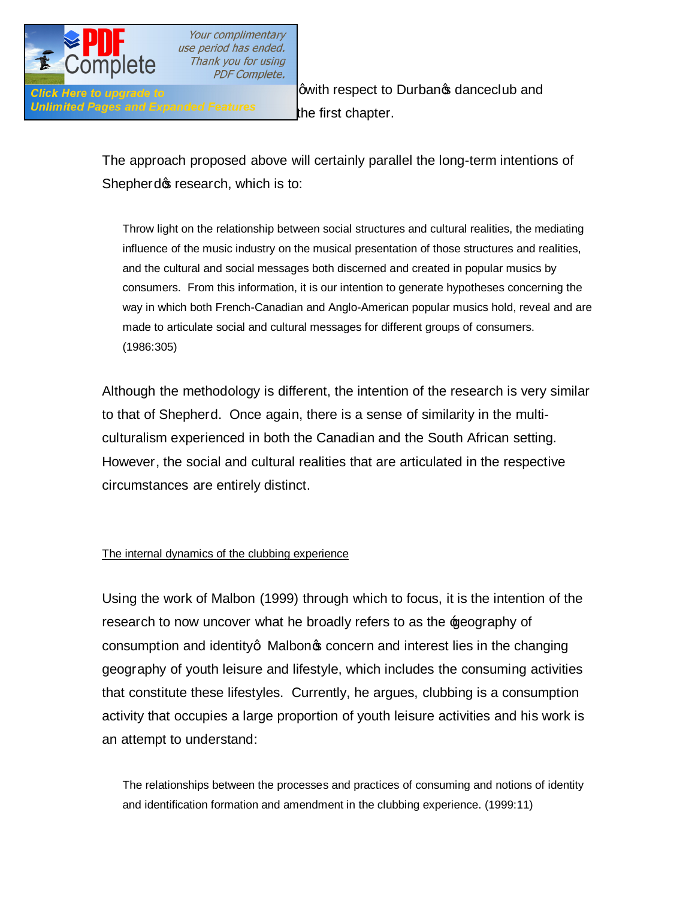

Unlimited Pages and Expanded Features **the first chapter**.

**Click Here to upgrade to Click Here to upgrade to Click Here to Durban**ge' danceclub and

The approach proposed above will certainly parallel the long-term intentions of Shepherd of research, which is to:

Throw light on the relationship between social structures and cultural realities, the mediating influence of the music industry on the musical presentation of those structures and realities, and the cultural and social messages both discerned and created in popular musics by consumers. From this information, it is our intention to generate hypotheses concerning the way in which both French-Canadian and Anglo-American popular musics hold, reveal and are made to articulate social and cultural messages for different groups of consumers. (1986:305)

Although the methodology is different, the intention of the research is very similar to that of Shepherd. Once again, there is a sense of similarity in the multiculturalism experienced in both the Canadian and the South African setting. However, the social and cultural realities that are articulated in the respective circumstances are entirely distinct.

## The internal dynamics of the clubbing experience

Using the work of Malbon (1999) through which to focus, it is the intention of the research to now uncover what he broadly refers to as the **geography of** consumption and identityg. Malbon<sub>®</sub> concern and interest lies in the changing geography of youth leisure and lifestyle, which includes the consuming activities that constitute these lifestyles. Currently, he argues, clubbing is a consumption activity that occupies a large proportion of youth leisure activities and his work is an attempt to understand:

The relationships between the processes and practices of consuming and notions of identity and identification formation and amendment in the clubbing experience. (1999:11)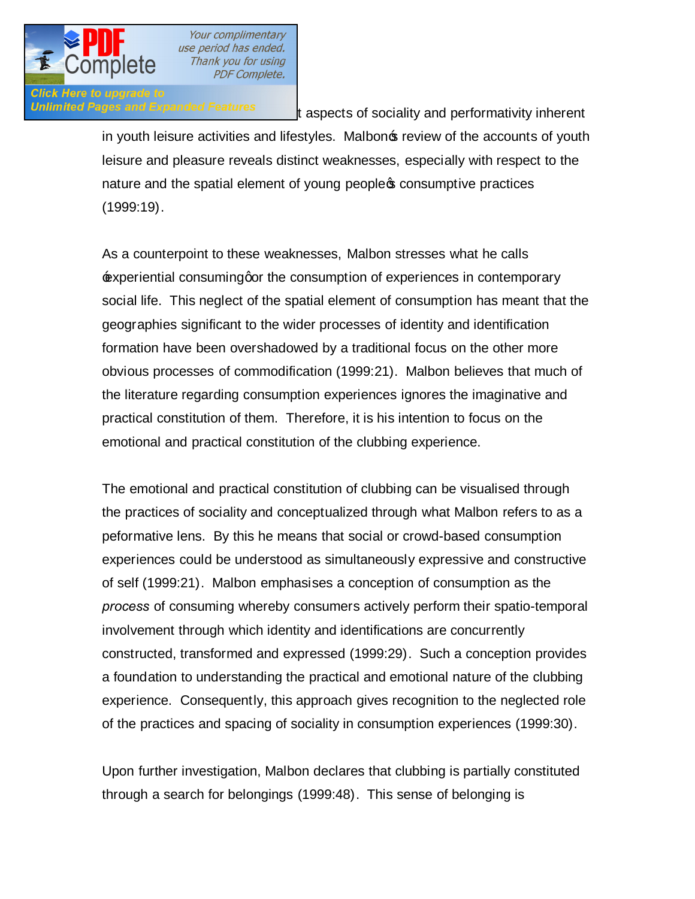

Click Here to upgrade to

Unlimited Pages and Expanded Features the aspects of sociality and performativity inherent

in youth leisure activities and lifestyles. Malbons review of the accounts of youth leisure and pleasure reveals distinct weaknesses, especially with respect to the nature and the spatial element of young people consumptive practices (1999:19).

As a counterpoint to these weaknesses, Malbon stresses what he calls Experiential consuming or the consumption of experiences in contemporary social life. This neglect of the spatial element of consumption has meant that the geographies significant to the wider processes of identity and identification formation have been overshadowed by a traditional focus on the other more obvious processes of commodification (1999:21). Malbon believes that much of the literature regarding consumption experiences ignores the imaginative and practical constitution of them. Therefore, it is his intention to focus on the emotional and practical constitution of the clubbing experience.

The emotional and practical constitution of clubbing can be visualised through the practices of sociality and conceptualized through what Malbon refers to as a peformative lens. By this he means that social or crowd-based consumption experiences could be understood as simultaneously expressive and constructive of self (1999:21). Malbon emphasises a conception of consumption as the *process* of consuming whereby consumers actively perform their spatio-temporal involvement through which identity and identifications are concurrently constructed, transformed and expressed (1999:29). Such a conception provides a foundation to understanding the practical and emotional nature of the clubbing experience. Consequently, this approach gives recognition to the neglected role of the practices and spacing of sociality in consumption experiences (1999:30).

Upon further investigation, Malbon declares that clubbing is partially constituted through a search for belongings (1999:48). This sense of belonging is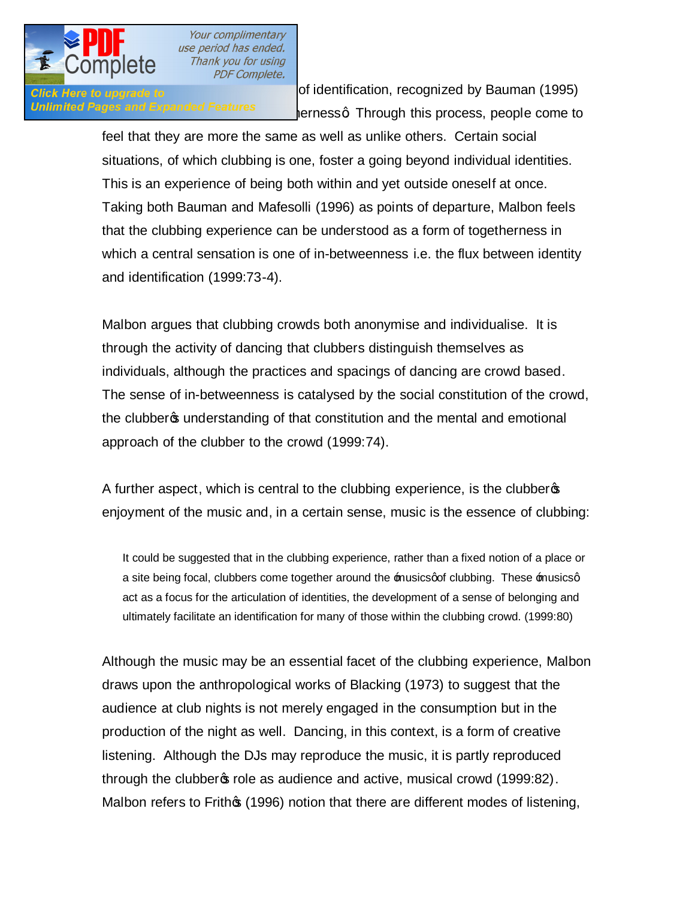

**Click Here to upgrade to controll the process of identification, recognized by Bauman (1995)** Unlimited Pages and Expanded Features bernessd Through this process, people come to

> feel that they are more the same as well as unlike others. Certain social situations, of which clubbing is one, foster a going beyond individual identities. This is an experience of being both within and yet outside oneself at once. Taking both Bauman and Mafesolli (1996) as points of departure, Malbon feels that the clubbing experience can be understood as a form of togetherness in which a central sensation is one of in-betweenness i.e. the flux between identity and identification (1999:73-4).

Malbon argues that clubbing crowds both anonymise and individualise. It is through the activity of dancing that clubbers distinguish themselves as individuals, although the practices and spacings of dancing are crowd based. The sense of in-betweenness is catalysed by the social constitution of the crowd, the clubber<sub>s</sub> understanding of that constitution and the mental and emotional approach of the clubber to the crowd (1999:74).

A further aspect, which is central to the clubbing experience, is the clubber $\infty$ enjoyment of the music and, in a certain sense, music is the essence of clubbing:

It could be suggested that in the clubbing experience, rather than a fixed notion of a place or a site being focal, clubbers come together around the musics of clubbing. These musics q act as a focus for the articulation of identities, the development of a sense of belonging and ultimately facilitate an identification for many of those within the clubbing crowd. (1999:80)

Although the music may be an essential facet of the clubbing experience, Malbon draws upon the anthropological works of Blacking (1973) to suggest that the audience at club nights is not merely engaged in the consumption but in the production of the night as well. Dancing, in this context, is a form of creative listening. Although the DJs may reproduce the music, it is partly reproduced through the clubber of role as audience and active, musical crowd (1999:82). Malbon refers to Frith $\infty$  (1996) notion that there are different modes of listening,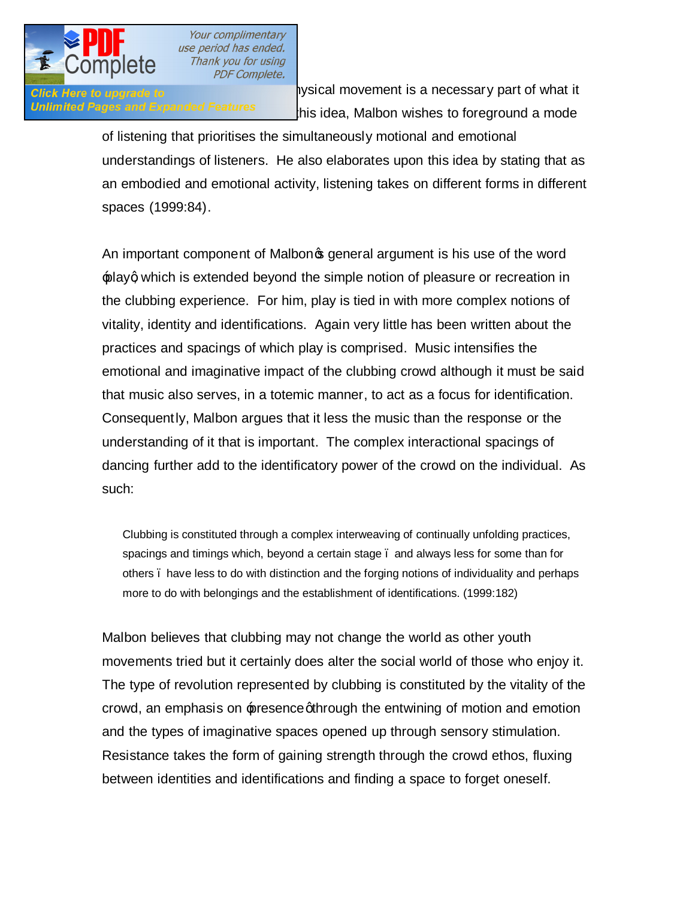

**Click Here to upgrade to curs when our physical movement is a necessary part of what it** Unlimited Pages and Expanded Features his idea, Malbon wishes to foreground a mode

> of listening that prioritises the simultaneously motional and emotional understandings of listeners. He also elaborates upon this idea by stating that as an embodied and emotional activity, listening takes on different forms in different spaces (1999:84).

> An important component of Malbon<sub>\$</sub> general argument is his use of the word  $\frac{1}{2}$  playg which is extended beyond the simple notion of pleasure or recreation in the clubbing experience. For him, play is tied in with more complex notions of vitality, identity and identifications. Again very little has been written about the practices and spacings of which play is comprised. Music intensifies the emotional and imaginative impact of the clubbing crowd although it must be said that music also serves, in a totemic manner, to act as a focus for identification. Consequently, Malbon argues that it less the music than the response or the understanding of it that is important. The complex interactional spacings of dancing further add to the identificatory power of the crowd on the individual. As such:

Clubbing is constituted through a complex interweaving of continually unfolding practices, spacings and timings which, beyond a certain stage – and always less for some than for others – have less to do with distinction and the forging notions of individuality and perhaps more to do with belongings and the establishment of identifications. (1999:182)

Malbon believes that clubbing may not change the world as other youth movements tried but it certainly does alter the social world of those who enjoy it. The type of revolution represented by clubbing is constituted by the vitality of the crowd, an emphasis on presence othrough the entwining of motion and emotion and the types of imaginative spaces opened up through sensory stimulation. Resistance takes the form of gaining strength through the crowd ethos, fluxing between identities and identifications and finding a space to forget oneself.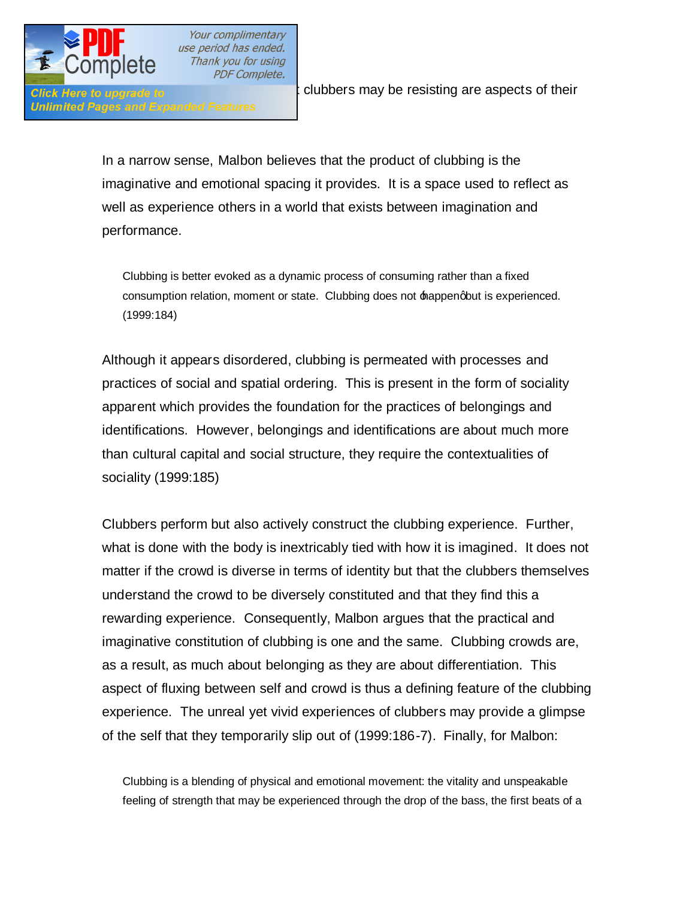

**Unlimited Pages and Expanded Features** 

**Click Here to upgrade to Clubbers** May be resisting are aspects of their

In a narrow sense, Malbon believes that the product of clubbing is the imaginative and emotional spacing it provides. It is a space used to reflect as well as experience others in a world that exists between imagination and performance.

Clubbing is better evoked as a dynamic process of consuming rather than a fixed consumption relation, moment or state. Clubbing does not  $\pm$ appengbut is experienced. (1999:184)

Although it appears disordered, clubbing is permeated with processes and practices of social and spatial ordering. This is present in the form of sociality apparent which provides the foundation for the practices of belongings and identifications. However, belongings and identifications are about much more than cultural capital and social structure, they require the contextualities of sociality (1999:185)

Clubbers perform but also actively construct the clubbing experience. Further, what is done with the body is inextricably tied with how it is imagined. It does not matter if the crowd is diverse in terms of identity but that the clubbers themselves understand the crowd to be diversely constituted and that they find this a rewarding experience. Consequently, Malbon argues that the practical and imaginative constitution of clubbing is one and the same. Clubbing crowds are, as a result, as much about belonging as they are about differentiation. This aspect of fluxing between self and crowd is thus a defining feature of the clubbing experience. The unreal yet vivid experiences of clubbers may provide a glimpse of the self that they temporarily slip out of (1999:186-7). Finally, for Malbon:

Clubbing is a blending of physical and emotional movement: the vitality and unspeakable feeling of strength that may be experienced through the drop of the bass, the first beats of a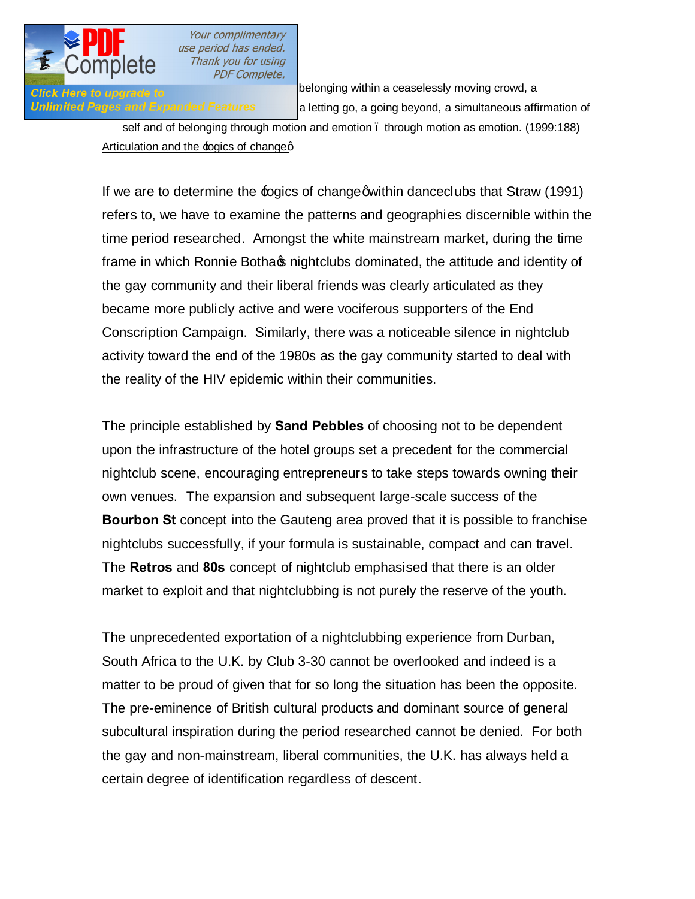

**facture track, a fleeting instant of the fleeting instant of belonging within a ceaselessly moving crowd, a fleeting instant of belonging within a ceaselessly moving crowd, a** Unlimited Pages and Expanded Features aletting go, a going beyond, a simultaneous affirmation of

> self and of belonging through motion and emotion – through motion as emotion. (1999:188) Articulation and the bogics of changeg

If we are to determine the bogics of change qwithin danceclubs that Straw (1991) refers to, we have to examine the patterns and geographies discernible within the time period researched. Amongst the white mainstream market, during the time frame in which Ronnie Bothas nightclubs dominated, the attitude and identity of the gay community and their liberal friends was clearly articulated as they became more publicly active and were vociferous supporters of the End Conscription Campaign. Similarly, there was a noticeable silence in nightclub activity toward the end of the 1980s as the gay community started to deal with the reality of the HIV epidemic within their communities.

The principle established by **Sand Pebbles** of choosing not to be dependent upon the infrastructure of the hotel groups set a precedent for the commercial nightclub scene, encouraging entrepreneurs to take steps towards owning their own venues. The expansion and subsequent large-scale success of the **Bourbon St** concept into the Gauteng area proved that it is possible to franchise nightclubs successfully, if your formula is sustainable, compact and can travel. The **Retros** and **80s** concept of nightclub emphasised that there is an older market to exploit and that nightclubbing is not purely the reserve of the youth.

The unprecedented exportation of a nightclubbing experience from Durban, South Africa to the U.K. by Club 3-30 cannot be overlooked and indeed is a matter to be proud of given that for so long the situation has been the opposite. The pre-eminence of British cultural products and dominant source of general subcultural inspiration during the period researched cannot be denied. For both the gay and non-mainstream, liberal communities, the U.K. has always held a certain degree of identification regardless of descent.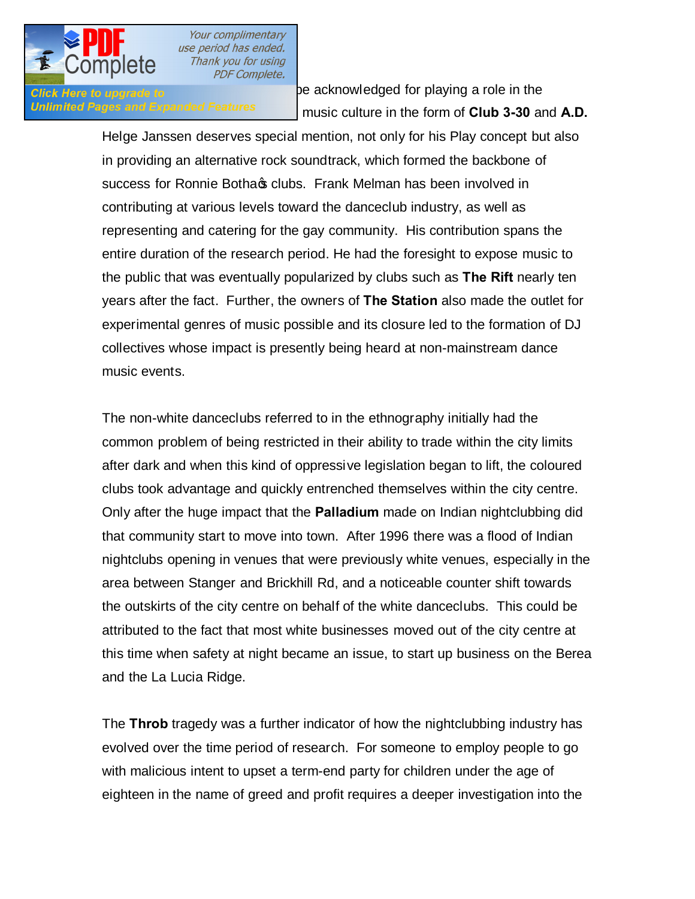

Click Here to upgrade to **The gay community against be acknowledged for playing a role in the Definited Pages and Expanded Features** music culture in the form of **Club 3-30** and A.D.

> Helge Janssen deserves special mention, not only for his Play concept but also in providing an alternative rock soundtrack, which formed the backbone of success for Ronnie Bothac clubs. Frank Melman has been involved in contributing at various levels toward the danceclub industry, as well as representing and catering for the gay community. His contribution spans the entire duration of the research period. He had the foresight to expose music to the public that was eventually popularized by clubs such as **The Rift** nearly ten years after the fact. Further, the owners of **The Station** also made the outlet for experimental genres of music possible and its closure led to the formation of DJ collectives whose impact is presently being heard at non-mainstream dance music events.

The non-white danceclubs referred to in the ethnography initially had the common problem of being restricted in their ability to trade within the city limits after dark and when this kind of oppressive legislation began to lift, the coloured clubs took advantage and quickly entrenched themselves within the city centre. Only after the huge impact that the **Palladium** made on Indian nightclubbing did that community start to move into town. After 1996 there was a flood of Indian nightclubs opening in venues that were previously white venues, especially in the area between Stanger and Brickhill Rd, and a noticeable counter shift towards the outskirts of the city centre on behalf of the white danceclubs. This could be attributed to the fact that most white businesses moved out of the city centre at this time when safety at night became an issue, to start up business on the Berea and the La Lucia Ridge.

The **Throb** tragedy was a further indicator of how the nightclubbing industry has evolved over the time period of research. For someone to employ people to go with malicious intent to upset a term-end party for children under the age of eighteen in the name of greed and profit requires a deeper investigation into the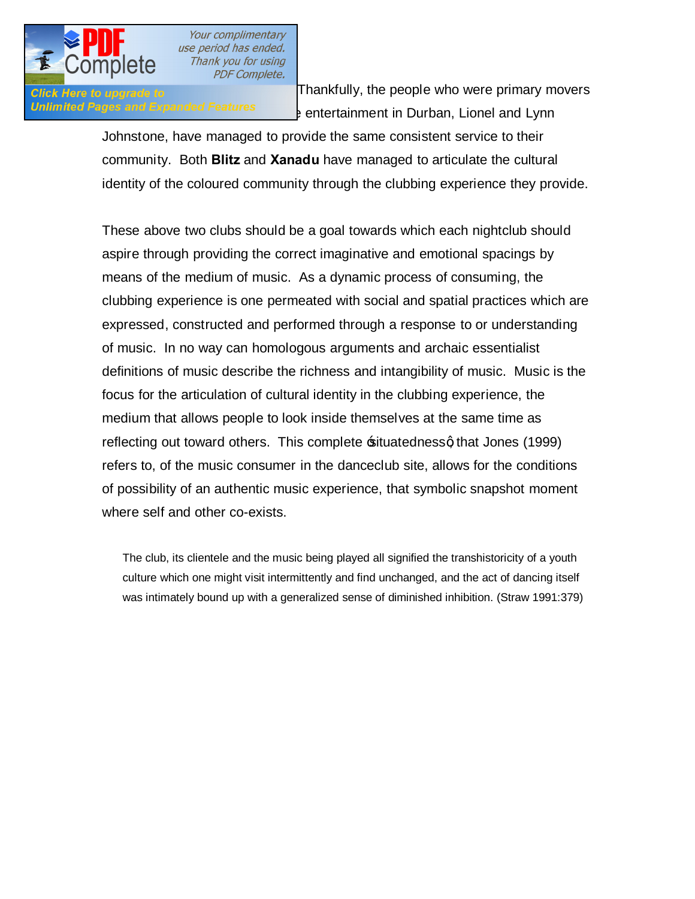

Click Here to upgrade to **value of the intervalue of Thankfully**, the people who were primary movers Infimited Pages and Expanded Features bentertainment in Durban, Lionel and Lynn

> Johnstone, have managed to provide the same consistent service to their community. Both **Blitz** and **Xanadu** have managed to articulate the cultural identity of the coloured community through the clubbing experience they provide.

> These above two clubs should be a goal towards which each nightclub should aspire through providing the correct imaginative and emotional spacings by means of the medium of music. As a dynamic process of consuming, the clubbing experience is one permeated with social and spatial practices which are expressed, constructed and performed through a response to or understanding of music. In no way can homologous arguments and archaic essentialist definitions of music describe the richness and intangibility of music. Music is the focus for the articulation of cultural identity in the clubbing experience, the medium that allows people to look inside themselves at the same time as reflecting out toward others. This complete  $\pm$ ituatednessg that Jones (1999) refers to, of the music consumer in the danceclub site, allows for the conditions of possibility of an authentic music experience, that symbolic snapshot moment where self and other co-exists.

The club, its clientele and the music being played all signified the transhistoricity of a youth culture which one might visit intermittently and find unchanged, and the act of dancing itself was intimately bound up with a generalized sense of diminished inhibition. (Straw 1991:379)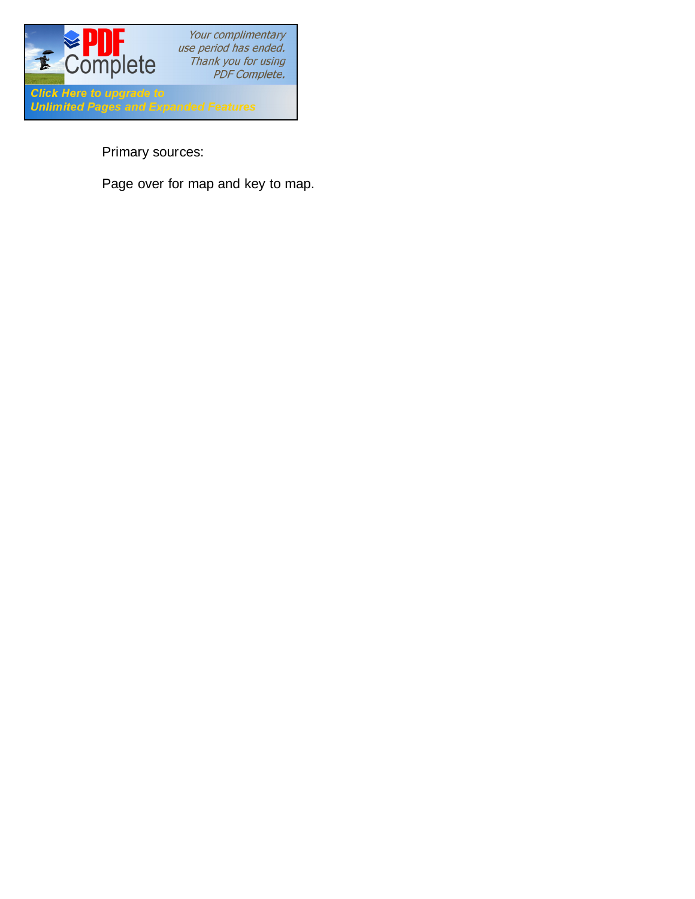

Primary sources:

Page over for map and key to map.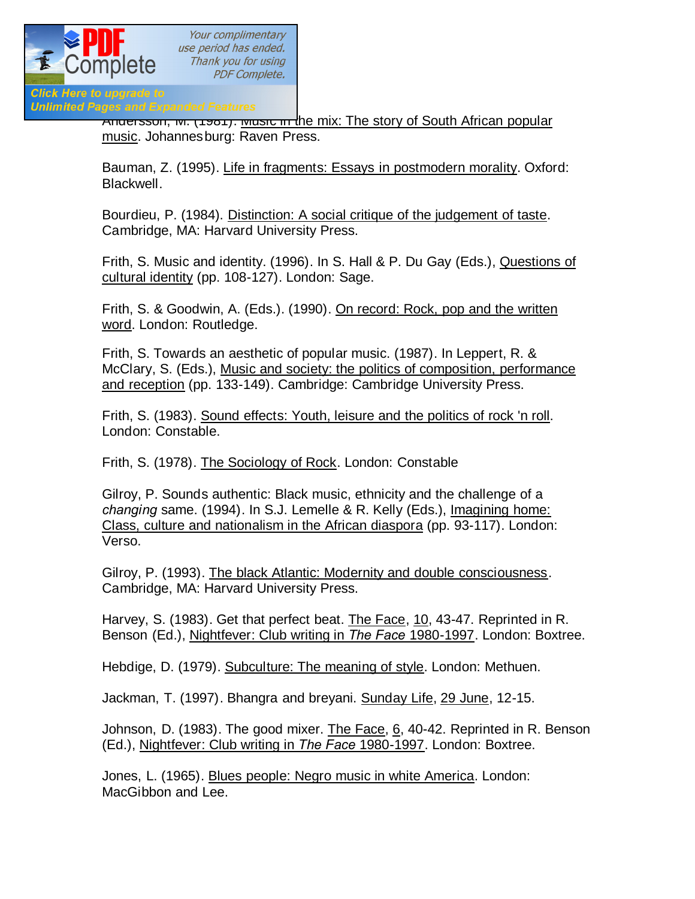

## Click Here to upgrade to **Unlimited Pages and Expanded Features**

Andersson, M. (1981). Music in the mix: The story of South African popular music. Johannesburg: Raven Press.

Bauman, Z. (1995). Life in fragments: Essays in postmodern morality. Oxford: Blackwell.

Bourdieu, P. (1984). Distinction: A social critique of the judgement of taste. Cambridge, MA: Harvard University Press.

Frith, S. Music and identity. (1996). In S. Hall & P. Du Gay (Eds.), Questions of cultural identity (pp. 108-127). London: Sage.

Frith, S. & Goodwin, A. (Eds.). (1990). On record: Rock, pop and the written word. London: Routledge.

Frith, S. Towards an aesthetic of popular music. (1987). In Leppert, R. & McClary, S. (Eds.), Music and society: the politics of composition, performance and reception (pp. 133-149). Cambridge: Cambridge University Press.

Frith, S. (1983). Sound effects: Youth, leisure and the politics of rock 'n roll. London: Constable.

Frith, S. (1978). The Sociology of Rock. London: Constable

Gilroy, P. Sounds authentic: Black music, ethnicity and the challenge of a *changing* same. (1994). In S.J. Lemelle & R. Kelly (Eds.), Imagining home: Class, culture and nationalism in the African diaspora (pp. 93-117). London: Verso.

Gilroy, P. (1993). The black Atlantic: Modernity and double consciousness. Cambridge, MA: Harvard University Press.

Harvey, S. (1983). Get that perfect beat. The Face, 10, 43-47. Reprinted in R. Benson (Ed.), Nightfever: Club writing in *The Face* 1980-1997. London: Boxtree.

Hebdige, D. (1979). Subculture: The meaning of style. London: Methuen.

Jackman, T. (1997). Bhangra and breyani. Sunday Life, 29 June, 12-15.

Johnson, D. (1983). The good mixer. The Face, 6, 40-42. Reprinted in R. Benson (Ed.), Nightfever: Club writing in *The Face* 1980-1997. London: Boxtree.

Jones, L. (1965). Blues people: Negro music in white America. London: MacGibbon and Lee.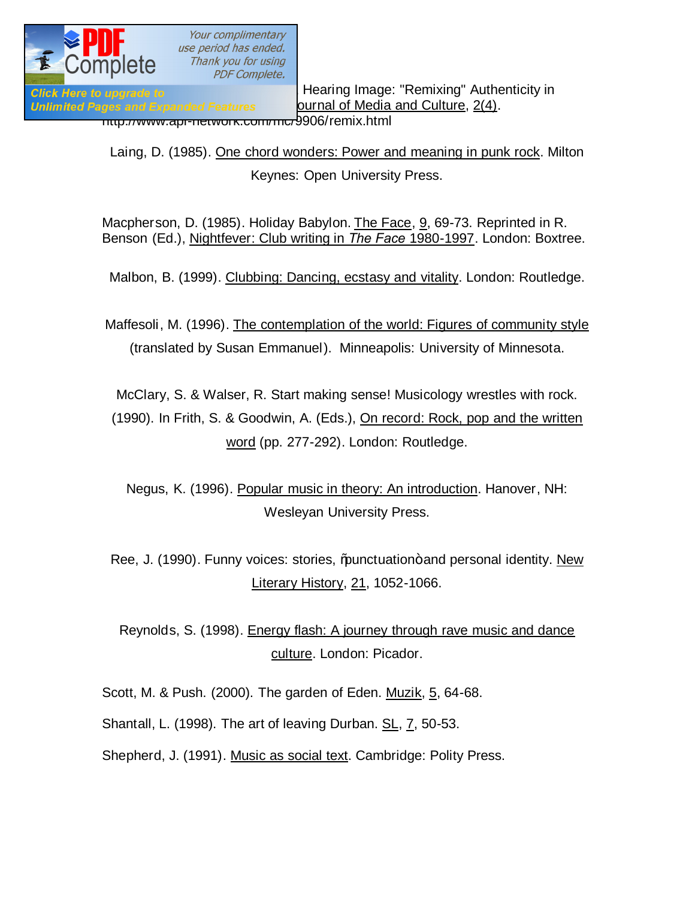

**Click Here to upgrade to Click Sound, Seeing Image: "Remixing" Authenticity in** Unlimited Pages and Expanded Features **Durnal of Media and Culture**, 2(4).

http://www.api-network.com/mc/9906/remix.html

Laing, D. (1985). One chord wonders: Power and meaning in punk rock. Milton Keynes: Open University Press.

Macpherson, D. (1985). Holiday Babylon. The Face, 9, 69-73. Reprinted in R. Benson (Ed.), Nightfever: Club writing in *The Face* 1980-1997. London: Boxtree.

Malbon, B. (1999). Clubbing: Dancing, ecstasy and vitality. London: Routledge.

Maffesoli, M. (1996). The contemplation of the world: Figures of community style (translated by Susan Emmanuel). Minneapolis: University of Minnesota.

McClary, S. & Walser, R. Start making sense! Musicology wrestles with rock.

(1990). In Frith, S. & Goodwin, A. (Eds.), On record: Rock, pop and the written word (pp. 277-292). London: Routledge.

Negus, K. (1996). Popular music in theory: An introduction. Hanover, NH: Wesleyan University Press.

Ree, J. (1990). Funny voices: stories,  $%$ unctuation+ and personal identity. New Literary History, 21, 1052-1066.

Reynolds, S. (1998). Energy flash: A journey through rave music and dance culture. London: Picador.

Scott, M. & Push. (2000). The garden of Eden. Muzik, 5, 64-68.

Shantall, L. (1998). The art of leaving Durban. SL, 7, 50-53.

Shepherd, J. (1991). Music as social text. Cambridge: Polity Press.